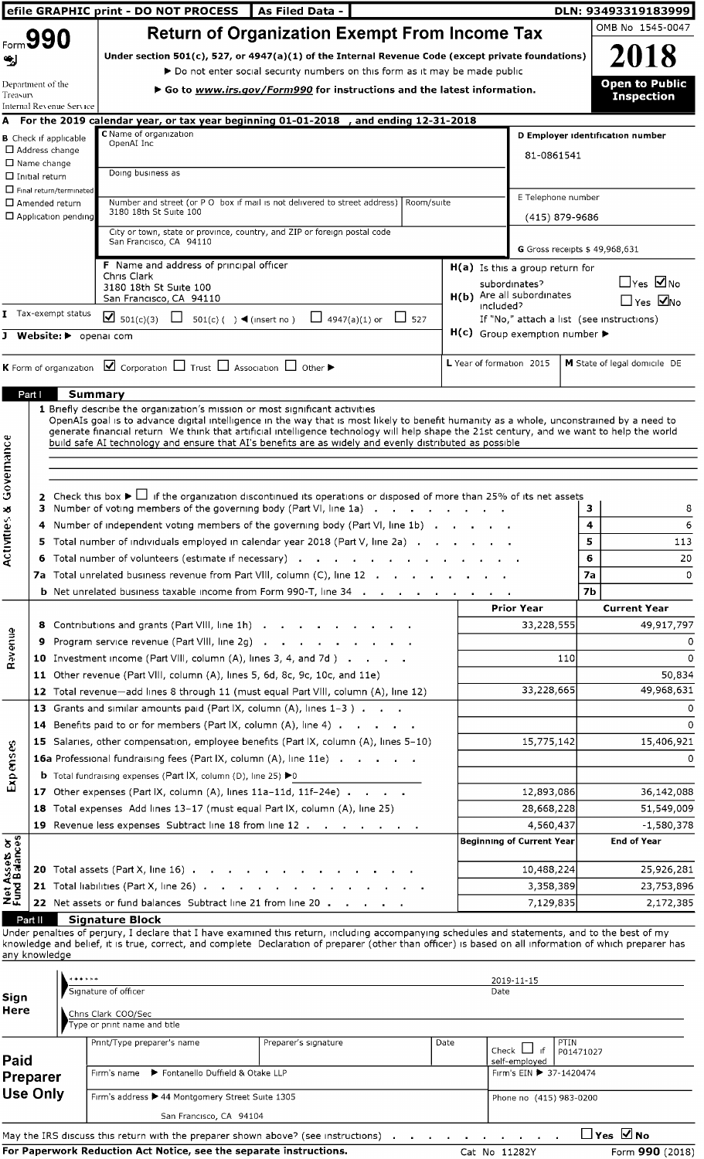| ا په                           | Form 990                                    |                                                                                       |                                                                                                  | efile GRAPHIC print - DO NOT PROCESS<br><b>Return of Organization Exempt From Income Tax</b><br>Under section 501(c), 527, or 4947(a)(1) of the Internal Revenue Code (except private foundations)                                                                                                                                                                                                                                                                                                                                                                                                                                                               |                                                | As Filed Data -      |                      |                         |      |               |                                                                                                                                                                                                                 |                              | DLN: 93493319183999<br>OMB No 1545-0047<br>2018                                           |
|--------------------------------|---------------------------------------------|---------------------------------------------------------------------------------------|--------------------------------------------------------------------------------------------------|------------------------------------------------------------------------------------------------------------------------------------------------------------------------------------------------------------------------------------------------------------------------------------------------------------------------------------------------------------------------------------------------------------------------------------------------------------------------------------------------------------------------------------------------------------------------------------------------------------------------------------------------------------------|------------------------------------------------|----------------------|----------------------|-------------------------|------|---------------|-----------------------------------------------------------------------------------------------------------------------------------------------------------------------------------------------------------------|------------------------------|-------------------------------------------------------------------------------------------|
| Treasury                       | Department of the                           | Internal Revenue Service<br><b>B</b> Check if applicable<br>$\Box$ Address change     | C Name of organization<br>OpenAI Inc                                                             | ▶ Do not enter social security numbers on this form as it may be made public<br>▶ Go to www.irs.gov/Form990 for instructions and the latest information.<br>A For the 2019 calendar year, or tax year beginning 01-01-2018                                                                                                                                                                                                                                                                                                                                                                                                                                       |                                                |                      |                      | , and ending 12-31-2018 |      |               | D Employer Identification number<br>81-0861541                                                                                                                                                                  |                              | <b>Open to Public</b><br><b>Inspection</b>                                                |
|                                | $\Box$ Name change<br>$\Box$ Initial return | $\Box$ Final return/terminated<br>$\Box$ Amended return<br>$\Box$ Application pending | Doing business as<br>3180 18th St Suite 100                                                      | Number and street (or P O box if mail is not delivered to street address)<br>City or town, state or province, country, and ZIP or foreign postal code<br>San Francisco, CA 94110                                                                                                                                                                                                                                                                                                                                                                                                                                                                                 |                                                |                      |                      | Room/suite              |      |               | E Telephone number<br>(415) 879-9686<br>G Gross receipts \$49,968,631                                                                                                                                           |                              |                                                                                           |
|                                |                                             | <b>I</b> Tax-exempt status<br>J Website: > openal com                                 | Chris Clark<br>3180 18th St Suite 100<br>$\Box$ 501(c)(3)                                        | F Name and address of principal officer<br>San Francisco, CA 94110                                                                                                                                                                                                                                                                                                                                                                                                                                                                                                                                                                                               | $501(c)$ ( ) $\blacktriangleleft$ (insert no ) |                      | $\Box$ 4947(a)(1) or | $\Box$ 527              |      | included?     | $H(a)$ Is this a group return for<br>subordinates?<br>H(b) Are all subordinates<br>If "No," attach a list (see instructions)<br>$H(c)$ Group exemption number $\blacktriangleright$<br>L Year of formation 2015 |                              | $\Box$ Yes $\Box$ No<br>$\Box$ Yes $\Box$ No<br>M State of legal domicile DE              |
|                                | Part I                                      |                                                                                       | <b>Summary</b>                                                                                   | <b>K</b> Form of organization $\boxed{\blacktriangleleft}$ Corporation $\boxed{\square}$ Trust $\boxed{\square}$ Association $\boxed{\square}$ Other $\blacktriangleright$<br>1 Briefly describe the organization's mission or most significant activities<br>OpenAIs goal is to advance digital intelligence in the way that is most likely to benefit humanity as a whole, unconstrained by a need to<br>generate financial return We think that artificial intelligence technology will help shape the 21st century, and we want to help the world<br>build safe AI technology and ensure that AI's benefits are as widely and evenly distributed as possible |                                                |                      |                      |                         |      |               |                                                                                                                                                                                                                 |                              |                                                                                           |
| Activities & Governance        | з.                                          |                                                                                       |                                                                                                  | 2 Check this box $\blacktriangleright$ if the organization discontinued its operations or disposed of more than 25% of its net assets<br>Number of voting members of the governing body (Part VI, line 1a) $\cdots$ $\cdots$ $\cdots$<br>4 Number of independent voting members of the governing body (Part VI, line 1b)<br>5 Total number of individuals employed in calendar year 2018 (Part V, line 2a)<br>6 Total number of volunteers (estimate if necessary)<br>7a Total unrelated business revenue from Part VIII, column (C), line 12<br><b>b</b> Net unrelated business taxable income from Form 990-T, line 34                                         |                                                |                      |                      |                         |      |               |                                                                                                                                                                                                                 | 3<br>4<br>5<br>6<br>7a<br>7b | 8<br>6<br>113<br>20<br>0                                                                  |
| <b>Ravenue</b>                 |                                             |                                                                                       |                                                                                                  | 8 Contributions and grants (Part VIII, line 1h)<br>9 Program service revenue (Part VIII, line 2g)<br>10 Investment income (Part VIII, column (A), lines 3, 4, and 7d)<br>11 Other revenue (Part VIII, column (A), lines 5, 6d, 8c, 9c, 10c, and 11e)<br>12 Total revenue-add lines 8 through 11 (must equal Part VIII, column (A), line 12)                                                                                                                                                                                                                                                                                                                      |                                                |                      |                      |                         |      |               | <b>Prior Year</b><br>33,228,555<br>110<br>33,228,665                                                                                                                                                            |                              | <b>Current Year</b><br>49,917,797<br>0<br>$\Omega$<br>50,834<br>49,968,631                |
| Expenses                       |                                             |                                                                                       |                                                                                                  | 13 Grants and similar amounts paid (Part IX, column $(A)$ , lines $1-3$ )<br>14 Benefits paid to or for members (Part IX, column (A), line 4)<br>15 Salaries, other compensation, employee benefits (Part IX, column (A), lines 5-10)<br>16a Professional fundraising fees (Part IX, column (A), line 11e)<br><b>b</b> Total fundraising expenses (Part $ X $ , column (D), line 25) $\blacktriangleright$ 0<br>17 Other expenses (Part IX, column (A), lines 11a-11d, 11f-24e)                                                                                                                                                                                  |                                                |                      |                      |                         |      |               | 15,775,142<br>12,893,086                                                                                                                                                                                        |                              | 0<br>0<br>15,406,921<br>0<br>36,142,088                                                   |
| Net Assets or<br>Fund Balances |                                             |                                                                                       |                                                                                                  | 18 Total expenses Add lines 13-17 (must equal Part IX, column (A), line 25)<br>19 Revenue less expenses Subtract line 18 from line 12<br>20 Total assets (Part X, line 16) $\ldots$ $\ldots$ $\ldots$ $\ldots$ $\ldots$ $\ldots$<br>21 Total liabilities (Part X, line 26) $\ldots$ $\ldots$ $\ldots$ $\ldots$ $\ldots$ $\ldots$<br>22 Net assets or fund balances Subtract line 21 from line 20                                                                                                                                                                                                                                                                 |                                                |                      |                      |                         |      |               | 28,668,228<br>4,560,437<br><b>Beginning of Current Year</b><br>10,488,224<br>3,358,389<br>7,129,835                                                                                                             |                              | 51,549,009<br>$-1,580,378$<br><b>End of Year</b><br>25,926,281<br>23,753,896<br>2,172,385 |
| Sign                           | Part II<br>any knowledge                    | 11<br>* * * * * *                                                                     | <b>Signature Block</b><br>Signature of officer                                                   | Under penalties of perjury, I declare that I have examined this return, including accompanying schedules and statements, and to the best of my<br>knowledge and belief, it is true, correct, and complete Declaration of preparer (other than officer) is based on all information of which preparer has                                                                                                                                                                                                                                                                                                                                                         |                                                |                      |                      |                         |      | Date          | 2019-11-15                                                                                                                                                                                                      |                              |                                                                                           |
| Here<br>Paid                   | <b>Preparer</b><br><b>Use Only</b>          |                                                                                       | Chris Clark COO/Sec<br>Type or print name and title<br>Print/Type preparer's name<br>Firm's name | Fontanello Duffield & Otake LLP<br>Firm's address ▶ 44 Montgomery Street Suite 1305                                                                                                                                                                                                                                                                                                                                                                                                                                                                                                                                                                              |                                                | Preparer's signature |                      |                         | Date |               | PTIN<br>Check $\Box$<br>-ıf<br>self-employed<br>Firm's EIN ▶ 37-1420474<br>Phone no (415) 983-0200                                                                                                              | P01471027                    |                                                                                           |
|                                |                                             |                                                                                       |                                                                                                  | San Francisco, CA 94104<br>May the IRS discuss this return with the preparer shown above? (see instructions)<br>For Paperwork Reduction Act Notice, see the separate instructions.                                                                                                                                                                                                                                                                                                                                                                                                                                                                               |                                                |                      |                      |                         |      | Cat No 11282Y |                                                                                                                                                                                                                 | $\Box$ Yes $\Box$ No         | Form 990 (2018)                                                                           |

| San Francisco, CA 94104                                                                                                     |               |                        |
|-----------------------------------------------------------------------------------------------------------------------------|---------------|------------------------|
| May the IRS discuss this return with the preparer shown above? (see instructions) $\cdots$ , $\cdots$ , $\cdots$ , $\cdots$ |               | $\Box$ Yes $\nabla$ No |
| For Paperwork Reduction Act Notice, see the separate instructions.                                                          | Cat No 11282Y | Form 990 (2018)        |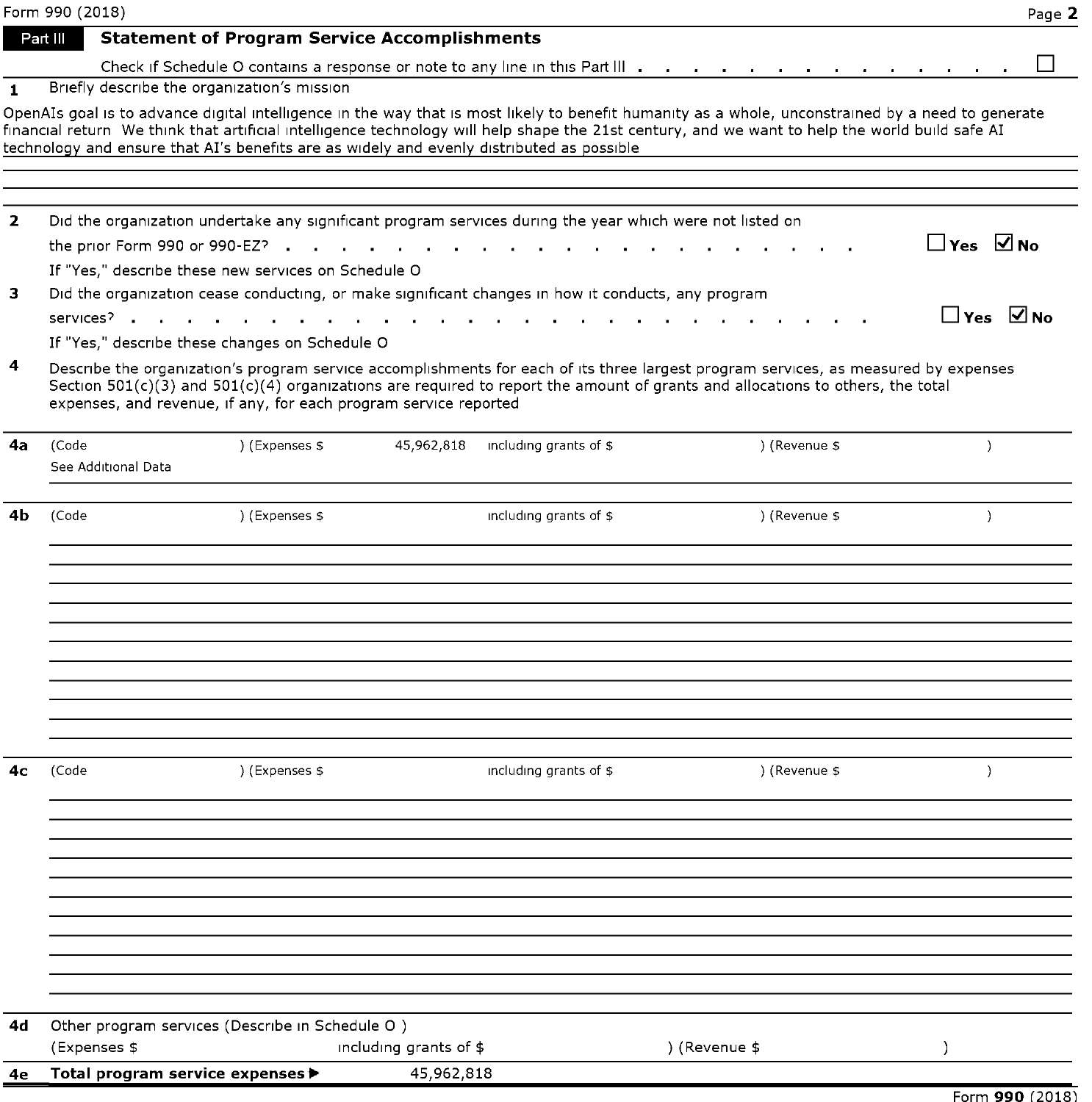|              | Form 990 (2018)     |                                                                                                          |                        |                        |                                                                                                                                                                                                                                                                                                       | Page 2               |
|--------------|---------------------|----------------------------------------------------------------------------------------------------------|------------------------|------------------------|-------------------------------------------------------------------------------------------------------------------------------------------------------------------------------------------------------------------------------------------------------------------------------------------------------|----------------------|
|              | Part III            | <b>Statement of Program Service Accomplishments</b>                                                      |                        |                        |                                                                                                                                                                                                                                                                                                       |                      |
|              |                     |                                                                                                          |                        |                        | Check if Schedule O contains a response or note to any line in this Part III                                                                                                                                                                                                                          |                      |
| $\mathbf{1}$ |                     | Briefly describe the organization's mission                                                              |                        |                        |                                                                                                                                                                                                                                                                                                       |                      |
|              |                     | technology and ensure that AI's benefits are as widely and evenly distributed as possible                |                        |                        | OpenAIs goal is to advance digital intelligence in the way that is most likely to benefit humanity as a whole, unconstrained by a need to generate<br>financial return We think that artificial intelligence technology will help shape the 21st century, and we want to help the world build safe AI |                      |
| $\mathbf{2}$ |                     | Did the organization undertake any significant program services during the year which were not listed on |                        |                        |                                                                                                                                                                                                                                                                                                       |                      |
|              |                     |                                                                                                          |                        | $\sim$                 |                                                                                                                                                                                                                                                                                                       | $\Box$ Yes $\Box$ No |
|              |                     | If "Yes," describe these new services on Schedule O                                                      |                        |                        |                                                                                                                                                                                                                                                                                                       |                      |
| з            |                     | Did the organization cease conducting, or make significant changes in how it conducts, any program       |                        |                        |                                                                                                                                                                                                                                                                                                       |                      |
|              | services?           | $\mathbf{r}$ and $\mathbf{r}$ and $\mathbf{r}$<br>If "Yes," describe these changes on Schedule O         |                        |                        |                                                                                                                                                                                                                                                                                                       | $\Box$ Yes $\Box$ No |
| 4            |                     | expenses, and revenue, if any, for each program service reported                                         |                        |                        | Describe the organization's program service accomplishments for each of its three largest program services, as measured by expenses<br>Section $501(c)(3)$ and $501(c)(4)$ organizations are required to report the amount of grants and allocations to others, the total                             |                      |
| 4a           | (Code               | ) (Expenses \$                                                                                           | 45,962,818             | including grants of \$ | ) (Revenue \$                                                                                                                                                                                                                                                                                         | $\lambda$            |
|              | See Additional Data |                                                                                                          |                        |                        |                                                                                                                                                                                                                                                                                                       |                      |
|              |                     |                                                                                                          |                        |                        |                                                                                                                                                                                                                                                                                                       |                      |
| 4b           | (Code               | ) (Expenses \$                                                                                           |                        | including grants of \$ | ) (Revenue \$                                                                                                                                                                                                                                                                                         | $\lambda$            |
|              |                     |                                                                                                          |                        |                        |                                                                                                                                                                                                                                                                                                       |                      |
|              |                     |                                                                                                          |                        |                        |                                                                                                                                                                                                                                                                                                       |                      |
| 4с           | (Code               | ) (Expenses \$                                                                                           |                        | including grants of \$ | ) (Revenue \$                                                                                                                                                                                                                                                                                         | $\lambda$            |
|              |                     |                                                                                                          |                        |                        |                                                                                                                                                                                                                                                                                                       |                      |
|              |                     |                                                                                                          |                        |                        |                                                                                                                                                                                                                                                                                                       |                      |
|              |                     |                                                                                                          |                        |                        |                                                                                                                                                                                                                                                                                                       |                      |
|              |                     |                                                                                                          |                        |                        |                                                                                                                                                                                                                                                                                                       |                      |
| 4d           | (Expenses \$        | Other program services (Describe in Schedule O)                                                          | including grants of \$ |                        | ) (Revenue \$                                                                                                                                                                                                                                                                                         |                      |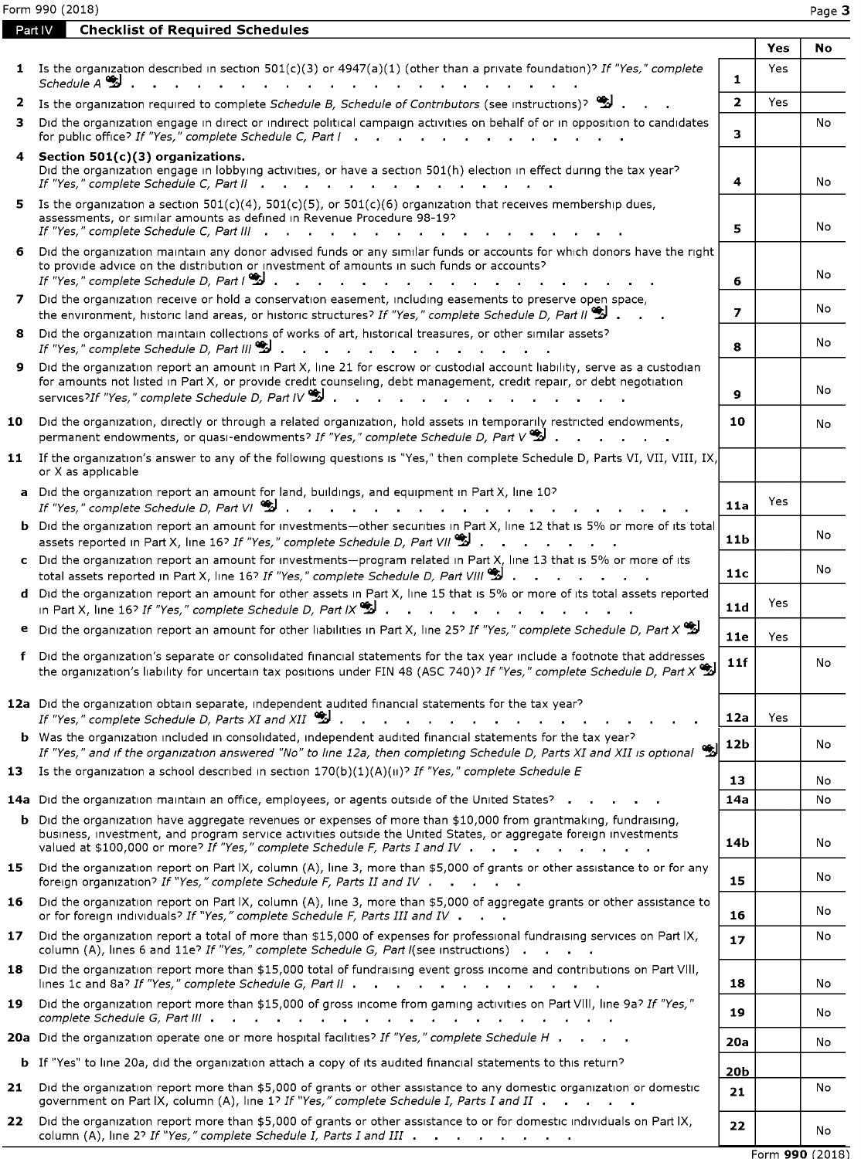| Form 990 (2018)<br>Page 3<br><b>Checklist of Required Schedules</b><br>Part IV<br>Yes<br>No<br>1 Is the organization described in section 501(c)(3) or 4947(a)(1) (other than a private foundation)? If "Yes," complete<br>Yes<br>$\mathbf{1}$<br>Schedule A<br>$\overline{2}$<br>2 Is the organization required to complete Schedule B, Schedule of Contributors (see instructions)? (2<br>Yes<br>3 Did the organization engage in direct or indirect political campaign activities on behalf of or in opposition to candidates<br>No<br>3<br>for public office? If "Yes," complete Schedule C, Part  <br>Section $501(c)(3)$ organizations.<br>4<br>Did the organization engage in lobbying activities, or have a section 501(h) election in effect during the tax year?<br>4<br>No<br>If "Yes," complete Schedule C, Part II .<br>5 Is the organization a section $501(c)(4)$ , $501(c)(5)$ , or $501(c)(6)$ organization that receives membership dues,<br>assessments, or similar amounts as defined in Revenue Procedure 98-19?<br>No<br>5<br>If "Yes," complete Schedule C, Part III<br>and the state of the state of the<br>$\sim$<br>6 Did the organization maintain any donor advised funds or any similar funds or accounts for which donors have the right<br>to provide advice on the distribution or investment of amounts in such funds or accounts?<br>No<br>If "Yes," complete Schedule D, Part $\mathbb{S}$ .<br>6<br>7 Did the organization receive or hold a conservation easement, including easements to preserve open space,<br>No<br>$\overline{ }$<br>the environment, historic land areas, or historic structures? If "Yes," complete Schedule D, Part II 2<br>8 Did the organization maintain collections of works of art, historical treasures, or other similar assets?<br>No<br>8<br>If "Yes." complete Schedule D. Part III $\ddot{\ddot{\mathbf{w}}}$ .<br>and the company of the company of the company of<br>9 Did the organization report an amount in Part X, line 21 for escrow or custodial account liability, serve as a custodian<br>for amounts not listed in Part X, or provide credit counseling, debt management, credit repair, or debt negotiation<br>No<br>$\mathbf{9}$<br>services? If "Yes," complete Schedule D, Part IV $\mathbb S$ .<br>Did the organization, directly or through a related organization, hold assets in temporarily restricted endowments,<br>10<br>10<br>No<br>permanent endowments, or quasi-endowments? If "Yes," complete Schedule D, Part $\vee$ $\mathcal{L}$ .<br>If the organization's answer to any of the following questions is "Yes," then complete Schedule D, Parts VI, VII, VIII, IX,<br>11<br>or X as applicable<br>a Did the organization report an amount for land, buildings, and equipment in Part X, line 10?<br>Yes<br>11a<br>If "Yes," complete Schedule D, Part VI $\mathscr{L}$ .<br>b Did the organization report an amount for investments-other securities in Part X, line 12 that is 5% or more of its total<br>No<br>11 <sub>b</sub><br>assets reported in Part X, line 16? If "Yes," complete Schedule D, Part VII $\mathbb S$ .<br>c Did the organization report an amount for investments-program related in Part X, line 13 that is 5% or more of its<br>No<br>11c<br>total assets reported in Part X, line 16? If "Yes," complete Schedule D, Part VIII $\ddot{\ddot{\mathbf{B}}}$ .<br>d Did the organization report an amount for other assets in Part X, line 15 that is 5% or more of its total assets reported<br>Yes<br>11d<br>in Part X, line 16? If "Yes," complete Schedule D, Part IX $\ddot{\ddot{\bullet}}$<br>Did the organization report an amount for other liabilities in Part X, line 25? If "Yes," complete Schedule D, Part X $\ddot{\ddot{\Sigma}}$<br>e<br>11e<br>Yes<br>f Did the organization's separate or consolidated financial statements for the tax year include a footnote that addresses<br>11f<br>No<br>the organization's liability for uncertain tax positions under FIN 48 (ASC 740)? If "Yes," complete Schedule D, Part X<br>12a Did the organization obtain separate, independent audited financial statements for the tax year?<br>If "Yes," complete Schedule D, Parts XI and XII<br>12a<br>Yes<br><b>b</b> Was the organization included in consolidated, independent audited financial statements for the tax year?<br>12b<br>No<br>If "Yes," and if the organization answered "No" to line 12a, then completing Schedule D, Parts XI and XII is optional $\cdot$<br>Is the organization a school described in section $170(b)(1)(A)(u)^{2}$ If "Yes," complete Schedule E<br>13<br>13<br>No<br>14a Did the organization maintain an office, employees, or agents outside of the United States? .<br>14a<br>No<br><b>b</b> Did the organization have aggregate revenues or expenses of more than \$10,000 from grantmaking, fundraising,<br>business, investment, and program service activities outside the United States, or aggregate foreign investments<br>14 <sub>b</sub><br>No<br>valued at \$100,000 or more? If "Yes," complete Schedule F, Parts I and IV .<br>15 Did the organization report on Part IX, column (A), line 3, more than \$5,000 of grants or other assistance to or for any<br>No<br>15<br>foreign organization? If "Yes," complete Schedule F, Parts II and IV<br>16 Did the organization report on Part IX, column (A), line 3, more than \$5,000 of aggregate grants or other assistance to<br>No<br>or for foreign individuals? If "Yes," complete Schedule F, Parts III and IV $\blacksquare$ .<br>16<br>17 Did the organization report a total of more than \$15,000 of expenses for professional fundraising services on Part IX,<br>No<br>17<br>column (A), lines 6 and 11e? If "Yes," complete Schedule G, Part I(see instructions)<br>Did the organization report more than \$15,000 total of fundraising event gross income and contributions on Part VIII,<br>18<br>lines 1c and 8a? If "Yes," complete Schedule G, Part II<br>18<br>No<br>19 Did the organization report more than \$15,000 of gross income from gaming activities on Part VIII, line 9a? If "Yes,"<br>19<br>No<br>complete Schedule G, Part III (Changeline Complete Schedule G, Part III) (Changeline Comparent Comparent Compa<br>20a Did the organization operate one or more hospital facilities? If "Yes," complete Schedule H<br>20a<br>No<br><b>b</b> If "Yes" to line 20a, did the organization attach a copy of its audited financial statements to this return?<br><b>20b</b><br>21 Did the organization report more than \$5,000 of grants or other assistance to any domestic organization or domestic<br>No<br>21<br>government on Part IX, column (A), line 1? If "Yes," complete Schedule I, Parts I and II<br>Did the organization report more than \$5,000 of grants or other assistance to or for domestic individuals on Part IX,<br>22<br>22<br>No<br>column (A), line 2? If "Yes," complete Schedule I, Parts I and III |  |  |  |
|--------------------------------------------------------------------------------------------------------------------------------------------------------------------------------------------------------------------------------------------------------------------------------------------------------------------------------------------------------------------------------------------------------------------------------------------------------------------------------------------------------------------------------------------------------------------------------------------------------------------------------------------------------------------------------------------------------------------------------------------------------------------------------------------------------------------------------------------------------------------------------------------------------------------------------------------------------------------------------------------------------------------------------------------------------------------------------------------------------------------------------------------------------------------------------------------------------------------------------------------------------------------------------------------------------------------------------------------------------------------------------------------------------------------------------------------------------------------------------------------------------------------------------------------------------------------------------------------------------------------------------------------------------------------------------------------------------------------------------------------------------------------------------------------------------------------------------------------------------------------------------------------------------------------------------------------------------------------------------------------------------------------------------------------------------------------------------------------------------------------------------------------------------------------------------------------------------------------------------------------------------------------------------------------------------------------------------------------------------------------------------------------------------------------------------------------------------------------------------------------------------------------------------------------------------------------------------------------------------------------------------------------------------------------------------------------------------------------------------------------------------------------------------------------------------------------------------------------------------------------------------------------------------------------------------------------------------------------------------------------------------------------------------------------------------------------------------------------------------------------------------------------------------------------------------------------------------------------------------------------------------------------------------------------------------------------------------------------------------------------------------------------------------------------------------------------------------------------------------------------------------------------------------------------------------------------------------------------------------------------------------------------------------------------------------------------------------------------------------------------------------------------------------------------------------------------------------------------------------------------------------------------------------------------------------------------------------------------------------------------------------------------------------------------------------------------------------------------------------------------------------------------------------------------------------------------------------------------------------------------------------------------------------------------------------------------------------------------------------------------------------------------------------------------------------------------------------------------------------------------------------------------------------------------------------------------------------------------------------------------------------------------------------------------------------------------------------------------------------------------------------------------------------------------------------------------------------------------------------------------------------------------------------------------------------------------------------------------------------------------------------------------------------------------------------------------------------------------------------------------------------------------------------------------------------------------------------------------------------------------------------------------------------------------------------------------------------------------------------------------------------------------------------------------------------------------------------------------------------------------------------------------------------------------------------------------------------------------------------------------------------------------------------------------------------------------------------------------------------------------------------------------------------------------------------------------------------------------------------------------------------------------------------------------------------------------------------------------------------------------------------------------------------------------------------------------------------------------------------------------------------------------------------------------------------------------------------------------------------------------------------------------------------------------------------------------------------------------------------------------------------------------------------------------------------------------------------------------------------------------------------------------------------------------------------------------------------------------------------------------------------------------------------------------------------------------------------------------------------------------------------------------------------------------------------------------------------------------------------------------------------------------------------------------------------------------------------------------------------------------------------|--|--|--|
| Form 990 (2018)                                                                                                                                                                                                                                                                                                                                                                                                                                                                                                                                                                                                                                                                                                                                                                                                                                                                                                                                                                                                                                                                                                                                                                                                                                                                                                                                                                                                                                                                                                                                                                                                                                                                                                                                                                                                                                                                                                                                                                                                                                                                                                                                                                                                                                                                                                                                                                                                                                                                                                                                                                                                                                                                                                                                                                                                                                                                                                                                                                                                                                                                                                                                                                                                                                                                                                                                                                                                                                                                                                                                                                                                                                                                                                                                                                                                                                                                                                                                                                                                                                                                                                                                                                                                                                                                                                                                                                                                                                                                                                                                                                                                                                                                                                                                                                                                                                                                                                                                                                                                                                                                                                                                                                                                                                                                                                                                                                                                                                                                                                                                                                                                                                                                                                                                                                                                                                                                                                                                                                                                                                                                                                                                                                                                                                                                                                                                                                                                                                                                                                                                                                                                                                                                                                                                                                                                                                                                                                                                                                                        |  |  |  |
|                                                                                                                                                                                                                                                                                                                                                                                                                                                                                                                                                                                                                                                                                                                                                                                                                                                                                                                                                                                                                                                                                                                                                                                                                                                                                                                                                                                                                                                                                                                                                                                                                                                                                                                                                                                                                                                                                                                                                                                                                                                                                                                                                                                                                                                                                                                                                                                                                                                                                                                                                                                                                                                                                                                                                                                                                                                                                                                                                                                                                                                                                                                                                                                                                                                                                                                                                                                                                                                                                                                                                                                                                                                                                                                                                                                                                                                                                                                                                                                                                                                                                                                                                                                                                                                                                                                                                                                                                                                                                                                                                                                                                                                                                                                                                                                                                                                                                                                                                                                                                                                                                                                                                                                                                                                                                                                                                                                                                                                                                                                                                                                                                                                                                                                                                                                                                                                                                                                                                                                                                                                                                                                                                                                                                                                                                                                                                                                                                                                                                                                                                                                                                                                                                                                                                                                                                                                                                                                                                                                                        |  |  |  |
|                                                                                                                                                                                                                                                                                                                                                                                                                                                                                                                                                                                                                                                                                                                                                                                                                                                                                                                                                                                                                                                                                                                                                                                                                                                                                                                                                                                                                                                                                                                                                                                                                                                                                                                                                                                                                                                                                                                                                                                                                                                                                                                                                                                                                                                                                                                                                                                                                                                                                                                                                                                                                                                                                                                                                                                                                                                                                                                                                                                                                                                                                                                                                                                                                                                                                                                                                                                                                                                                                                                                                                                                                                                                                                                                                                                                                                                                                                                                                                                                                                                                                                                                                                                                                                                                                                                                                                                                                                                                                                                                                                                                                                                                                                                                                                                                                                                                                                                                                                                                                                                                                                                                                                                                                                                                                                                                                                                                                                                                                                                                                                                                                                                                                                                                                                                                                                                                                                                                                                                                                                                                                                                                                                                                                                                                                                                                                                                                                                                                                                                                                                                                                                                                                                                                                                                                                                                                                                                                                                                                        |  |  |  |
|                                                                                                                                                                                                                                                                                                                                                                                                                                                                                                                                                                                                                                                                                                                                                                                                                                                                                                                                                                                                                                                                                                                                                                                                                                                                                                                                                                                                                                                                                                                                                                                                                                                                                                                                                                                                                                                                                                                                                                                                                                                                                                                                                                                                                                                                                                                                                                                                                                                                                                                                                                                                                                                                                                                                                                                                                                                                                                                                                                                                                                                                                                                                                                                                                                                                                                                                                                                                                                                                                                                                                                                                                                                                                                                                                                                                                                                                                                                                                                                                                                                                                                                                                                                                                                                                                                                                                                                                                                                                                                                                                                                                                                                                                                                                                                                                                                                                                                                                                                                                                                                                                                                                                                                                                                                                                                                                                                                                                                                                                                                                                                                                                                                                                                                                                                                                                                                                                                                                                                                                                                                                                                                                                                                                                                                                                                                                                                                                                                                                                                                                                                                                                                                                                                                                                                                                                                                                                                                                                                                                        |  |  |  |
|                                                                                                                                                                                                                                                                                                                                                                                                                                                                                                                                                                                                                                                                                                                                                                                                                                                                                                                                                                                                                                                                                                                                                                                                                                                                                                                                                                                                                                                                                                                                                                                                                                                                                                                                                                                                                                                                                                                                                                                                                                                                                                                                                                                                                                                                                                                                                                                                                                                                                                                                                                                                                                                                                                                                                                                                                                                                                                                                                                                                                                                                                                                                                                                                                                                                                                                                                                                                                                                                                                                                                                                                                                                                                                                                                                                                                                                                                                                                                                                                                                                                                                                                                                                                                                                                                                                                                                                                                                                                                                                                                                                                                                                                                                                                                                                                                                                                                                                                                                                                                                                                                                                                                                                                                                                                                                                                                                                                                                                                                                                                                                                                                                                                                                                                                                                                                                                                                                                                                                                                                                                                                                                                                                                                                                                                                                                                                                                                                                                                                                                                                                                                                                                                                                                                                                                                                                                                                                                                                                                                        |  |  |  |
|                                                                                                                                                                                                                                                                                                                                                                                                                                                                                                                                                                                                                                                                                                                                                                                                                                                                                                                                                                                                                                                                                                                                                                                                                                                                                                                                                                                                                                                                                                                                                                                                                                                                                                                                                                                                                                                                                                                                                                                                                                                                                                                                                                                                                                                                                                                                                                                                                                                                                                                                                                                                                                                                                                                                                                                                                                                                                                                                                                                                                                                                                                                                                                                                                                                                                                                                                                                                                                                                                                                                                                                                                                                                                                                                                                                                                                                                                                                                                                                                                                                                                                                                                                                                                                                                                                                                                                                                                                                                                                                                                                                                                                                                                                                                                                                                                                                                                                                                                                                                                                                                                                                                                                                                                                                                                                                                                                                                                                                                                                                                                                                                                                                                                                                                                                                                                                                                                                                                                                                                                                                                                                                                                                                                                                                                                                                                                                                                                                                                                                                                                                                                                                                                                                                                                                                                                                                                                                                                                                                                        |  |  |  |
|                                                                                                                                                                                                                                                                                                                                                                                                                                                                                                                                                                                                                                                                                                                                                                                                                                                                                                                                                                                                                                                                                                                                                                                                                                                                                                                                                                                                                                                                                                                                                                                                                                                                                                                                                                                                                                                                                                                                                                                                                                                                                                                                                                                                                                                                                                                                                                                                                                                                                                                                                                                                                                                                                                                                                                                                                                                                                                                                                                                                                                                                                                                                                                                                                                                                                                                                                                                                                                                                                                                                                                                                                                                                                                                                                                                                                                                                                                                                                                                                                                                                                                                                                                                                                                                                                                                                                                                                                                                                                                                                                                                                                                                                                                                                                                                                                                                                                                                                                                                                                                                                                                                                                                                                                                                                                                                                                                                                                                                                                                                                                                                                                                                                                                                                                                                                                                                                                                                                                                                                                                                                                                                                                                                                                                                                                                                                                                                                                                                                                                                                                                                                                                                                                                                                                                                                                                                                                                                                                                                                        |  |  |  |
|                                                                                                                                                                                                                                                                                                                                                                                                                                                                                                                                                                                                                                                                                                                                                                                                                                                                                                                                                                                                                                                                                                                                                                                                                                                                                                                                                                                                                                                                                                                                                                                                                                                                                                                                                                                                                                                                                                                                                                                                                                                                                                                                                                                                                                                                                                                                                                                                                                                                                                                                                                                                                                                                                                                                                                                                                                                                                                                                                                                                                                                                                                                                                                                                                                                                                                                                                                                                                                                                                                                                                                                                                                                                                                                                                                                                                                                                                                                                                                                                                                                                                                                                                                                                                                                                                                                                                                                                                                                                                                                                                                                                                                                                                                                                                                                                                                                                                                                                                                                                                                                                                                                                                                                                                                                                                                                                                                                                                                                                                                                                                                                                                                                                                                                                                                                                                                                                                                                                                                                                                                                                                                                                                                                                                                                                                                                                                                                                                                                                                                                                                                                                                                                                                                                                                                                                                                                                                                                                                                                                        |  |  |  |
|                                                                                                                                                                                                                                                                                                                                                                                                                                                                                                                                                                                                                                                                                                                                                                                                                                                                                                                                                                                                                                                                                                                                                                                                                                                                                                                                                                                                                                                                                                                                                                                                                                                                                                                                                                                                                                                                                                                                                                                                                                                                                                                                                                                                                                                                                                                                                                                                                                                                                                                                                                                                                                                                                                                                                                                                                                                                                                                                                                                                                                                                                                                                                                                                                                                                                                                                                                                                                                                                                                                                                                                                                                                                                                                                                                                                                                                                                                                                                                                                                                                                                                                                                                                                                                                                                                                                                                                                                                                                                                                                                                                                                                                                                                                                                                                                                                                                                                                                                                                                                                                                                                                                                                                                                                                                                                                                                                                                                                                                                                                                                                                                                                                                                                                                                                                                                                                                                                                                                                                                                                                                                                                                                                                                                                                                                                                                                                                                                                                                                                                                                                                                                                                                                                                                                                                                                                                                                                                                                                                                        |  |  |  |
|                                                                                                                                                                                                                                                                                                                                                                                                                                                                                                                                                                                                                                                                                                                                                                                                                                                                                                                                                                                                                                                                                                                                                                                                                                                                                                                                                                                                                                                                                                                                                                                                                                                                                                                                                                                                                                                                                                                                                                                                                                                                                                                                                                                                                                                                                                                                                                                                                                                                                                                                                                                                                                                                                                                                                                                                                                                                                                                                                                                                                                                                                                                                                                                                                                                                                                                                                                                                                                                                                                                                                                                                                                                                                                                                                                                                                                                                                                                                                                                                                                                                                                                                                                                                                                                                                                                                                                                                                                                                                                                                                                                                                                                                                                                                                                                                                                                                                                                                                                                                                                                                                                                                                                                                                                                                                                                                                                                                                                                                                                                                                                                                                                                                                                                                                                                                                                                                                                                                                                                                                                                                                                                                                                                                                                                                                                                                                                                                                                                                                                                                                                                                                                                                                                                                                                                                                                                                                                                                                                                                        |  |  |  |
|                                                                                                                                                                                                                                                                                                                                                                                                                                                                                                                                                                                                                                                                                                                                                                                                                                                                                                                                                                                                                                                                                                                                                                                                                                                                                                                                                                                                                                                                                                                                                                                                                                                                                                                                                                                                                                                                                                                                                                                                                                                                                                                                                                                                                                                                                                                                                                                                                                                                                                                                                                                                                                                                                                                                                                                                                                                                                                                                                                                                                                                                                                                                                                                                                                                                                                                                                                                                                                                                                                                                                                                                                                                                                                                                                                                                                                                                                                                                                                                                                                                                                                                                                                                                                                                                                                                                                                                                                                                                                                                                                                                                                                                                                                                                                                                                                                                                                                                                                                                                                                                                                                                                                                                                                                                                                                                                                                                                                                                                                                                                                                                                                                                                                                                                                                                                                                                                                                                                                                                                                                                                                                                                                                                                                                                                                                                                                                                                                                                                                                                                                                                                                                                                                                                                                                                                                                                                                                                                                                                                        |  |  |  |
|                                                                                                                                                                                                                                                                                                                                                                                                                                                                                                                                                                                                                                                                                                                                                                                                                                                                                                                                                                                                                                                                                                                                                                                                                                                                                                                                                                                                                                                                                                                                                                                                                                                                                                                                                                                                                                                                                                                                                                                                                                                                                                                                                                                                                                                                                                                                                                                                                                                                                                                                                                                                                                                                                                                                                                                                                                                                                                                                                                                                                                                                                                                                                                                                                                                                                                                                                                                                                                                                                                                                                                                                                                                                                                                                                                                                                                                                                                                                                                                                                                                                                                                                                                                                                                                                                                                                                                                                                                                                                                                                                                                                                                                                                                                                                                                                                                                                                                                                                                                                                                                                                                                                                                                                                                                                                                                                                                                                                                                                                                                                                                                                                                                                                                                                                                                                                                                                                                                                                                                                                                                                                                                                                                                                                                                                                                                                                                                                                                                                                                                                                                                                                                                                                                                                                                                                                                                                                                                                                                                                        |  |  |  |
|                                                                                                                                                                                                                                                                                                                                                                                                                                                                                                                                                                                                                                                                                                                                                                                                                                                                                                                                                                                                                                                                                                                                                                                                                                                                                                                                                                                                                                                                                                                                                                                                                                                                                                                                                                                                                                                                                                                                                                                                                                                                                                                                                                                                                                                                                                                                                                                                                                                                                                                                                                                                                                                                                                                                                                                                                                                                                                                                                                                                                                                                                                                                                                                                                                                                                                                                                                                                                                                                                                                                                                                                                                                                                                                                                                                                                                                                                                                                                                                                                                                                                                                                                                                                                                                                                                                                                                                                                                                                                                                                                                                                                                                                                                                                                                                                                                                                                                                                                                                                                                                                                                                                                                                                                                                                                                                                                                                                                                                                                                                                                                                                                                                                                                                                                                                                                                                                                                                                                                                                                                                                                                                                                                                                                                                                                                                                                                                                                                                                                                                                                                                                                                                                                                                                                                                                                                                                                                                                                                                                        |  |  |  |
|                                                                                                                                                                                                                                                                                                                                                                                                                                                                                                                                                                                                                                                                                                                                                                                                                                                                                                                                                                                                                                                                                                                                                                                                                                                                                                                                                                                                                                                                                                                                                                                                                                                                                                                                                                                                                                                                                                                                                                                                                                                                                                                                                                                                                                                                                                                                                                                                                                                                                                                                                                                                                                                                                                                                                                                                                                                                                                                                                                                                                                                                                                                                                                                                                                                                                                                                                                                                                                                                                                                                                                                                                                                                                                                                                                                                                                                                                                                                                                                                                                                                                                                                                                                                                                                                                                                                                                                                                                                                                                                                                                                                                                                                                                                                                                                                                                                                                                                                                                                                                                                                                                                                                                                                                                                                                                                                                                                                                                                                                                                                                                                                                                                                                                                                                                                                                                                                                                                                                                                                                                                                                                                                                                                                                                                                                                                                                                                                                                                                                                                                                                                                                                                                                                                                                                                                                                                                                                                                                                                                        |  |  |  |
|                                                                                                                                                                                                                                                                                                                                                                                                                                                                                                                                                                                                                                                                                                                                                                                                                                                                                                                                                                                                                                                                                                                                                                                                                                                                                                                                                                                                                                                                                                                                                                                                                                                                                                                                                                                                                                                                                                                                                                                                                                                                                                                                                                                                                                                                                                                                                                                                                                                                                                                                                                                                                                                                                                                                                                                                                                                                                                                                                                                                                                                                                                                                                                                                                                                                                                                                                                                                                                                                                                                                                                                                                                                                                                                                                                                                                                                                                                                                                                                                                                                                                                                                                                                                                                                                                                                                                                                                                                                                                                                                                                                                                                                                                                                                                                                                                                                                                                                                                                                                                                                                                                                                                                                                                                                                                                                                                                                                                                                                                                                                                                                                                                                                                                                                                                                                                                                                                                                                                                                                                                                                                                                                                                                                                                                                                                                                                                                                                                                                                                                                                                                                                                                                                                                                                                                                                                                                                                                                                                                                        |  |  |  |
|                                                                                                                                                                                                                                                                                                                                                                                                                                                                                                                                                                                                                                                                                                                                                                                                                                                                                                                                                                                                                                                                                                                                                                                                                                                                                                                                                                                                                                                                                                                                                                                                                                                                                                                                                                                                                                                                                                                                                                                                                                                                                                                                                                                                                                                                                                                                                                                                                                                                                                                                                                                                                                                                                                                                                                                                                                                                                                                                                                                                                                                                                                                                                                                                                                                                                                                                                                                                                                                                                                                                                                                                                                                                                                                                                                                                                                                                                                                                                                                                                                                                                                                                                                                                                                                                                                                                                                                                                                                                                                                                                                                                                                                                                                                                                                                                                                                                                                                                                                                                                                                                                                                                                                                                                                                                                                                                                                                                                                                                                                                                                                                                                                                                                                                                                                                                                                                                                                                                                                                                                                                                                                                                                                                                                                                                                                                                                                                                                                                                                                                                                                                                                                                                                                                                                                                                                                                                                                                                                                                                        |  |  |  |
|                                                                                                                                                                                                                                                                                                                                                                                                                                                                                                                                                                                                                                                                                                                                                                                                                                                                                                                                                                                                                                                                                                                                                                                                                                                                                                                                                                                                                                                                                                                                                                                                                                                                                                                                                                                                                                                                                                                                                                                                                                                                                                                                                                                                                                                                                                                                                                                                                                                                                                                                                                                                                                                                                                                                                                                                                                                                                                                                                                                                                                                                                                                                                                                                                                                                                                                                                                                                                                                                                                                                                                                                                                                                                                                                                                                                                                                                                                                                                                                                                                                                                                                                                                                                                                                                                                                                                                                                                                                                                                                                                                                                                                                                                                                                                                                                                                                                                                                                                                                                                                                                                                                                                                                                                                                                                                                                                                                                                                                                                                                                                                                                                                                                                                                                                                                                                                                                                                                                                                                                                                                                                                                                                                                                                                                                                                                                                                                                                                                                                                                                                                                                                                                                                                                                                                                                                                                                                                                                                                                                        |  |  |  |
|                                                                                                                                                                                                                                                                                                                                                                                                                                                                                                                                                                                                                                                                                                                                                                                                                                                                                                                                                                                                                                                                                                                                                                                                                                                                                                                                                                                                                                                                                                                                                                                                                                                                                                                                                                                                                                                                                                                                                                                                                                                                                                                                                                                                                                                                                                                                                                                                                                                                                                                                                                                                                                                                                                                                                                                                                                                                                                                                                                                                                                                                                                                                                                                                                                                                                                                                                                                                                                                                                                                                                                                                                                                                                                                                                                                                                                                                                                                                                                                                                                                                                                                                                                                                                                                                                                                                                                                                                                                                                                                                                                                                                                                                                                                                                                                                                                                                                                                                                                                                                                                                                                                                                                                                                                                                                                                                                                                                                                                                                                                                                                                                                                                                                                                                                                                                                                                                                                                                                                                                                                                                                                                                                                                                                                                                                                                                                                                                                                                                                                                                                                                                                                                                                                                                                                                                                                                                                                                                                                                                        |  |  |  |
|                                                                                                                                                                                                                                                                                                                                                                                                                                                                                                                                                                                                                                                                                                                                                                                                                                                                                                                                                                                                                                                                                                                                                                                                                                                                                                                                                                                                                                                                                                                                                                                                                                                                                                                                                                                                                                                                                                                                                                                                                                                                                                                                                                                                                                                                                                                                                                                                                                                                                                                                                                                                                                                                                                                                                                                                                                                                                                                                                                                                                                                                                                                                                                                                                                                                                                                                                                                                                                                                                                                                                                                                                                                                                                                                                                                                                                                                                                                                                                                                                                                                                                                                                                                                                                                                                                                                                                                                                                                                                                                                                                                                                                                                                                                                                                                                                                                                                                                                                                                                                                                                                                                                                                                                                                                                                                                                                                                                                                                                                                                                                                                                                                                                                                                                                                                                                                                                                                                                                                                                                                                                                                                                                                                                                                                                                                                                                                                                                                                                                                                                                                                                                                                                                                                                                                                                                                                                                                                                                                                                        |  |  |  |
|                                                                                                                                                                                                                                                                                                                                                                                                                                                                                                                                                                                                                                                                                                                                                                                                                                                                                                                                                                                                                                                                                                                                                                                                                                                                                                                                                                                                                                                                                                                                                                                                                                                                                                                                                                                                                                                                                                                                                                                                                                                                                                                                                                                                                                                                                                                                                                                                                                                                                                                                                                                                                                                                                                                                                                                                                                                                                                                                                                                                                                                                                                                                                                                                                                                                                                                                                                                                                                                                                                                                                                                                                                                                                                                                                                                                                                                                                                                                                                                                                                                                                                                                                                                                                                                                                                                                                                                                                                                                                                                                                                                                                                                                                                                                                                                                                                                                                                                                                                                                                                                                                                                                                                                                                                                                                                                                                                                                                                                                                                                                                                                                                                                                                                                                                                                                                                                                                                                                                                                                                                                                                                                                                                                                                                                                                                                                                                                                                                                                                                                                                                                                                                                                                                                                                                                                                                                                                                                                                                                                        |  |  |  |
|                                                                                                                                                                                                                                                                                                                                                                                                                                                                                                                                                                                                                                                                                                                                                                                                                                                                                                                                                                                                                                                                                                                                                                                                                                                                                                                                                                                                                                                                                                                                                                                                                                                                                                                                                                                                                                                                                                                                                                                                                                                                                                                                                                                                                                                                                                                                                                                                                                                                                                                                                                                                                                                                                                                                                                                                                                                                                                                                                                                                                                                                                                                                                                                                                                                                                                                                                                                                                                                                                                                                                                                                                                                                                                                                                                                                                                                                                                                                                                                                                                                                                                                                                                                                                                                                                                                                                                                                                                                                                                                                                                                                                                                                                                                                                                                                                                                                                                                                                                                                                                                                                                                                                                                                                                                                                                                                                                                                                                                                                                                                                                                                                                                                                                                                                                                                                                                                                                                                                                                                                                                                                                                                                                                                                                                                                                                                                                                                                                                                                                                                                                                                                                                                                                                                                                                                                                                                                                                                                                                                        |  |  |  |
|                                                                                                                                                                                                                                                                                                                                                                                                                                                                                                                                                                                                                                                                                                                                                                                                                                                                                                                                                                                                                                                                                                                                                                                                                                                                                                                                                                                                                                                                                                                                                                                                                                                                                                                                                                                                                                                                                                                                                                                                                                                                                                                                                                                                                                                                                                                                                                                                                                                                                                                                                                                                                                                                                                                                                                                                                                                                                                                                                                                                                                                                                                                                                                                                                                                                                                                                                                                                                                                                                                                                                                                                                                                                                                                                                                                                                                                                                                                                                                                                                                                                                                                                                                                                                                                                                                                                                                                                                                                                                                                                                                                                                                                                                                                                                                                                                                                                                                                                                                                                                                                                                                                                                                                                                                                                                                                                                                                                                                                                                                                                                                                                                                                                                                                                                                                                                                                                                                                                                                                                                                                                                                                                                                                                                                                                                                                                                                                                                                                                                                                                                                                                                                                                                                                                                                                                                                                                                                                                                                                                        |  |  |  |
|                                                                                                                                                                                                                                                                                                                                                                                                                                                                                                                                                                                                                                                                                                                                                                                                                                                                                                                                                                                                                                                                                                                                                                                                                                                                                                                                                                                                                                                                                                                                                                                                                                                                                                                                                                                                                                                                                                                                                                                                                                                                                                                                                                                                                                                                                                                                                                                                                                                                                                                                                                                                                                                                                                                                                                                                                                                                                                                                                                                                                                                                                                                                                                                                                                                                                                                                                                                                                                                                                                                                                                                                                                                                                                                                                                                                                                                                                                                                                                                                                                                                                                                                                                                                                                                                                                                                                                                                                                                                                                                                                                                                                                                                                                                                                                                                                                                                                                                                                                                                                                                                                                                                                                                                                                                                                                                                                                                                                                                                                                                                                                                                                                                                                                                                                                                                                                                                                                                                                                                                                                                                                                                                                                                                                                                                                                                                                                                                                                                                                                                                                                                                                                                                                                                                                                                                                                                                                                                                                                                                        |  |  |  |
|                                                                                                                                                                                                                                                                                                                                                                                                                                                                                                                                                                                                                                                                                                                                                                                                                                                                                                                                                                                                                                                                                                                                                                                                                                                                                                                                                                                                                                                                                                                                                                                                                                                                                                                                                                                                                                                                                                                                                                                                                                                                                                                                                                                                                                                                                                                                                                                                                                                                                                                                                                                                                                                                                                                                                                                                                                                                                                                                                                                                                                                                                                                                                                                                                                                                                                                                                                                                                                                                                                                                                                                                                                                                                                                                                                                                                                                                                                                                                                                                                                                                                                                                                                                                                                                                                                                                                                                                                                                                                                                                                                                                                                                                                                                                                                                                                                                                                                                                                                                                                                                                                                                                                                                                                                                                                                                                                                                                                                                                                                                                                                                                                                                                                                                                                                                                                                                                                                                                                                                                                                                                                                                                                                                                                                                                                                                                                                                                                                                                                                                                                                                                                                                                                                                                                                                                                                                                                                                                                                                                        |  |  |  |
|                                                                                                                                                                                                                                                                                                                                                                                                                                                                                                                                                                                                                                                                                                                                                                                                                                                                                                                                                                                                                                                                                                                                                                                                                                                                                                                                                                                                                                                                                                                                                                                                                                                                                                                                                                                                                                                                                                                                                                                                                                                                                                                                                                                                                                                                                                                                                                                                                                                                                                                                                                                                                                                                                                                                                                                                                                                                                                                                                                                                                                                                                                                                                                                                                                                                                                                                                                                                                                                                                                                                                                                                                                                                                                                                                                                                                                                                                                                                                                                                                                                                                                                                                                                                                                                                                                                                                                                                                                                                                                                                                                                                                                                                                                                                                                                                                                                                                                                                                                                                                                                                                                                                                                                                                                                                                                                                                                                                                                                                                                                                                                                                                                                                                                                                                                                                                                                                                                                                                                                                                                                                                                                                                                                                                                                                                                                                                                                                                                                                                                                                                                                                                                                                                                                                                                                                                                                                                                                                                                                                        |  |  |  |
|                                                                                                                                                                                                                                                                                                                                                                                                                                                                                                                                                                                                                                                                                                                                                                                                                                                                                                                                                                                                                                                                                                                                                                                                                                                                                                                                                                                                                                                                                                                                                                                                                                                                                                                                                                                                                                                                                                                                                                                                                                                                                                                                                                                                                                                                                                                                                                                                                                                                                                                                                                                                                                                                                                                                                                                                                                                                                                                                                                                                                                                                                                                                                                                                                                                                                                                                                                                                                                                                                                                                                                                                                                                                                                                                                                                                                                                                                                                                                                                                                                                                                                                                                                                                                                                                                                                                                                                                                                                                                                                                                                                                                                                                                                                                                                                                                                                                                                                                                                                                                                                                                                                                                                                                                                                                                                                                                                                                                                                                                                                                                                                                                                                                                                                                                                                                                                                                                                                                                                                                                                                                                                                                                                                                                                                                                                                                                                                                                                                                                                                                                                                                                                                                                                                                                                                                                                                                                                                                                                                                        |  |  |  |
|                                                                                                                                                                                                                                                                                                                                                                                                                                                                                                                                                                                                                                                                                                                                                                                                                                                                                                                                                                                                                                                                                                                                                                                                                                                                                                                                                                                                                                                                                                                                                                                                                                                                                                                                                                                                                                                                                                                                                                                                                                                                                                                                                                                                                                                                                                                                                                                                                                                                                                                                                                                                                                                                                                                                                                                                                                                                                                                                                                                                                                                                                                                                                                                                                                                                                                                                                                                                                                                                                                                                                                                                                                                                                                                                                                                                                                                                                                                                                                                                                                                                                                                                                                                                                                                                                                                                                                                                                                                                                                                                                                                                                                                                                                                                                                                                                                                                                                                                                                                                                                                                                                                                                                                                                                                                                                                                                                                                                                                                                                                                                                                                                                                                                                                                                                                                                                                                                                                                                                                                                                                                                                                                                                                                                                                                                                                                                                                                                                                                                                                                                                                                                                                                                                                                                                                                                                                                                                                                                                                                        |  |  |  |
|                                                                                                                                                                                                                                                                                                                                                                                                                                                                                                                                                                                                                                                                                                                                                                                                                                                                                                                                                                                                                                                                                                                                                                                                                                                                                                                                                                                                                                                                                                                                                                                                                                                                                                                                                                                                                                                                                                                                                                                                                                                                                                                                                                                                                                                                                                                                                                                                                                                                                                                                                                                                                                                                                                                                                                                                                                                                                                                                                                                                                                                                                                                                                                                                                                                                                                                                                                                                                                                                                                                                                                                                                                                                                                                                                                                                                                                                                                                                                                                                                                                                                                                                                                                                                                                                                                                                                                                                                                                                                                                                                                                                                                                                                                                                                                                                                                                                                                                                                                                                                                                                                                                                                                                                                                                                                                                                                                                                                                                                                                                                                                                                                                                                                                                                                                                                                                                                                                                                                                                                                                                                                                                                                                                                                                                                                                                                                                                                                                                                                                                                                                                                                                                                                                                                                                                                                                                                                                                                                                                                        |  |  |  |
|                                                                                                                                                                                                                                                                                                                                                                                                                                                                                                                                                                                                                                                                                                                                                                                                                                                                                                                                                                                                                                                                                                                                                                                                                                                                                                                                                                                                                                                                                                                                                                                                                                                                                                                                                                                                                                                                                                                                                                                                                                                                                                                                                                                                                                                                                                                                                                                                                                                                                                                                                                                                                                                                                                                                                                                                                                                                                                                                                                                                                                                                                                                                                                                                                                                                                                                                                                                                                                                                                                                                                                                                                                                                                                                                                                                                                                                                                                                                                                                                                                                                                                                                                                                                                                                                                                                                                                                                                                                                                                                                                                                                                                                                                                                                                                                                                                                                                                                                                                                                                                                                                                                                                                                                                                                                                                                                                                                                                                                                                                                                                                                                                                                                                                                                                                                                                                                                                                                                                                                                                                                                                                                                                                                                                                                                                                                                                                                                                                                                                                                                                                                                                                                                                                                                                                                                                                                                                                                                                                                                        |  |  |  |
|                                                                                                                                                                                                                                                                                                                                                                                                                                                                                                                                                                                                                                                                                                                                                                                                                                                                                                                                                                                                                                                                                                                                                                                                                                                                                                                                                                                                                                                                                                                                                                                                                                                                                                                                                                                                                                                                                                                                                                                                                                                                                                                                                                                                                                                                                                                                                                                                                                                                                                                                                                                                                                                                                                                                                                                                                                                                                                                                                                                                                                                                                                                                                                                                                                                                                                                                                                                                                                                                                                                                                                                                                                                                                                                                                                                                                                                                                                                                                                                                                                                                                                                                                                                                                                                                                                                                                                                                                                                                                                                                                                                                                                                                                                                                                                                                                                                                                                                                                                                                                                                                                                                                                                                                                                                                                                                                                                                                                                                                                                                                                                                                                                                                                                                                                                                                                                                                                                                                                                                                                                                                                                                                                                                                                                                                                                                                                                                                                                                                                                                                                                                                                                                                                                                                                                                                                                                                                                                                                                                                        |  |  |  |
|                                                                                                                                                                                                                                                                                                                                                                                                                                                                                                                                                                                                                                                                                                                                                                                                                                                                                                                                                                                                                                                                                                                                                                                                                                                                                                                                                                                                                                                                                                                                                                                                                                                                                                                                                                                                                                                                                                                                                                                                                                                                                                                                                                                                                                                                                                                                                                                                                                                                                                                                                                                                                                                                                                                                                                                                                                                                                                                                                                                                                                                                                                                                                                                                                                                                                                                                                                                                                                                                                                                                                                                                                                                                                                                                                                                                                                                                                                                                                                                                                                                                                                                                                                                                                                                                                                                                                                                                                                                                                                                                                                                                                                                                                                                                                                                                                                                                                                                                                                                                                                                                                                                                                                                                                                                                                                                                                                                                                                                                                                                                                                                                                                                                                                                                                                                                                                                                                                                                                                                                                                                                                                                                                                                                                                                                                                                                                                                                                                                                                                                                                                                                                                                                                                                                                                                                                                                                                                                                                                                                        |  |  |  |
|                                                                                                                                                                                                                                                                                                                                                                                                                                                                                                                                                                                                                                                                                                                                                                                                                                                                                                                                                                                                                                                                                                                                                                                                                                                                                                                                                                                                                                                                                                                                                                                                                                                                                                                                                                                                                                                                                                                                                                                                                                                                                                                                                                                                                                                                                                                                                                                                                                                                                                                                                                                                                                                                                                                                                                                                                                                                                                                                                                                                                                                                                                                                                                                                                                                                                                                                                                                                                                                                                                                                                                                                                                                                                                                                                                                                                                                                                                                                                                                                                                                                                                                                                                                                                                                                                                                                                                                                                                                                                                                                                                                                                                                                                                                                                                                                                                                                                                                                                                                                                                                                                                                                                                                                                                                                                                                                                                                                                                                                                                                                                                                                                                                                                                                                                                                                                                                                                                                                                                                                                                                                                                                                                                                                                                                                                                                                                                                                                                                                                                                                                                                                                                                                                                                                                                                                                                                                                                                                                                                                        |  |  |  |
|                                                                                                                                                                                                                                                                                                                                                                                                                                                                                                                                                                                                                                                                                                                                                                                                                                                                                                                                                                                                                                                                                                                                                                                                                                                                                                                                                                                                                                                                                                                                                                                                                                                                                                                                                                                                                                                                                                                                                                                                                                                                                                                                                                                                                                                                                                                                                                                                                                                                                                                                                                                                                                                                                                                                                                                                                                                                                                                                                                                                                                                                                                                                                                                                                                                                                                                                                                                                                                                                                                                                                                                                                                                                                                                                                                                                                                                                                                                                                                                                                                                                                                                                                                                                                                                                                                                                                                                                                                                                                                                                                                                                                                                                                                                                                                                                                                                                                                                                                                                                                                                                                                                                                                                                                                                                                                                                                                                                                                                                                                                                                                                                                                                                                                                                                                                                                                                                                                                                                                                                                                                                                                                                                                                                                                                                                                                                                                                                                                                                                                                                                                                                                                                                                                                                                                                                                                                                                                                                                                                                        |  |  |  |
|                                                                                                                                                                                                                                                                                                                                                                                                                                                                                                                                                                                                                                                                                                                                                                                                                                                                                                                                                                                                                                                                                                                                                                                                                                                                                                                                                                                                                                                                                                                                                                                                                                                                                                                                                                                                                                                                                                                                                                                                                                                                                                                                                                                                                                                                                                                                                                                                                                                                                                                                                                                                                                                                                                                                                                                                                                                                                                                                                                                                                                                                                                                                                                                                                                                                                                                                                                                                                                                                                                                                                                                                                                                                                                                                                                                                                                                                                                                                                                                                                                                                                                                                                                                                                                                                                                                                                                                                                                                                                                                                                                                                                                                                                                                                                                                                                                                                                                                                                                                                                                                                                                                                                                                                                                                                                                                                                                                                                                                                                                                                                                                                                                                                                                                                                                                                                                                                                                                                                                                                                                                                                                                                                                                                                                                                                                                                                                                                                                                                                                                                                                                                                                                                                                                                                                                                                                                                                                                                                                                                        |  |  |  |
|                                                                                                                                                                                                                                                                                                                                                                                                                                                                                                                                                                                                                                                                                                                                                                                                                                                                                                                                                                                                                                                                                                                                                                                                                                                                                                                                                                                                                                                                                                                                                                                                                                                                                                                                                                                                                                                                                                                                                                                                                                                                                                                                                                                                                                                                                                                                                                                                                                                                                                                                                                                                                                                                                                                                                                                                                                                                                                                                                                                                                                                                                                                                                                                                                                                                                                                                                                                                                                                                                                                                                                                                                                                                                                                                                                                                                                                                                                                                                                                                                                                                                                                                                                                                                                                                                                                                                                                                                                                                                                                                                                                                                                                                                                                                                                                                                                                                                                                                                                                                                                                                                                                                                                                                                                                                                                                                                                                                                                                                                                                                                                                                                                                                                                                                                                                                                                                                                                                                                                                                                                                                                                                                                                                                                                                                                                                                                                                                                                                                                                                                                                                                                                                                                                                                                                                                                                                                                                                                                                                                        |  |  |  |
|                                                                                                                                                                                                                                                                                                                                                                                                                                                                                                                                                                                                                                                                                                                                                                                                                                                                                                                                                                                                                                                                                                                                                                                                                                                                                                                                                                                                                                                                                                                                                                                                                                                                                                                                                                                                                                                                                                                                                                                                                                                                                                                                                                                                                                                                                                                                                                                                                                                                                                                                                                                                                                                                                                                                                                                                                                                                                                                                                                                                                                                                                                                                                                                                                                                                                                                                                                                                                                                                                                                                                                                                                                                                                                                                                                                                                                                                                                                                                                                                                                                                                                                                                                                                                                                                                                                                                                                                                                                                                                                                                                                                                                                                                                                                                                                                                                                                                                                                                                                                                                                                                                                                                                                                                                                                                                                                                                                                                                                                                                                                                                                                                                                                                                                                                                                                                                                                                                                                                                                                                                                                                                                                                                                                                                                                                                                                                                                                                                                                                                                                                                                                                                                                                                                                                                                                                                                                                                                                                                                                        |  |  |  |
|                                                                                                                                                                                                                                                                                                                                                                                                                                                                                                                                                                                                                                                                                                                                                                                                                                                                                                                                                                                                                                                                                                                                                                                                                                                                                                                                                                                                                                                                                                                                                                                                                                                                                                                                                                                                                                                                                                                                                                                                                                                                                                                                                                                                                                                                                                                                                                                                                                                                                                                                                                                                                                                                                                                                                                                                                                                                                                                                                                                                                                                                                                                                                                                                                                                                                                                                                                                                                                                                                                                                                                                                                                                                                                                                                                                                                                                                                                                                                                                                                                                                                                                                                                                                                                                                                                                                                                                                                                                                                                                                                                                                                                                                                                                                                                                                                                                                                                                                                                                                                                                                                                                                                                                                                                                                                                                                                                                                                                                                                                                                                                                                                                                                                                                                                                                                                                                                                                                                                                                                                                                                                                                                                                                                                                                                                                                                                                                                                                                                                                                                                                                                                                                                                                                                                                                                                                                                                                                                                                                                        |  |  |  |
|                                                                                                                                                                                                                                                                                                                                                                                                                                                                                                                                                                                                                                                                                                                                                                                                                                                                                                                                                                                                                                                                                                                                                                                                                                                                                                                                                                                                                                                                                                                                                                                                                                                                                                                                                                                                                                                                                                                                                                                                                                                                                                                                                                                                                                                                                                                                                                                                                                                                                                                                                                                                                                                                                                                                                                                                                                                                                                                                                                                                                                                                                                                                                                                                                                                                                                                                                                                                                                                                                                                                                                                                                                                                                                                                                                                                                                                                                                                                                                                                                                                                                                                                                                                                                                                                                                                                                                                                                                                                                                                                                                                                                                                                                                                                                                                                                                                                                                                                                                                                                                                                                                                                                                                                                                                                                                                                                                                                                                                                                                                                                                                                                                                                                                                                                                                                                                                                                                                                                                                                                                                                                                                                                                                                                                                                                                                                                                                                                                                                                                                                                                                                                                                                                                                                                                                                                                                                                                                                                                                                        |  |  |  |
|                                                                                                                                                                                                                                                                                                                                                                                                                                                                                                                                                                                                                                                                                                                                                                                                                                                                                                                                                                                                                                                                                                                                                                                                                                                                                                                                                                                                                                                                                                                                                                                                                                                                                                                                                                                                                                                                                                                                                                                                                                                                                                                                                                                                                                                                                                                                                                                                                                                                                                                                                                                                                                                                                                                                                                                                                                                                                                                                                                                                                                                                                                                                                                                                                                                                                                                                                                                                                                                                                                                                                                                                                                                                                                                                                                                                                                                                                                                                                                                                                                                                                                                                                                                                                                                                                                                                                                                                                                                                                                                                                                                                                                                                                                                                                                                                                                                                                                                                                                                                                                                                                                                                                                                                                                                                                                                                                                                                                                                                                                                                                                                                                                                                                                                                                                                                                                                                                                                                                                                                                                                                                                                                                                                                                                                                                                                                                                                                                                                                                                                                                                                                                                                                                                                                                                                                                                                                                                                                                                                                        |  |  |  |
|                                                                                                                                                                                                                                                                                                                                                                                                                                                                                                                                                                                                                                                                                                                                                                                                                                                                                                                                                                                                                                                                                                                                                                                                                                                                                                                                                                                                                                                                                                                                                                                                                                                                                                                                                                                                                                                                                                                                                                                                                                                                                                                                                                                                                                                                                                                                                                                                                                                                                                                                                                                                                                                                                                                                                                                                                                                                                                                                                                                                                                                                                                                                                                                                                                                                                                                                                                                                                                                                                                                                                                                                                                                                                                                                                                                                                                                                                                                                                                                                                                                                                                                                                                                                                                                                                                                                                                                                                                                                                                                                                                                                                                                                                                                                                                                                                                                                                                                                                                                                                                                                                                                                                                                                                                                                                                                                                                                                                                                                                                                                                                                                                                                                                                                                                                                                                                                                                                                                                                                                                                                                                                                                                                                                                                                                                                                                                                                                                                                                                                                                                                                                                                                                                                                                                                                                                                                                                                                                                                                                        |  |  |  |
|                                                                                                                                                                                                                                                                                                                                                                                                                                                                                                                                                                                                                                                                                                                                                                                                                                                                                                                                                                                                                                                                                                                                                                                                                                                                                                                                                                                                                                                                                                                                                                                                                                                                                                                                                                                                                                                                                                                                                                                                                                                                                                                                                                                                                                                                                                                                                                                                                                                                                                                                                                                                                                                                                                                                                                                                                                                                                                                                                                                                                                                                                                                                                                                                                                                                                                                                                                                                                                                                                                                                                                                                                                                                                                                                                                                                                                                                                                                                                                                                                                                                                                                                                                                                                                                                                                                                                                                                                                                                                                                                                                                                                                                                                                                                                                                                                                                                                                                                                                                                                                                                                                                                                                                                                                                                                                                                                                                                                                                                                                                                                                                                                                                                                                                                                                                                                                                                                                                                                                                                                                                                                                                                                                                                                                                                                                                                                                                                                                                                                                                                                                                                                                                                                                                                                                                                                                                                                                                                                                                                        |  |  |  |
|                                                                                                                                                                                                                                                                                                                                                                                                                                                                                                                                                                                                                                                                                                                                                                                                                                                                                                                                                                                                                                                                                                                                                                                                                                                                                                                                                                                                                                                                                                                                                                                                                                                                                                                                                                                                                                                                                                                                                                                                                                                                                                                                                                                                                                                                                                                                                                                                                                                                                                                                                                                                                                                                                                                                                                                                                                                                                                                                                                                                                                                                                                                                                                                                                                                                                                                                                                                                                                                                                                                                                                                                                                                                                                                                                                                                                                                                                                                                                                                                                                                                                                                                                                                                                                                                                                                                                                                                                                                                                                                                                                                                                                                                                                                                                                                                                                                                                                                                                                                                                                                                                                                                                                                                                                                                                                                                                                                                                                                                                                                                                                                                                                                                                                                                                                                                                                                                                                                                                                                                                                                                                                                                                                                                                                                                                                                                                                                                                                                                                                                                                                                                                                                                                                                                                                                                                                                                                                                                                                                                        |  |  |  |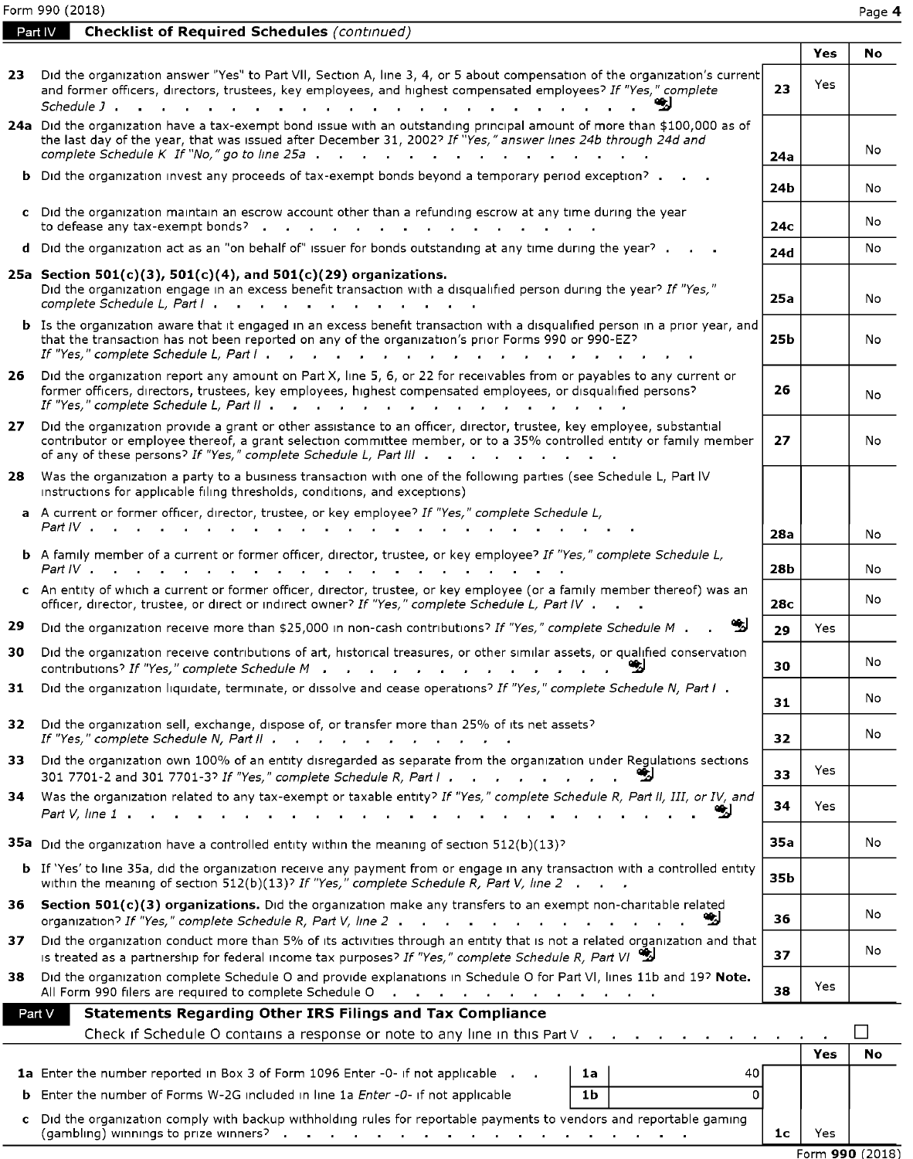Form 990 (2018) Page **4** 

**Part IV Checklist of Required Schedules** (continued)

|     |                                                                                                                                                                                                                                                                                                                                                               |                 | Yes  | No. |
|-----|---------------------------------------------------------------------------------------------------------------------------------------------------------------------------------------------------------------------------------------------------------------------------------------------------------------------------------------------------------------|-----------------|------|-----|
| 23. | Did the organization answer "Yes" to Part VII, Section A, line 3, 4, or 5 about compensation of the organization's current<br>and former officers, directors, trustees, key employees, and highest compensated employees? If "Yes," complete<br>Schedule J.                                                                                                   | 23              | Yes  |     |
|     | 24a Did the organization have a tax-exempt bond issue with an outstanding principal amount of more than \$100,000 as of<br>the last day of the year, that was issued after December 31, 2002? If "Yes," answer lines 24b through 24d and<br>complete Schedule K If "No," go to line 25a.<br>$\cdots$                                                          | 24a             |      | No  |
|     | <b>b</b> Did the organization invest any proceeds of tax-exempt bonds beyond a temporary period exception? .                                                                                                                                                                                                                                                  | 24b             |      | No  |
|     | c Did the organization maintain an escrow account other than a refunding escrow at any time during the year<br>to defease any tax-exempt bonds?.<br>$\mathbf{r}$ , $\mathbf{r}$ , $\mathbf{r}$ , $\mathbf{r}$ , $\mathbf{r}$ , $\mathbf{r}$ , $\mathbf{r}$ , $\mathbf{r}$                                                                                     | 24с             |      | No  |
|     | d Did the organization act as an "on behalf of" issuer for bonds outstanding at any time during the year?.                                                                                                                                                                                                                                                    | 24d             |      | No  |
|     | 25a Section 501(c)(3), 501(c)(4), and 501(c)(29) organizations.<br>Did the organization engage in an excess benefit transaction with a disqualified person during the year? If "Yes,"                                                                                                                                                                         | 25a             |      | No  |
|     | <b>b</b> Is the organization aware that it engaged in an excess benefit transaction with a disqualified person in a prior year, and<br>that the transaction has not been reported on any of the organization's prior Forms 990 or 990-EZ?                                                                                                                     | 25b             |      | No  |
| 26  | Did the organization report any amount on Part X, line 5, 6, or 22 for receivables from or payables to any current or<br>former officers, directors, trustees, key employees, highest compensated employees, or disqualified persons?<br>If "Yes," complete Schedule L, Part II                                                                               | 26              |      | No  |
| 27  | Did the organization provide a grant or other assistance to an officer, director, trustee, key employee, substantial<br>contributor or employee thereof, a grant selection committee member, or to a 35% controlled entity or family member<br>of any of these persons? If "Yes," complete Schedule L, Part III $\cdot \cdot \cdot \cdot$ $\cdot \cdot \cdot$ | 27              |      | No  |
| 28. | Was the organization a party to a business transaction with one of the following parties (see Schedule L, Part IV<br>instructions for applicable filing thresholds, conditions, and exceptions)                                                                                                                                                               |                 |      |     |
|     | a A current or former officer, director, trustee, or key employee? If "Yes," complete Schedule L,<br>Part IV ,                                                                                                                                                                                                                                                | 28a             |      | No  |
|     | <b>b</b> A family member of a current or former officer, director, trustee, or key employee? If "Yes," complete Schedule L,<br>Part IV .                                                                                                                                                                                                                      | 28 <b>b</b>     |      | No  |
|     | c An entity of which a current or former officer, director, trustee, or key employee (or a family member thereof) was an<br>officer, director, trustee, or direct or indirect owner? If "Yes," complete Schedule L, Part IV                                                                                                                                   | 28 <sub>c</sub> |      | No  |
| 29  | Did the organization receive more than \$25,000 in non-cash contributions? If "Yes," complete Schedule M.                                                                                                                                                                                                                                                     | 29              | Yes  |     |
| 30  | Did the organization receive contributions of art, historical treasures, or other similar assets, or qualified conservation<br>contributions? If "Yes," complete Schedule M                                                                                                                                                                                   | 30              |      | No  |
| 31  | Did the organization liquidate, terminate, or dissolve and cease operations? If "Yes," complete Schedule N, Part I.                                                                                                                                                                                                                                           | 31              |      | No  |
| 32  | Did the organization sell, exchange, dispose of, or transfer more than 25% of its net assets?<br>If "Yes," complete Schedule N, Part II                                                                                                                                                                                                                       | 32              |      | No  |
| 33. | Did the organization own 100% of an entity disregarded as separate from the organization under Regulations sections<br>301 7701-2 and 301 7701-3? If "Yes," complete Schedule R, Part I                                                                                                                                                                       | 33              | Yes. |     |
| 34  | Was the organization related to any tax-exempt or taxable entity? If "Yes," complete Schedule R, Part II, III, or IV, and<br>Part V, line 1.                                                                                                                                                                                                                  | 34              | Yes  |     |
|     | <b>35a</b> Did the organization have a controlled entity within the meaning of section $512(b)(13)^{2}$                                                                                                                                                                                                                                                       | 35a             |      | No  |
|     | <b>b</b> If 'Yes' to line 35a, did the organization receive any payment from or engage in any transaction with a controlled entity<br>within the meaning of section 512(b)(13)? If "Yes," complete Schedule R, Part V, line 2.                                                                                                                                | 35b             |      |     |
| 36  | Section 501(c)(3) organizations. Did the organization make any transfers to an exempt non-charitable related<br>organization? If "Yes," complete Schedule R, Part V, line $2 \cdot \cdot \cdot \cdot \cdot$<br>-21                                                                                                                                            | 36              |      | No  |
| 37  | Did the organization conduct more than 5% of its activities through an entity that is not a related organization and that<br>is treated as a partnership for federal income tax purposes? If "Yes," complete Schedule R, Part VI                                                                                                                              | 37              |      | No  |
| 38. | Did the organization complete Schedule O and provide explanations in Schedule O for Part VI, lines 11b and 19? Note.<br>All Form 990 filers are required to complete Schedule O<br>the contract of the contract of the contract of the                                                                                                                        | 38              | Yes  |     |
|     | <b>Statements Regarding Other IRS Filings and Tax Compliance</b><br>Part V                                                                                                                                                                                                                                                                                    |                 |      |     |
|     | Check if Schedule O contains a response or note to any line in this Part $V \cdot \cdot \cdot$                                                                                                                                                                                                                                                                |                 |      |     |
|     |                                                                                                                                                                                                                                                                                                                                                               |                 | Yes  | No  |
|     | <b>1a</b> Enter the number reported in Box 3 of Form 1096 Enter -0- if not applicable .<br>40<br>1a<br>0<br><b>b</b> Enter the number of Forms W-2G included in line 1a <i>Enter -0-</i> if not applicable<br>1 <sub>b</sub>                                                                                                                                  |                 |      |     |
|     |                                                                                                                                                                                                                                                                                                                                                               |                 |      |     |
| c   | Did the organization comply with backup withholding rules for reportable payments to vendors and reportable gaming<br>(gambling) winnings to prize winners? $\cdot$                                                                                                                                                                                           | 1 <sub>c</sub>  | Yes  |     |

Form **990** (2018)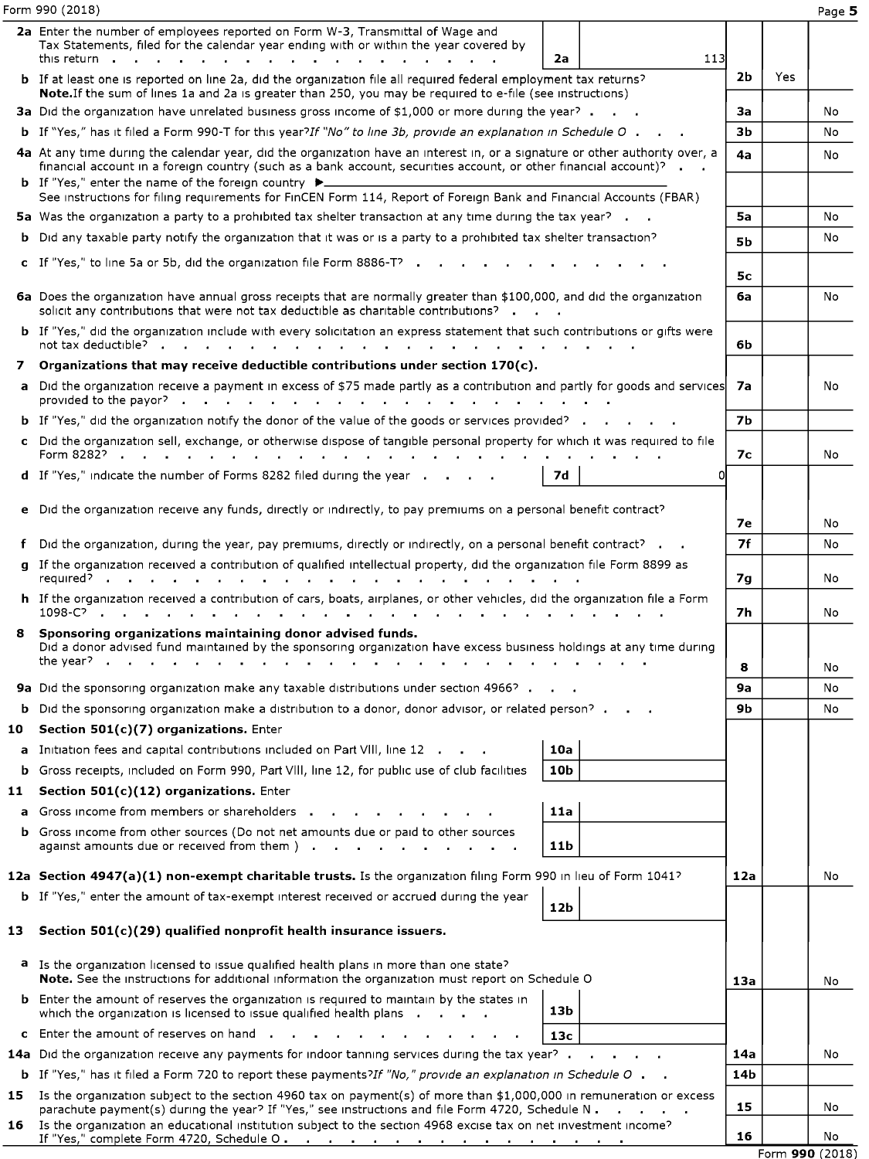Form 990 (2018)

|     | 2a Enter the number of employees reported on Form W-3, Transmittal of Wage and<br>Tax Statements, filed for the calendar year ending with or within the year covered by                                                                                                                                                                           |           |     |                 |
|-----|---------------------------------------------------------------------------------------------------------------------------------------------------------------------------------------------------------------------------------------------------------------------------------------------------------------------------------------------------|-----------|-----|-----------------|
|     | 113<br>this return <b>.</b><br>2a<br>$\mathbf{r}$ and $\mathbf{r}$ and $\mathbf{r}$ and $\mathbf{r}$                                                                                                                                                                                                                                              |           |     |                 |
|     | <b>b</b> If at least one is reported on line 2a, did the organization file all required federal employment tax returns?<br>Note. If the sum of lines 1a and 2a is greater than 250, you may be required to e-file (see instructions)                                                                                                              | 2b        | Yes |                 |
|     | 3a Did the organization have unrelated business gross income of \$1,000 or more during the year?                                                                                                                                                                                                                                                  | За        |     | No              |
|     | b If "Yes," has it filed a Form 990-T for this year?If "No" to line 3b, provide an explanation in Schedule O.                                                                                                                                                                                                                                     | Зb        |     | No              |
|     | 4a At any time during the calendar year, did the organization have an interest in, or a signature or other authority over, a<br>financial account in a foreign country (such as a bank account, securities account, or other financial account)? $\blacksquare$<br><b>b</b> If "Yes," enter the name of the foreign country $\blacktriangleright$ | 4a        |     | No              |
|     | See instructions for filing requirements for FinCEN Form 114, Report of Foreign Bank and Financial Accounts (FBAR)                                                                                                                                                                                                                                |           |     |                 |
|     | 5a Was the organization a party to a prohibited tax shelter transaction at any time during the tax year?                                                                                                                                                                                                                                          | 5a        |     | No              |
|     | <b>b</b> Did any taxable party notify the organization that it was or is a party to a prohibited tax shelter transaction?                                                                                                                                                                                                                         | <b>5b</b> |     | No              |
|     | c If "Yes," to line 5a or 5b, did the organization file Form 8886-T? $\cdot$                                                                                                                                                                                                                                                                      | 5с        |     |                 |
|     | 6a Does the organization have annual gross receipts that are normally greater than \$100,000, and did the organization<br>solicit any contributions that were not tax deductible as charitable contributions?                                                                                                                                     | бa        |     | No              |
|     | b If "Yes," did the organization include with every solicitation an express statement that such contributions or gifts were                                                                                                                                                                                                                       | 6b        |     |                 |
|     | 7 Organizations that may receive deductible contributions under section $170(c)$ .                                                                                                                                                                                                                                                                |           |     |                 |
|     | a Did the organization receive a payment in excess of \$75 made partly as a contribution and partly for goods and services                                                                                                                                                                                                                        | 7a        |     | No              |
|     | <b>b</b> If "Yes," did the organization notify the donor of the value of the goods or services provided?                                                                                                                                                                                                                                          | <b>7b</b> |     |                 |
|     | c Did the organization sell, exchange, or otherwise dispose of tangible personal property for which it was required to file                                                                                                                                                                                                                       | 7с        |     | No              |
|     | d If "Yes," indicate the number of Forms 8282 filed during the year<br><b>7d</b><br>Ω                                                                                                                                                                                                                                                             |           |     |                 |
|     | e Did the organization receive any funds, directly or indirectly, to pay premiums on a personal benefit contract?                                                                                                                                                                                                                                 | 7е        |     | No              |
|     | f Did the organization, during the year, pay premiums, directly or indirectly, on a personal benefit contract? $\cdot$                                                                                                                                                                                                                            | <b>7f</b> |     | No              |
|     | g If the organization received a contribution of qualified intellectual property, did the organization file Form 8899 as                                                                                                                                                                                                                          | 7g        |     | No              |
|     | h If the organization received a contribution of cars, boats, airplanes, or other vehicles, did the organization file a Form                                                                                                                                                                                                                      | 7h        |     | No              |
|     | 8 Sponsoring organizations maintaining donor advised funds.<br>Did a donor advised fund maintained by the sponsoring organization have excess business holdings at any time during                                                                                                                                                                | 8         |     | No              |
|     | 9a Did the sponsoring organization make any taxable distributions under section 4966?                                                                                                                                                                                                                                                             | 9a        |     | No              |
|     | <b>b</b> Did the sponsoring organization make a distribution to a donor, donor advisor, or related person?                                                                                                                                                                                                                                        | 9b        |     | No              |
|     | 10 Section 501(c)(7) organizations. Enter                                                                                                                                                                                                                                                                                                         |           |     |                 |
|     | 10a<br>a Initiation fees and capital contributions included on Part VIII. line 12                                                                                                                                                                                                                                                                 |           |     |                 |
|     | <b>b</b> Gross receipts, included on Form 990, Part VIII, line 12, for public use of club facilities<br>10 <sub>b</sub>                                                                                                                                                                                                                           |           |     |                 |
| 11  | Section 501(c)(12) organizations. Enter                                                                                                                                                                                                                                                                                                           |           |     |                 |
|     | a Gross income from members or shareholders<br>11a                                                                                                                                                                                                                                                                                                |           |     |                 |
|     | <b>b</b> Gross income from other sources (Do not net amounts due or paid to other sources<br>against amounts due or received from them $\mathfrak{f}$ . $\mathfrak{f}$<br>11b<br>$\sim 10$<br><b>Contract Contract</b>                                                                                                                            |           |     |                 |
|     | 12a Section 4947(a)(1) non-exempt charitable trusts. Is the organization filing Form 990 in lieu of Form 1041?                                                                                                                                                                                                                                    | 12a       |     | No              |
|     | <b>b</b> If "Yes," enter the amount of tax-exempt interest received or accrued during the year<br>12b                                                                                                                                                                                                                                             |           |     |                 |
| 13. | Section 501(c)(29) qualified nonprofit health insurance issuers.                                                                                                                                                                                                                                                                                  |           |     |                 |
|     | a Is the organization licensed to issue qualified health plans in more than one state?<br>Note. See the instructions for additional information the organization must report on Schedule O                                                                                                                                                        | 13a       |     | No              |
|     | <b>b</b> Enter the amount of reserves the organization is required to maintain by the states in<br>13b<br>which the organization is licensed to issue qualified health plans                                                                                                                                                                      |           |     |                 |
|     | c Enter the amount of reserves on hand.<br>13 <sub>c</sub>                                                                                                                                                                                                                                                                                        |           |     |                 |
|     | 14a Did the organization receive any payments for indoor tanning services during the tax year?.                                                                                                                                                                                                                                                   | 14a       |     | No              |
|     | <b>b</b> If "Yes," has it filed a Form 720 to report these payments?If "No," provide an explanation in Schedule O $\blacksquare$                                                                                                                                                                                                                  | 14b       |     |                 |
|     | 15 Is the organization subject to the section 4960 tax on payment(s) of more than \$1,000,000 in remuneration or excess<br>parachute payment(s) during the year? If "Yes," see instructions and file Form 4720, Schedule N.                                                                                                                       | 15        |     | No              |
| 16  | Is the organization an educational institution subject to the section 4968 excise tax on net investment income?                                                                                                                                                                                                                                   | 16        |     | No              |
|     |                                                                                                                                                                                                                                                                                                                                                   |           |     | Form 990 (2018) |

Page **5**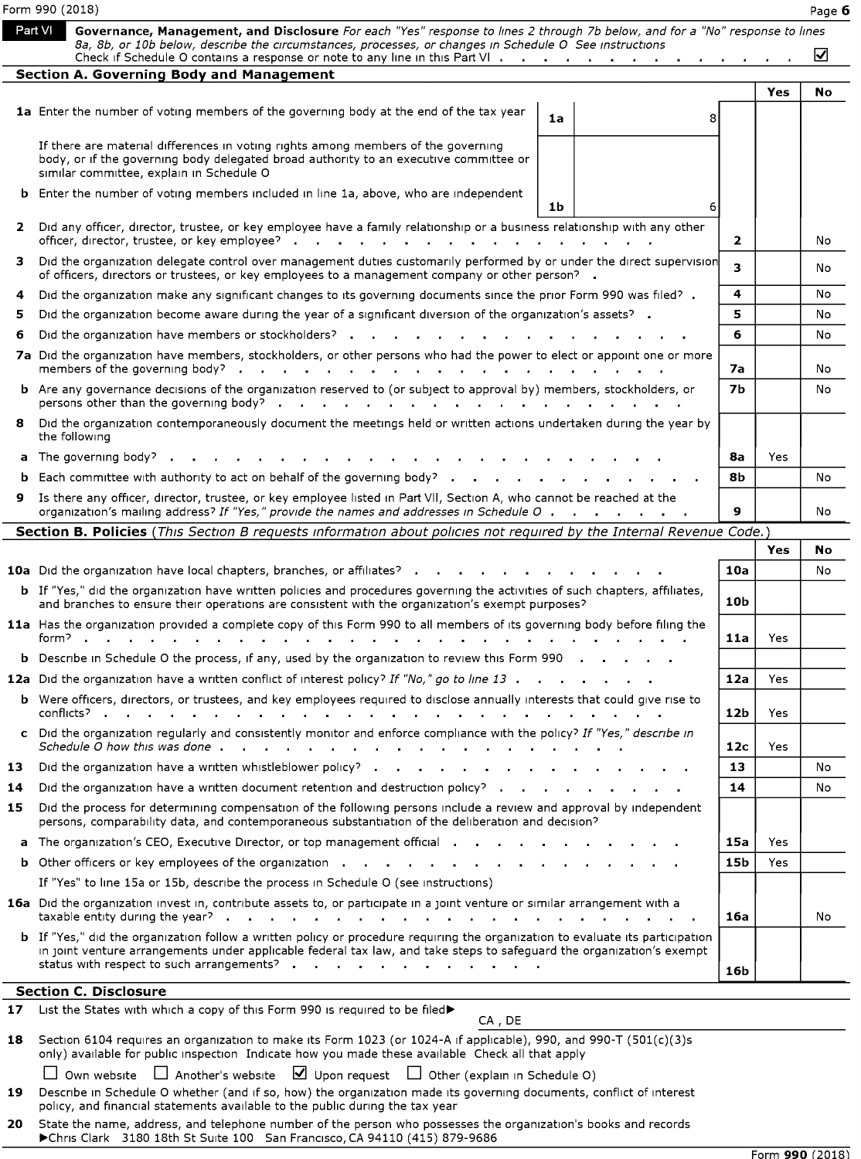|                | Form 990 (2018)<br>Part VI<br>Governance, Management, and Disclosure For each "Yes" response to lines 2 through 7b below, and for a "No" response to lines                                                                                                                                                                                                                                                                                                                                                                    |                        |            | Page 6   |
|----------------|-------------------------------------------------------------------------------------------------------------------------------------------------------------------------------------------------------------------------------------------------------------------------------------------------------------------------------------------------------------------------------------------------------------------------------------------------------------------------------------------------------------------------------|------------------------|------------|----------|
|                | 8a, 8b, or 10b below, describe the circumstances, processes, or changes in Schedule O See instructions<br>Check if Schedule O contains a response or note to any line in this Part VI<br>Section A. Governing Body and Management                                                                                                                                                                                                                                                                                             |                        | <b>Yes</b> | ☑<br>No  |
| b              | 1a Enter the number of voting members of the governing body at the end of the tax year<br>1a<br>я<br>If there are material differences in voting rights among members of the governing<br>body, or if the governing body delegated broad authority to an executive committee or<br>similar committee, explain in Schedule O<br>Enter the number of voting members included in line 1a, above, who are independent<br>1b<br>6                                                                                                  |                        |            |          |
| 2              | Did any officer, director, trustee, or key employee have a family relationship or a business relationship with any other<br>officer, director, trustee, or key employee?<br>3 Did the organization delegate control over management duties customarily performed by or under the direct supervision                                                                                                                                                                                                                           | $\mathbf{z}$<br>3      |            | No<br>No |
| 4<br>5         | of officers, directors or trustees, or key employees to a management company or other person? .<br>Did the organization make any significant changes to its governing documents since the prior Form 990 was filed? .<br>Did the organization become aware during the year of a significant diversion of the organization's assets?                                                                                                                                                                                           | 4<br>5                 |            | No<br>No |
| 6              | Did the organization have members or stockholders?<br>7a Did the organization have members, stockholders, or other persons who had the power to elect or appoint one or more<br>members of the governing body? $\cdot \cdot \cdot \cdot \cdot \cdot \cdot$<br>and a state of<br>$\mathbf{a}$ , $\mathbf{a}$                                                                                                                                                                                                                   | 6<br>7a                |            | No<br>No |
| a              | b Are any governance decisions of the organization reserved to (or subject to approval by) members, stockholders, or<br>8 Did the organization contemporaneously document the meetings held or written actions undertaken during the year by<br>the following<br>The governing body?                                                                                                                                                                                                                                          | 7 <sub>b</sub><br>8а   | Yes        | No       |
| b              | Each committee with authority to act on behalf of the governing body? $\cdots$ $\cdots$ $\cdots$ $\cdots$<br>9 Is there any officer, director, trustee, or key employee listed in Part VII, Section A, who cannot be reached at the<br>organization's mailing address? If "Yes," provide the names and addresses in Schedule O .<br>and a straight and a straight                                                                                                                                                             | 8b<br>9                |            | No<br>No |
|                | Section B. Policies (This Section B requests information about policies not required by the Internal Revenue Code.)<br><b>10a</b> Did the organization have local chapters, branches, or affiliates?                                                                                                                                                                                                                                                                                                                          | 10a                    | Yes        | No<br>No |
|                | b If "Yes," did the organization have written policies and procedures governing the activities of such chapters, affiliates,<br>and branches to ensure their operations are consistent with the organization's exempt purposes?<br>11a Has the organization provided a complete copy of this Form 990 to all members of its governing body before filing the<br>form?<br>the contract of the contract of the contract of the contract of the contract of the contract of the contract of<br>and the company of the company of | 10 <sub>b</sub><br>11a | Yes        |          |
|                |                                                                                                                                                                                                                                                                                                                                                                                                                                                                                                                               | 12a                    | Yes        |          |
|                | <b>b</b> Describe in Schedule O the process, if any, used by the organization to review this Form 990<br>12a Did the organization have a written conflict of interest policy? If "No," go to line 13<br>b Were officers, directors, or trustees, and key employees required to disclose annually interests that could give rise to                                                                                                                                                                                            |                        |            |          |
|                | conflicts?<br>c Did the organization regularly and consistently monitor and enforce compliance with the policy? If "Yes," describe in                                                                                                                                                                                                                                                                                                                                                                                         | 12b<br>12c             | Yes<br>Yes |          |
| 13<br>14<br>15 | Did the organization have a written whistleblower policy? $\cdot \cdot \cdot$ $\cdot \cdot$<br>Did the organization have a written document retention and destruction policy?<br>Did the process for determining compensation of the following persons include a review and approval by independent<br>persons, comparability data, and contemporaneous substantiation of the deliberation and decision?<br>a The organization's CEO, Executive Director, or top management official                                          | 13<br>14<br>15a        | Yes        | No<br>No |
|                | <b>b</b> Other officers or key employees of the organization $\cdot \cdot \cdot \cdot \cdot \cdot \cdot \cdot \cdot \cdot \cdot \cdot \cdot \cdot \cdot \cdot \cdot \cdot \cdot$<br>If "Yes" to line 15a or 15b, describe the process in Schedule O (see instructions)<br>16a Did the organization invest in, contribute assets to, or participate in a joint venture or similar arrangement with a<br>taxable entity during the year? $\cdot \cdot \cdot$ $\cdot \cdot \cdot$ $\cdot \cdot \cdot$ $\cdot \cdot \cdot$        | 15b<br>16a             | Yes        | No       |
|                | b If "Yes," did the organization follow a written policy or procedure requiring the organization to evaluate its participation<br>in joint venture arrangements under applicable federal tax law, and take steps to safeguard the organization's exempt<br>status with respect to such arrangements?                                                                                                                                                                                                                          | 16 <sub>b</sub>        |            |          |
| 17<br>18       | <b>Section C. Disclosure</b><br>List the States with which a copy of this Form 990 is required to be filed><br>CA, DE<br>Section 6104 requires an organization to make its Form 1023 (or 1024-A if applicable), 990, and 990-T (501(c)(3)s                                                                                                                                                                                                                                                                                    |                        |            |          |
| 19             | only) available for public inspection Indicate how you made these available Check all that apply<br>$\Box$ Own website $\Box$ Another's website $\Box$ Upon request $\Box$ Other (explain in Schedule O)<br>Describe in Schedule O whether (and if so, how) the organization made its governing documents, conflict of interest<br>policy, and financial statements available to the public during the tax year                                                                                                               |                        |            |          |

|  |  |  | $\Box$ Own website $\Box$ Another's website $\Box$ Upon request $\Box$ Other (explain in Schedule O) |
|--|--|--|------------------------------------------------------------------------------------------------------|
|--|--|--|------------------------------------------------------------------------------------------------------|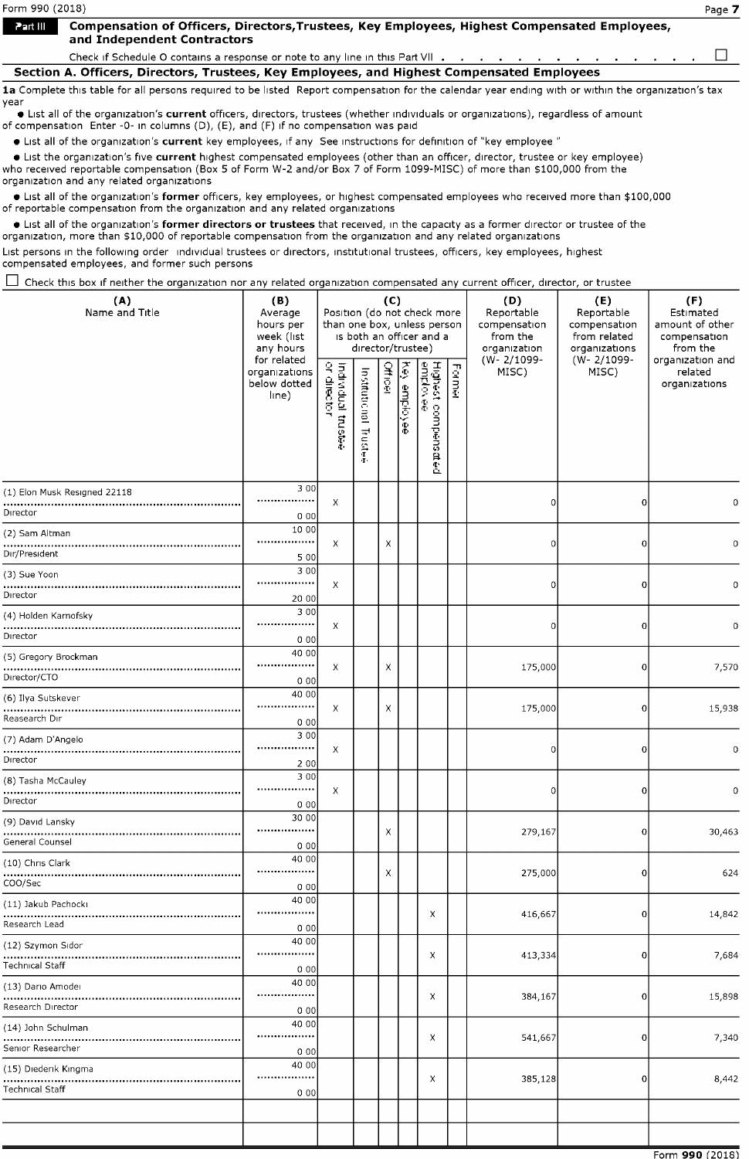1a Complete this table for all persons required to be listed Report compensation for the calendar year ending with or within the organization's tax year

• List all of the organization's **current** officers, directors, trustees (whether individuals or organizations), regardless of amount of compensation Enter -0- in columns (D), (E), and (F) 1f no compensation was paid

• List all of the organ1zat1on's **current** key employees, 1f any See instructions for def1nit1on of "key employee "

• List the organization's five **current** highest compensated employees (other than an officer, director, trustee or key employee) who received reportable compensation (Box 5 of Form W-2 and/or Box 7 of Form 1099-MISC) of more than \$100,000 from the organization and any related organizations

• List all of the organ1zat1on's **former** officers, key employees, or highest compensated employees who received more than \$100,000 of reportable compensation from the organization and any related organizations

• List all of the organ1zat1on's **former directors or trustees** that received, in the capacity as a former director or trustee of the organization, more than \$10,000 of reportable compensation from the organization and any related organizations

List persons in the following order individual trustees or directors, institutional trustees, officers, key employees, highest compensated employees, and former such persons

 $\Box$  Check this box if neither the organization nor any related organization compensated any current officer, director, or trustee

| (A)<br>Name and Title                  | (B)<br>Average<br>hours per<br>week (list<br>any hours<br>for related | Position (do not check more<br>than one box, unless person | director/trustee)               | (C)            |               | is both an officer and a        |        | (D)<br>Reportable<br>compensation<br>from the<br>organization<br>(W-2/1099- | (E)<br>Reportable<br>compensation<br>from related<br>organizations<br>(W-2/1099- | (F)<br>Estimated<br>amount of other<br>compensation<br>from the<br>organization and |
|----------------------------------------|-----------------------------------------------------------------------|------------------------------------------------------------|---------------------------------|----------------|---------------|---------------------------------|--------|-----------------------------------------------------------------------------|----------------------------------------------------------------------------------|-------------------------------------------------------------------------------------|
|                                        | organizations<br>below dotted<br>line)                                | Individual trustee<br>or director                          | Institutional<br>Trustek<br>۰۳. | <b>Officer</b> | Ŧ<br>employee | Highest compensated<br>employee | Former | MISC)                                                                       | MISC)                                                                            | related<br>organizations                                                            |
| (1) Elon Musk Resigned 22118           | 3 0 0<br>                                                             | Х                                                          |                                 |                |               |                                 |        | O                                                                           | 0                                                                                | 0                                                                                   |
| Director                               | 000                                                                   |                                                            |                                 |                |               |                                 |        |                                                                             |                                                                                  |                                                                                     |
| (2) Sam Altman                         | 10 00<br>.                                                            |                                                            |                                 |                |               |                                 |        |                                                                             |                                                                                  |                                                                                     |
| Dır/President                          | 5 00                                                                  | Х                                                          |                                 | $\times$       |               |                                 |        | n                                                                           | 0                                                                                | 0                                                                                   |
| (3) Sue Yoon                           | 3 0 0                                                                 |                                                            |                                 |                |               |                                 |        |                                                                             |                                                                                  |                                                                                     |
| Director                               | ,,,,,,,,,,,,,,,,,<br>20 00                                            | Х                                                          |                                 |                |               |                                 |        | 0                                                                           | 0                                                                                | $\mathbf 0$                                                                         |
| (4) Holden Karnofsky                   | 3 0 0                                                                 |                                                            |                                 |                |               |                                 |        |                                                                             |                                                                                  |                                                                                     |
| Director                               | <br>000                                                               | Х                                                          |                                 |                |               |                                 |        | n                                                                           | $\bf{0}$                                                                         | 0                                                                                   |
| (5) Gregory Brockman                   | 40 00                                                                 |                                                            |                                 |                |               |                                 |        |                                                                             |                                                                                  |                                                                                     |
| Director/CTO                           | <br>0 0 0                                                             | Х                                                          |                                 | Х              |               |                                 |        | 175,000                                                                     | 0                                                                                | 7,570                                                                               |
| (6) Ilya Sutskever                     | 40 00<br>                                                             |                                                            |                                 |                |               |                                 |        |                                                                             |                                                                                  |                                                                                     |
| Reasearch Dir                          | 000                                                                   | Х                                                          |                                 | Χ              |               |                                 |        | 175,000                                                                     | 0                                                                                | 15,938                                                                              |
| (7) Adam D'Angelo<br>.                 | 3 0 0                                                                 | Х                                                          |                                 |                |               |                                 |        | 0                                                                           | 0                                                                                | 0                                                                                   |
| Director                               | 2 0 0                                                                 |                                                            |                                 |                |               |                                 |        |                                                                             |                                                                                  |                                                                                     |
| (8) Tasha McCauley<br>Director         | 3 0 0<br><br>000                                                      | Х                                                          |                                 |                |               |                                 |        | n                                                                           | 0                                                                                | 0                                                                                   |
| (9) David Lansky<br>General Counsel    | 30 00<br><br>000                                                      |                                                            |                                 | Χ              |               |                                 |        | 279,167                                                                     | 0                                                                                | 30,463                                                                              |
| (10) Chris Clark<br><br>COO/Sec        | 40 00<br>                                                             |                                                            |                                 | Χ              |               |                                 |        | 275,000                                                                     | 0                                                                                | 624                                                                                 |
| (11) Jakub Pachocki                    | 000<br>40 00                                                          |                                                            |                                 |                |               |                                 |        |                                                                             |                                                                                  |                                                                                     |
| Research Lead                          | <br>000                                                               |                                                            |                                 |                |               | X                               |        | 416,667                                                                     | 0                                                                                | 14,842                                                                              |
| (12) Szymon Sıdor<br>Technical Staff   | 40 00<br><br>000                                                      |                                                            |                                 |                |               | Х                               |        | 413,334                                                                     | 0                                                                                | 7,684                                                                               |
| (13) Dario Amodei<br>Research Director | 40 00<br><br>000                                                      |                                                            |                                 |                |               | Х                               |        | 384,167                                                                     | 0                                                                                | 15,898                                                                              |
| (14) John Schulman                     | 40 00                                                                 |                                                            |                                 |                |               |                                 |        |                                                                             |                                                                                  |                                                                                     |
| Senior Researcher                      | <br>000                                                               |                                                            |                                 |                |               | Х                               |        | 541,667                                                                     | 0                                                                                | 7,340                                                                               |
| (15) Diederik Kingma                   | 40 00<br>                                                             |                                                            |                                 |                |               | Х                               |        | 385,128                                                                     | 0                                                                                | 8,442                                                                               |
| <b>Technical Staff</b>                 | 000                                                                   |                                                            |                                 |                |               |                                 |        |                                                                             |                                                                                  |                                                                                     |
|                                        |                                                                       |                                                            |                                 |                |               |                                 |        |                                                                             |                                                                                  |                                                                                     |
|                                        |                                                                       |                                                            |                                 |                |               |                                 |        |                                                                             |                                                                                  |                                                                                     |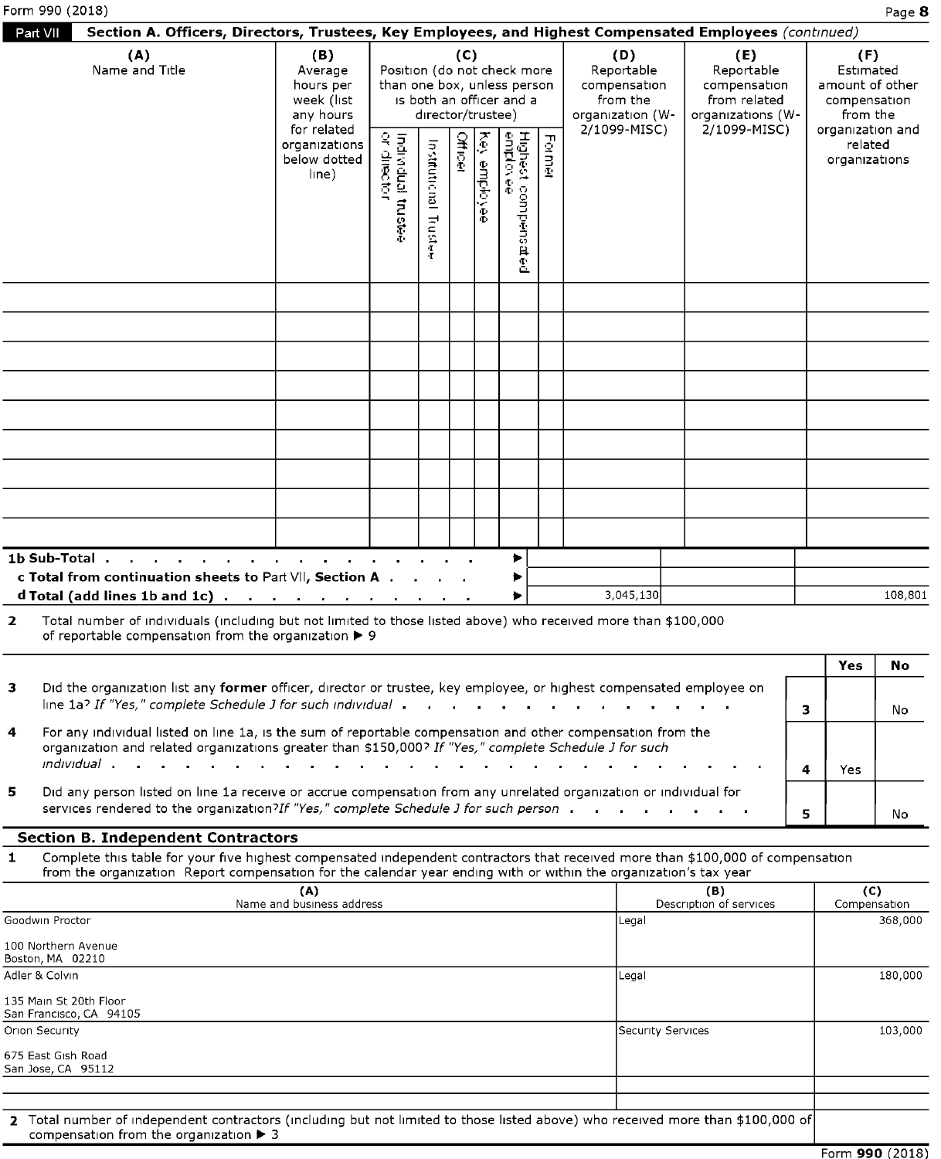|                                                                                                                                                                                                                                                                                                   |                                                                         |                                   |                                                                                                                 |         |                     |                                                            |        |                                               |                                                   |               | Page 8                                                                   |
|---------------------------------------------------------------------------------------------------------------------------------------------------------------------------------------------------------------------------------------------------------------------------------------------------|-------------------------------------------------------------------------|-----------------------------------|-----------------------------------------------------------------------------------------------------------------|---------|---------------------|------------------------------------------------------------|--------|-----------------------------------------------|---------------------------------------------------|---------------|--------------------------------------------------------------------------|
| Section A. Officers, Directors, Trustees, Key Employees, and Highest Compensated Employees (continued)<br>(A)<br>Name and Title                                                                                                                                                                   | (B)<br>Average<br>hours per                                             |                                   |                                                                                                                 | (C)     |                     | Position (do not check more<br>than one box, unless person |        | (D)<br>Reportable<br>compensation<br>from the | (E)<br>Reportable<br>compensation                 |               | (F)<br>Estimated<br>amount of other                                      |
|                                                                                                                                                                                                                                                                                                   | week (list<br>any hours<br>for related<br>organizations<br>below dotted |                                   | director/trustee)                                                                                               |         |                     | is both an officer and a                                   |        | organization (W-<br>2/1099-MISC)              | from related<br>organizations (W-<br>2/1099-MISC) |               | compensation<br>from the<br>organization and<br>related<br>organizations |
|                                                                                                                                                                                                                                                                                                   | line)                                                                   | Individual trustee<br>or director |                                                                                                                 | Officer | <b>Key employee</b> |                                                            | Former |                                               |                                                   |               |                                                                          |
| Part VII                                                                                                                                                                                                                                                                                          |                                                                         |                                   | Institutional Trustee                                                                                           |         |                     | Highest compensated<br> eniplovee                          |        |                                               |                                                   |               |                                                                          |
|                                                                                                                                                                                                                                                                                                   |                                                                         |                                   |                                                                                                                 |         |                     |                                                            |        |                                               |                                                   |               |                                                                          |
|                                                                                                                                                                                                                                                                                                   |                                                                         |                                   |                                                                                                                 |         |                     |                                                            |        |                                               |                                                   |               |                                                                          |
|                                                                                                                                                                                                                                                                                                   |                                                                         |                                   |                                                                                                                 |         |                     |                                                            |        |                                               |                                                   |               |                                                                          |
| $\sim$<br>$\sim 10^{-1}$<br><b>College</b><br>$\sim$ 100 $\pm$                                                                                                                                                                                                                                    | $\mathbf{a} = \mathbf{a} \cdot \mathbf{a}$<br>$\sim 10^{-1}$<br>$\sim$  | $\sim$                            | $\begin{array}{cccccccccccccc} \bullet & \bullet & \bullet & \bullet & \bullet & \bullet & \bullet \end{array}$ |         |                     | Þ.                                                         |        |                                               |                                                   |               |                                                                          |
| c Total from continuation sheets to Part VII, Section A<br>d Total (add lines 1b and 1c)<br>Total number of individuals (including but not limited to those listed above) who received more than \$100,000                                                                                        |                                                                         |                                   |                                                                                                                 |         |                     | ▶<br>▶                                                     |        | 3,045,130                                     |                                                   |               | 108,801                                                                  |
| of reportable compensation from the organization > 9<br>Did the organization list any former officer, director or trustee, key employee, or highest compensated employee on                                                                                                                       |                                                                         |                                   |                                                                                                                 |         |                     |                                                            |        |                                               |                                                   | Yes           | No                                                                       |
| line 1a? If "Yes," complete Schedule J for such individual .<br>For any individual listed on line 1a, is the sum of reportable compensation and other compensation from the<br>organization and related organizations greater than \$150,000? If "Yes," complete Schedule J for such              |                                                                         |                                   |                                                                                                                 |         |                     |                                                            |        |                                               |                                                   | 3             | No                                                                       |
| <i>individual</i> .<br>$\mathbf{r}$<br>$\sim$<br>$\sim$<br>Did any person listed on line 1a receive or accrue compensation from any unrelated organization or individual for<br>services rendered to the organization?If "Yes," complete Schedule J for such person                               |                                                                         |                                   |                                                                                                                 |         |                     |                                                            |        |                                               |                                                   | 4<br>Yes<br>5 | No                                                                       |
| <b>Section B. Independent Contractors</b><br>Complete this table for your five highest compensated independent contractors that received more than \$100,000 of compensation<br>from the organization Report compensation for the calendar year ending with or within the organization's tax year |                                                                         |                                   |                                                                                                                 |         |                     |                                                            |        |                                               |                                                   |               |                                                                          |
|                                                                                                                                                                                                                                                                                                   | (A)<br>Name and business address                                        |                                   |                                                                                                                 |         |                     |                                                            |        | Legal                                         | (B)<br>Description of services                    |               | (C)<br>Compensation<br>368,000                                           |
|                                                                                                                                                                                                                                                                                                   |                                                                         |                                   |                                                                                                                 |         |                     |                                                            |        | Legal                                         |                                                   |               | 180,000                                                                  |
| Form 990 (2018)<br>1b Sub-Total .<br>$\mathbf{2}$<br>з.<br>4<br>5<br>$\mathbf{1}$<br>Goodwin Proctor<br>100 Northern Avenue<br>Boston, MA 02210<br>Adler & Colvin<br>135 Main St 20th Floor<br>San Francisco, CA 94105<br>Orion Security<br>675 East Gish Road                                    |                                                                         |                                   |                                                                                                                 |         |                     |                                                            |        | Security Services                             |                                                   |               | 103,000                                                                  |

|   | 1b Sub-Total<br>c Total from continuation sheets to Part VII, Section A $\cdot \cdot \cdot$<br>d Total (add lines 1b and 1c) $\cdots$ $\cdots$ $\cdots$ $\cdots$ $\cdots$ $\cdots$                                                    |  |  |  | 3,045,130 |  |     | 108,801   |  |
|---|---------------------------------------------------------------------------------------------------------------------------------------------------------------------------------------------------------------------------------------|--|--|--|-----------|--|-----|-----------|--|
| 2 | Total number of individuals (including but not limited to those listed above) who received more than \$100,000<br>of reportable compensation from the organization ▶ 9                                                                |  |  |  |           |  |     |           |  |
| 3 | Did the organization list any former officer, director or trustee, key employee, or highest compensated employee on<br>line 1a? If "Yes," complete Schedule J for such individual in the content of the content of the content of the |  |  |  |           |  | Yes | No.<br>No |  |
|   |                                                                                                                                                                                                                                       |  |  |  |           |  |     |           |  |

|              | 1b Sub-Total                                                                                                                                                                                                         |  |  |        |  |           |  |   |      |         |
|--------------|----------------------------------------------------------------------------------------------------------------------------------------------------------------------------------------------------------------------|--|--|--------|--|-----------|--|---|------|---------|
|              | c Total from continuation sheets to Part VII, Section A<br>d Total (add lines 1b and 1c) $\cdots$ $\cdots$ $\cdots$ $\cdots$ $\cdots$ $\cdots$                                                                       |  |  | ∙<br>▶ |  | 3,045,130 |  |   |      | 108,801 |
| $\mathbf{z}$ | Total number of individuals (including but not limited to those listed above) who received more than \$100,000<br>of reportable compensation from the organization > 9                                               |  |  |        |  |           |  |   |      |         |
|              |                                                                                                                                                                                                                      |  |  |        |  |           |  |   | Yes  | No.     |
| 3.           | Did the organization list any former officer, director or trustee, key employee, or highest compensated employee on                                                                                                  |  |  |        |  |           |  |   |      |         |
|              | line 1a? If "Yes," complete Schedule J for such individual                                                                                                                                                           |  |  |        |  |           |  | з |      | No      |
| 4            | For any individual listed on line 1a, is the sum of reportable compensation and other compensation from the<br>organization and related organizations greater than \$150,000? If "Yes," complete Schedule J for such |  |  |        |  |           |  |   |      |         |
|              |                                                                                                                                                                                                                      |  |  |        |  |           |  | 4 | Yes. |         |
| 5            | Did any person listed on line 1a receive or accrue compensation from any unrelated organization or individual for                                                                                                    |  |  |        |  |           |  |   |      |         |
|              | services rendered to the organization?If "Yes," complete Schedule J for such person                                                                                                                                  |  |  |        |  |           |  | 5 |      | No      |

## Section B. Independent Contractors **Section B. Independent Contractors**

| (A)                                                                                                                             | (B)                     | (C)          |
|---------------------------------------------------------------------------------------------------------------------------------|-------------------------|--------------|
| Name and business address                                                                                                       | Description of services | Compensation |
| Goodwin Proctor                                                                                                                 | Legal                   | 368,000      |
| 100 Northern Avenue<br>Boston, MA 02210                                                                                         |                         |              |
| Adler & Colvin                                                                                                                  | Legal                   | 180,000      |
| 135 Main St 20th Floor<br>San Francisco, CA 94105                                                                               |                         |              |
| Orion Security                                                                                                                  | Security Services       | 103,000      |
| 675 East Gish Road<br>San Jose, CA 95112                                                                                        |                         |              |
|                                                                                                                                 |                         |              |
|                                                                                                                                 |                         |              |
| 2 Total number of independent contractors (including but not limited to those listed above) who received more than \$100,000 of |                         |              |

Form named of independent contractors (including but not infined to those listed above) who received more than \$100,000 or Form 990 (2018) **2** Total number of independent contractors (including but not limited to those listed above) who received more than \$100,000 of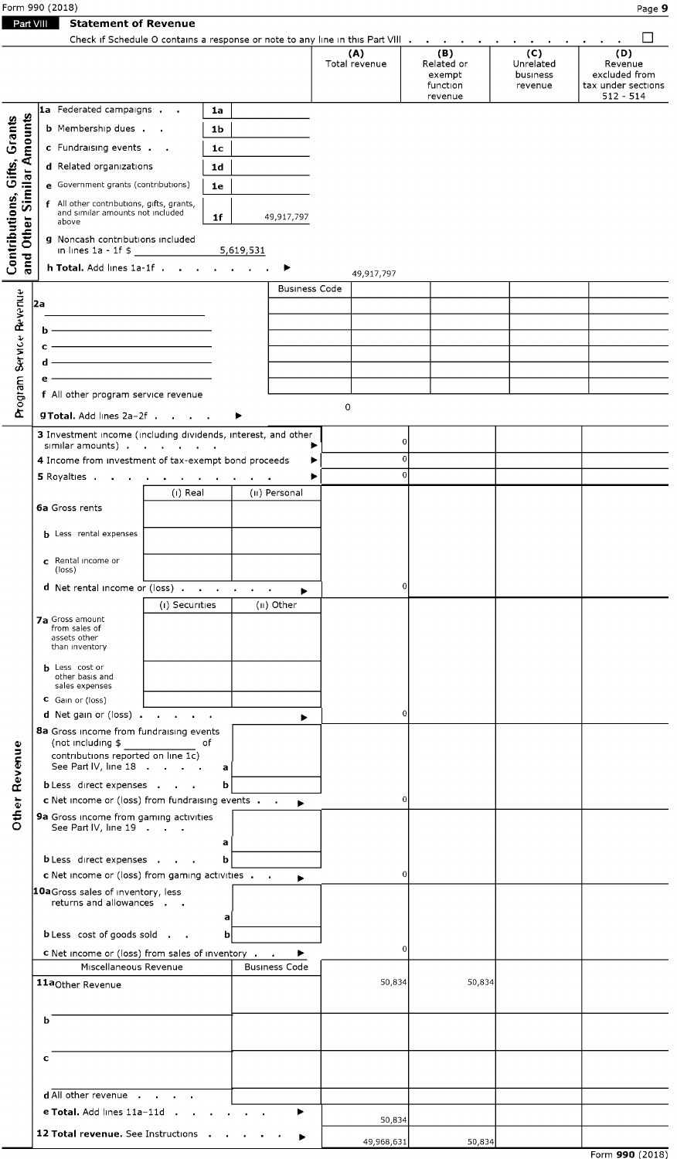| Form 990 (2018) | - Page <sub>&gt;</sub> |
|-----------------|------------------------|
|                 |                        |

|--|

|                              | Form 990 (2018)                                                                                                                                                                                                                                                   |                                        |                         |                                     |                               |                               |                               | Page 9                                             |
|------------------------------|-------------------------------------------------------------------------------------------------------------------------------------------------------------------------------------------------------------------------------------------------------------------|----------------------------------------|-------------------------|-------------------------------------|-------------------------------|-------------------------------|-------------------------------|----------------------------------------------------|
| Part VIII                    | <b>Statement of Revenue</b><br>Check if Schedule O contains a response or note to any line in this Part VIII                                                                                                                                                      |                                        |                         |                                     | (A)<br>Total revenue          | (B)<br>Related or             | $\overline{(c)}$<br>Unrelated | ΙI<br>(D)<br>Revenue                               |
|                              | 1a Federated campaigns                                                                                                                                                                                                                                            | 1a                                     |                         |                                     |                               | exempt<br>function<br>revenue | business<br>revenue           | excluded from<br>tax under sections<br>$512 - 514$ |
| <b>Other Similar Amounts</b> | <b>b</b> Membership dues<br>c Fundraising events<br>d Related organizations                                                                                                                                                                                       | 1 <sub>b</sub><br>1 <sub>c</sub><br>1d |                         |                                     |                               |                               |                               |                                                    |
|                              | e Government grants (contributions)<br>f All other contributions, gifts, grants,<br>and similar amounts not included                                                                                                                                              | 1e                                     |                         |                                     |                               |                               |                               |                                                    |
| Contributions, Gifts, Grants | above<br>g Noncash contributions included                                                                                                                                                                                                                         | 1f                                     | 5,619,531               | 49,917,797                          |                               |                               |                               |                                                    |
| and                          | h Total. Add lines 1a-1f<br>2a                                                                                                                                                                                                                                    |                                        |                         | ▶<br><b>Business Code</b>           | 49,917,797                    |                               |                               |                                                    |
| Program Service Revenue      | <u> 1989 - Johann Barn, mars ann an t-Aonaich an t-Aonaich an t-Aonaich an t-Aonaich an t-Aonaich ann an t-Aonaich</u><br><u> 1989 - Johann Barn, mars eta bainar eta idazlea (</u><br>ь.<br><u> 1989 - Johann Barn, fransk politik amerikansk politik (</u><br>c |                                        |                         |                                     |                               |                               |                               |                                                    |
|                              | <u> 1989 - Johann Barn, mars eta bainar eta idazlea (</u><br>d<br>e.<br>f All other program service revenue                                                                                                                                                       |                                        |                         |                                     |                               |                               |                               |                                                    |
|                              | <b>gTotal.</b> Add lines 2a-2f<br>3 Investment income (including dividends, interest, and other<br>similar amounts)                                                                                                                                               |                                        |                         | ▶                                   | 0                             | $\overline{0}$                |                               |                                                    |
|                              | 4 Income from investment of tax-exempt bond proceeds<br>5 Royalties<br>(i) Real                                                                                                                                                                                   |                                        | $\sim 100$ km s $^{-1}$ | ▶<br>▶<br>(II) Personal             | $\overline{0}$<br>$\mathbf 0$ |                               |                               |                                                    |
|                              | 6a Gross rents<br><b>b</b> Less rental expenses                                                                                                                                                                                                                   |                                        |                         |                                     |                               |                               |                               |                                                    |
|                              | c Rental income or<br>(loss)                                                                                                                                                                                                                                      |                                        |                         |                                     |                               | 0                             |                               |                                                    |
|                              |                                                                                                                                                                                                                                                                   |                                        |                         | $\blacktriangleright$<br>(II) Other |                               |                               |                               |                                                    |
|                              | d Net rental income or (loss)<br>(i) Securities<br><b>7a</b> Gross amount<br>from sales of                                                                                                                                                                        |                                        |                         |                                     |                               |                               |                               |                                                    |
|                              | assets other<br>than inventory<br><b>b</b> Less cost or<br>other basis and                                                                                                                                                                                        |                                        |                         |                                     |                               |                               |                               |                                                    |
|                              | sales expenses<br>C Gain or (loss)<br>d Net gain or (loss)                                                                                                                                                                                                        |                                        |                         | ▶                                   |                               | 0                             |                               |                                                    |
|                              | 8a Gross income from fundraising events<br>(not including $$$<br>_____________________ of<br>contributions reported on line $1c$ )<br>See Part IV, line 18                                                                                                        | $\mathbf{a}$                           |                         |                                     |                               |                               |                               |                                                    |
|                              | <b>b</b> Less direct expenses<br>c Net income or (loss) from fundraising events                                                                                                                                                                                   | ь                                      |                         | ▶                                   |                               | 0                             |                               |                                                    |
| <b>Other Revenue</b>         | 9a Gross income from gaming activities<br>See Part IV, line 19<br><b>b</b> Less direct expenses                                                                                                                                                                   | a<br>b                                 |                         |                                     |                               |                               |                               |                                                    |
|                              | c Net income or (loss) from gaming activities<br>10aGross sales of inventory, less<br>returns and allowances                                                                                                                                                      |                                        |                         | ▶                                   |                               | 0                             |                               |                                                    |
|                              | b Less cost of goods sold<br><b>c</b> Net income or (loss) from sales of inventory                                                                                                                                                                                | a <br>$\mathbf b$                      |                         | ▶                                   |                               | 0                             |                               |                                                    |
|                              | Miscellaneous Revenue<br>11a <sub>Other</sub> Revenue                                                                                                                                                                                                             |                                        |                         | <b>Business Code</b>                | 50,834                        | 50,834                        |                               |                                                    |
|                              | ь                                                                                                                                                                                                                                                                 |                                        |                         |                                     |                               |                               |                               |                                                    |
|                              | c<br>d All other revenue                                                                                                                                                                                                                                          |                                        |                         |                                     |                               |                               |                               |                                                    |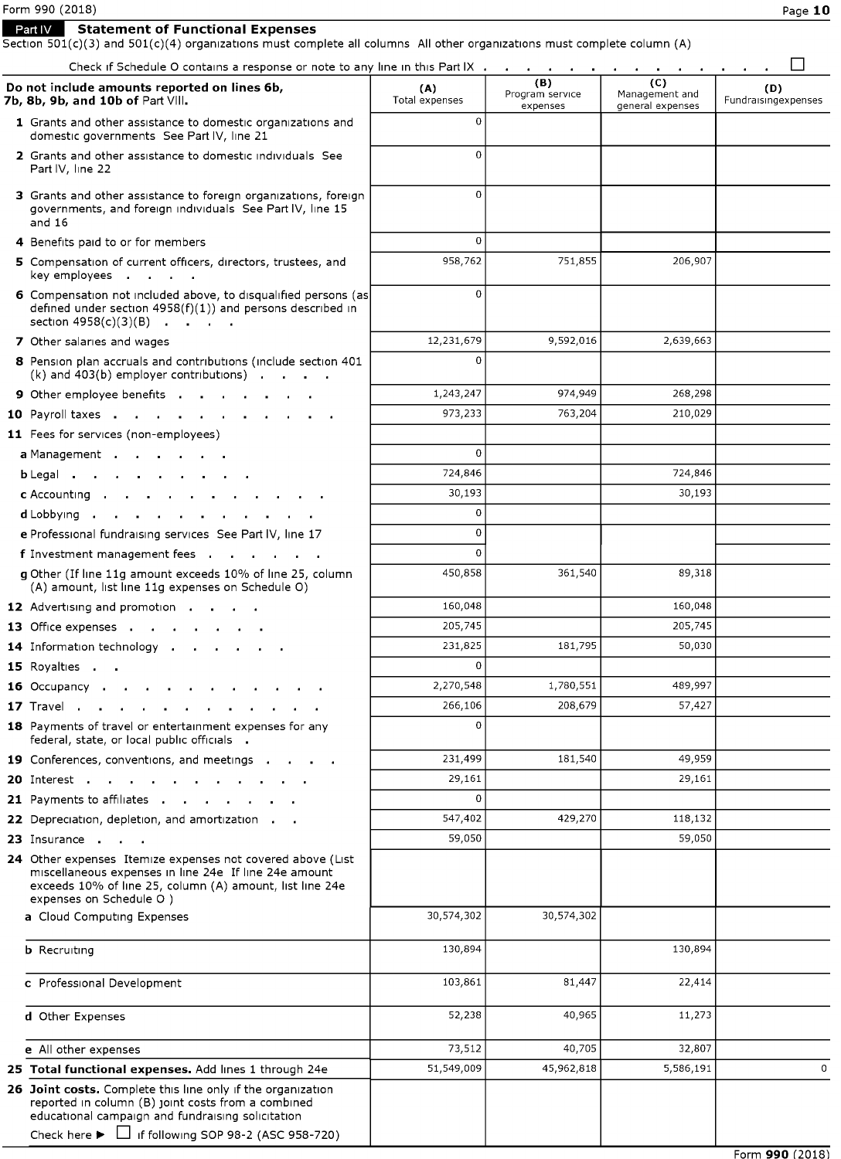Form **990** (2018)

**Mightary Expenses Part IV Statement of Functional Expenses** 

Section 501(c)(3) and 501(c)(4) organizations must complete all columns All other organizations must complete column (A)

| Check if Schedule O contains a response or note to any line in this Part IX                                                                                                                                                                           |                       |                                    | $\sim$<br><b>Contract</b><br>$\sim$ 10 $\pm$ |                            |
|-------------------------------------------------------------------------------------------------------------------------------------------------------------------------------------------------------------------------------------------------------|-----------------------|------------------------------------|----------------------------------------------|----------------------------|
| Do not include amounts reported on lines 6b,<br>7b, 8b, 9b, and 10b of Part VIII.                                                                                                                                                                     | (A)<br>Total expenses | (B)<br>Program service<br>expenses | (C)<br>Management and<br>general expenses    | (D)<br>Fundraisingexpenses |
| 1 Grants and other assistance to domestic organizations and<br>domestic governments See Part IV, line 21                                                                                                                                              | $\Omega$              |                                    |                                              |                            |
| 2 Grants and other assistance to domestic individuals See<br>Part IV, line 22                                                                                                                                                                         | $\mathbf 0$           |                                    |                                              |                            |
| 3 Grants and other assistance to foreign organizations, foreign<br>governments, and foreign individuals See Part IV, line 15<br>and 16                                                                                                                | $\Omega$              |                                    |                                              |                            |
| 4 Benefits paid to or for members                                                                                                                                                                                                                     | $\Omega$              |                                    |                                              |                            |
| 5 Compensation of current officers, directors, trustees, and<br>key employees <b>.</b>                                                                                                                                                                | 958,762               | 751,855                            | 206,907                                      |                            |
| 6 Compensation not included above, to disqualified persons (as<br>defined under section $4958(f)(1)$ ) and persons described in<br>section $4958(c)(3)(B)$                                                                                            | $\mathbf 0$           |                                    |                                              |                            |
| 7 Other salaries and wages                                                                                                                                                                                                                            | 12,231,679            | 9,592,016                          | 2,639,663                                    |                            |
| 8 Pension plan accruals and contributions (include section 401<br>$(k)$ and 403(b) employer contributions).                                                                                                                                           | $\Omega$              |                                    |                                              |                            |
| 9 Other employee benefits                                                                                                                                                                                                                             | 1,243,247             | 974,949                            | 268,298                                      |                            |
| 10 Payroll taxes.                                                                                                                                                                                                                                     | 973,233               | 763,204                            | 210,029                                      |                            |
| 11 Fees for services (non-employees)                                                                                                                                                                                                                  |                       |                                    |                                              |                            |
| <b>a</b> Management                                                                                                                                                                                                                                   | $\Omega$              |                                    |                                              |                            |
| $b$ Legal.<br>$\sim$ 10 $\pm$                                                                                                                                                                                                                         | 724,846               |                                    | 724,846                                      |                            |
| c Accounting .                                                                                                                                                                                                                                        | 30,193                |                                    | 30,193                                       |                            |
| $d$ Lobbying $\ldots$<br><b>Contract Contract</b><br>$\sim$                                                                                                                                                                                           | 0                     |                                    |                                              |                            |
| e Professional fundraising services See Part IV, line 17                                                                                                                                                                                              | $\mathbf 0$           |                                    |                                              |                            |
| f Investment management fees                                                                                                                                                                                                                          | $\Omega$              |                                    |                                              |                            |
| <b>g</b> Other (If line 11g amount exceeds 10% of line 25, column<br>(A) amount, list line 11g expenses on Schedule O)                                                                                                                                | 450,858               | 361,540                            | 89,318                                       |                            |
| 12 Advertising and promotion                                                                                                                                                                                                                          | 160,048               |                                    | 160,048                                      |                            |
| <b>13</b> Office expenses                                                                                                                                                                                                                             | 205,745               |                                    | 205,745                                      |                            |
| 14 Information technology .                                                                                                                                                                                                                           | 231,825               | 181,795                            | 50,030                                       |                            |
| 15 Royalties .                                                                                                                                                                                                                                        | $\Omega$              |                                    |                                              |                            |
| <b>16</b> Occupancy .                                                                                                                                                                                                                                 | 2,270,548             | 1,780,551                          | 489,997                                      |                            |
| 17 Travel                                                                                                                                                                                                                                             | 266,106               | 208,679                            | 57,427                                       |                            |
| 18 Payments of travel or entertainment expenses for any<br>federal, state, or local public officials                                                                                                                                                  | $\Omega$              |                                    |                                              |                            |
| 19 Conferences, conventions, and meetings                                                                                                                                                                                                             | 231,499               | 181,540                            | 49,959                                       |                            |
| <b>20</b> Interest                                                                                                                                                                                                                                    | 29,161                |                                    | 29,161                                       |                            |
| 21 Payments to affiliates                                                                                                                                                                                                                             | $\Omega$              |                                    |                                              |                            |
| 22 Depreciation, depletion, and amortization.                                                                                                                                                                                                         | 547,402               | 429,270                            | 118,132                                      |                            |
| 23 Insurance                                                                                                                                                                                                                                          | 59,050                |                                    | 59,050                                       |                            |
| 24 Other expenses Itemize expenses not covered above (List<br>miscellaneous expenses in line 24e If line 24e amount<br>exceeds 10% of line 25, column (A) amount, list line 24e<br>expenses on Schedule O )                                           |                       |                                    |                                              |                            |
| a Cloud Computing Expenses                                                                                                                                                                                                                            | 30,574,302            | 30,574,302                         |                                              |                            |
| <b>b</b> Recruiting                                                                                                                                                                                                                                   | 130,894               |                                    | 130,894                                      |                            |
| c Professional Development                                                                                                                                                                                                                            | 103,861               | 81,447                             | 22,414                                       |                            |
| d Other Expenses                                                                                                                                                                                                                                      | 52,238                | 40,965                             | 11,273                                       |                            |
| e All other expenses                                                                                                                                                                                                                                  | 73,512                | 40,705                             | 32,807                                       |                            |
| 25 Total functional expenses. Add lines 1 through 24e                                                                                                                                                                                                 | 51,549,009            | 45,962,818                         | 5,586,191                                    | 0                          |
| 26 Joint costs. Complete this line only if the organization<br>reported in column (B) joint costs from a combined<br>educational campaign and fundraising solicitation<br>Check here $\blacktriangleright$ $\Box$ if following SOP 98-2 (ASC 958-720) |                       |                                    |                                              |                            |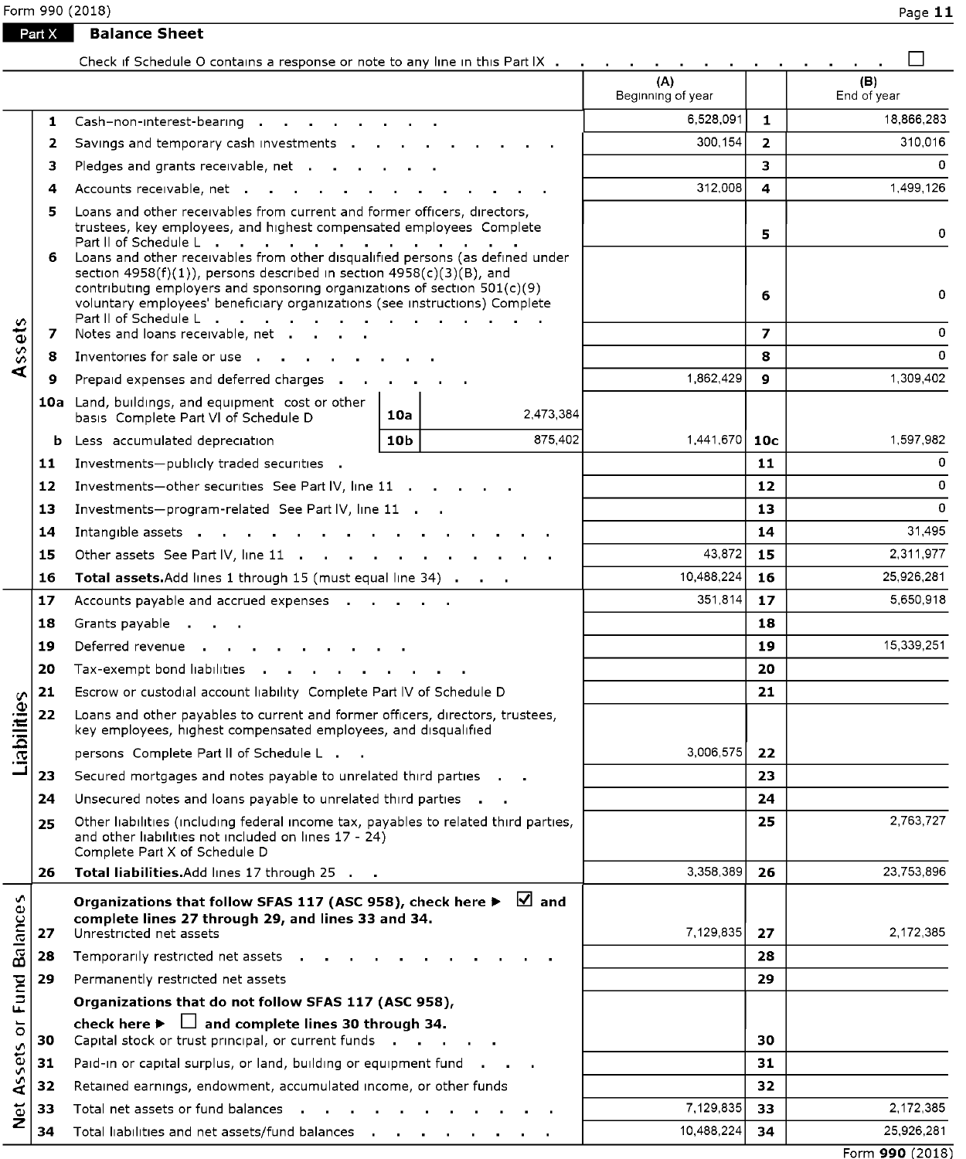Form 990 (2018) Page **11** 

**Part X Balance Sheet** 

|                         |        | Check if Schedule O contains a response or note to any line in this Part IX                                                                                                                                                                                                                        |            |                 |                          |                     |                    |
|-------------------------|--------|----------------------------------------------------------------------------------------------------------------------------------------------------------------------------------------------------------------------------------------------------------------------------------------------------|------------|-----------------|--------------------------|---------------------|--------------------|
|                         |        |                                                                                                                                                                                                                                                                                                    |            |                 | (A)<br>Beginning of year |                     | (B)<br>End of year |
|                         | 1      | Cash-non-interest-bearing                                                                                                                                                                                                                                                                          |            |                 | 6,528,091                | $\mathbf{1}$        | 18,866,283         |
|                         | 2      | Savings and temporary cash investments                                                                                                                                                                                                                                                             |            |                 | 300,154                  | $\overline{2}$      | 310,016            |
|                         | з      | Pledges and grants receivable, net                                                                                                                                                                                                                                                                 |            |                 |                          | з                   | 0                  |
| Assets                  | 4      | Accounts receivable, net                                                                                                                                                                                                                                                                           | 312,008    | 4               | 1,499,126                |                     |                    |
|                         | 5<br>6 | Loans and other receivables from current and former officers, directors,<br>trustees, key employees, and highest compensated employees Complete<br>Loans and other receivables from other disqualified persons (as defined under                                                                   |            | 5               | 0                        |                     |                    |
|                         | 7      | section $4958(f)(1)$ , persons described in section $4958(c)(3)(B)$ , and<br>contributing employers and sponsoring organizations of section $501(c)(9)$<br>voluntary employees' beneficiary organizations (see instructions) Complete<br>Part II of Schedule L<br>Notes and loans receivable, net. |            |                 |                          | 6<br>$\overline{ }$ | 0<br>$\mathbf 0$   |
|                         | 8      | Inventories for sale or use the control of the control of the control of the control of the control of the control of the control of the control of the control of the control of the control of the control of the control of                                                                     |            |                 |                          | 8                   | $\circ$            |
|                         | 9      | Prepaid expenses and deferred charges                                                                                                                                                                                                                                                              |            |                 | 1,862,429                | 9                   | 1,309,402          |
|                         |        | 10a Land, buildings, and equipment cost or other<br>basis Complete Part VI of Schedule D                                                                                                                                                                                                           | 10a        | 2,473,384       |                          |                     |                    |
|                         |        | <b>b</b> Less accumulated depreciation                                                                                                                                                                                                                                                             | 1,441,670  | 10 <sub>c</sub> | 1,597,982                |                     |                    |
|                         | 11     | Investments-publicly traded securities .                                                                                                                                                                                                                                                           |            | 11              | $\mathbf 0$              |                     |                    |
|                         | 12     | Investments-other securities See Part IV, line 11                                                                                                                                                                                                                                                  |            | 12              | $\mathbf 0$              |                     |                    |
|                         | 13     | Investments-program-related See Part IV, line 11                                                                                                                                                                                                                                                   |            |                 | 13                       | $\Omega$            |                    |
|                         | 14     | Intangible assets in the contract of the contract of the contract of the contract of the contract of the contract of the contract of the contract of the contract of the contract of the contract of the contract of the contr                                                                     |            | 14              | 31,495                   |                     |                    |
|                         | 15     | Other assets See Part IV, line 11                                                                                                                                                                                                                                                                  | 43,872     | 15              | 2,311,977                |                     |                    |
|                         | 16     | Total assets. Add lines 1 through 15 (must equal line 34)                                                                                                                                                                                                                                          | 10,488,224 | 16              | 25,926,281               |                     |                    |
|                         | 17     | Accounts payable and accrued expenses                                                                                                                                                                                                                                                              |            |                 | 351.814                  | 17                  | 5,650,918          |
|                         | 18     | Grants payable                                                                                                                                                                                                                                                                                     |            |                 | 18                       |                     |                    |
|                         | 19     | Deferred revenue                                                                                                                                                                                                                                                                                   |            |                 |                          | 19                  | 15,339,251         |
|                         | 20     | Tax-exempt bond liabilities                                                                                                                                                                                                                                                                        |            |                 |                          | 20                  |                    |
|                         | 21     | Escrow or custodial account liability Complete Part IV of Schedule D                                                                                                                                                                                                                               |            |                 |                          | 21                  |                    |
| Liabilities             | 22     | Loans and other payables to current and former officers, directors, trustees,<br>key employees, highest compensated employees, and disqualified                                                                                                                                                    |            |                 |                          |                     |                    |
|                         |        | persons Complete Part II of Schedule L                                                                                                                                                                                                                                                             |            |                 | 3,006,575                | 22                  |                    |
|                         | 23     | Secured mortgages and notes payable to unrelated third parties                                                                                                                                                                                                                                     |            |                 |                          | 23                  |                    |
|                         | 24     | Unsecured notes and loans payable to unrelated third parties                                                                                                                                                                                                                                       |            |                 |                          | 24                  |                    |
|                         | 25     | Other liabilities (including federal income tax, payables to related third parties,<br>and other liabilities not included on lines 17 - 24)<br>Complete Part X of Schedule D                                                                                                                       |            |                 |                          | 25                  | 2,763,727          |
|                         | 26     | Total liabilities. Add lines 17 through 25                                                                                                                                                                                                                                                         |            | 3,358,389       | 26                       | 23,753,896          |                    |
|                         |        |                                                                                                                                                                                                                                                                                                    |            |                 |                          |                     |                    |
| Assets or Fund Balances | 27     | Organizations that follow SFAS 117 (ASC 958), check here $\blacktriangleright \ \ \blacksquare$ and<br>complete lines 27 through 29, and lines 33 and 34.<br>Unrestricted net assets                                                                                                               |            |                 | 7,129,835                | 27                  | 2,172,385          |
|                         | 28     | Temporarily restricted net assets                                                                                                                                                                                                                                                                  |            |                 |                          | 28                  |                    |
|                         | 29     | Permanently restricted net assets                                                                                                                                                                                                                                                                  |            |                 |                          | 29                  |                    |
|                         |        | Organizations that do not follow SFAS 117 (ASC 958),                                                                                                                                                                                                                                               |            |                 |                          |                     |                    |
|                         | 30     | check here $\blacktriangleright \Box$ and complete lines 30 through 34.<br>Capital stock or trust principal, or current funds .                                                                                                                                                                    |            |                 |                          | 30                  |                    |
|                         | 31     | Paid-in or capital surplus, or land, building or equipment fund                                                                                                                                                                                                                                    |            |                 |                          | 31                  |                    |
|                         | 32     | Retained earnings, endowment, accumulated income, or other funds                                                                                                                                                                                                                                   |            |                 |                          | 32                  |                    |
|                         | 33     | Total net assets or fund balances                                                                                                                                                                                                                                                                  |            |                 | 7,129,835                | 33                  | 2,172,385          |
| ă                       | 34     | Total liabilities and net assets/fund balances<br>$\sim 10^{-10}$                                                                                                                                                                                                                                  |            |                 | 10,488,224               | 34                  | 25,926,281         |
|                         |        |                                                                                                                                                                                                                                                                                                    |            |                 |                          |                     |                    |

Form **990** (2018)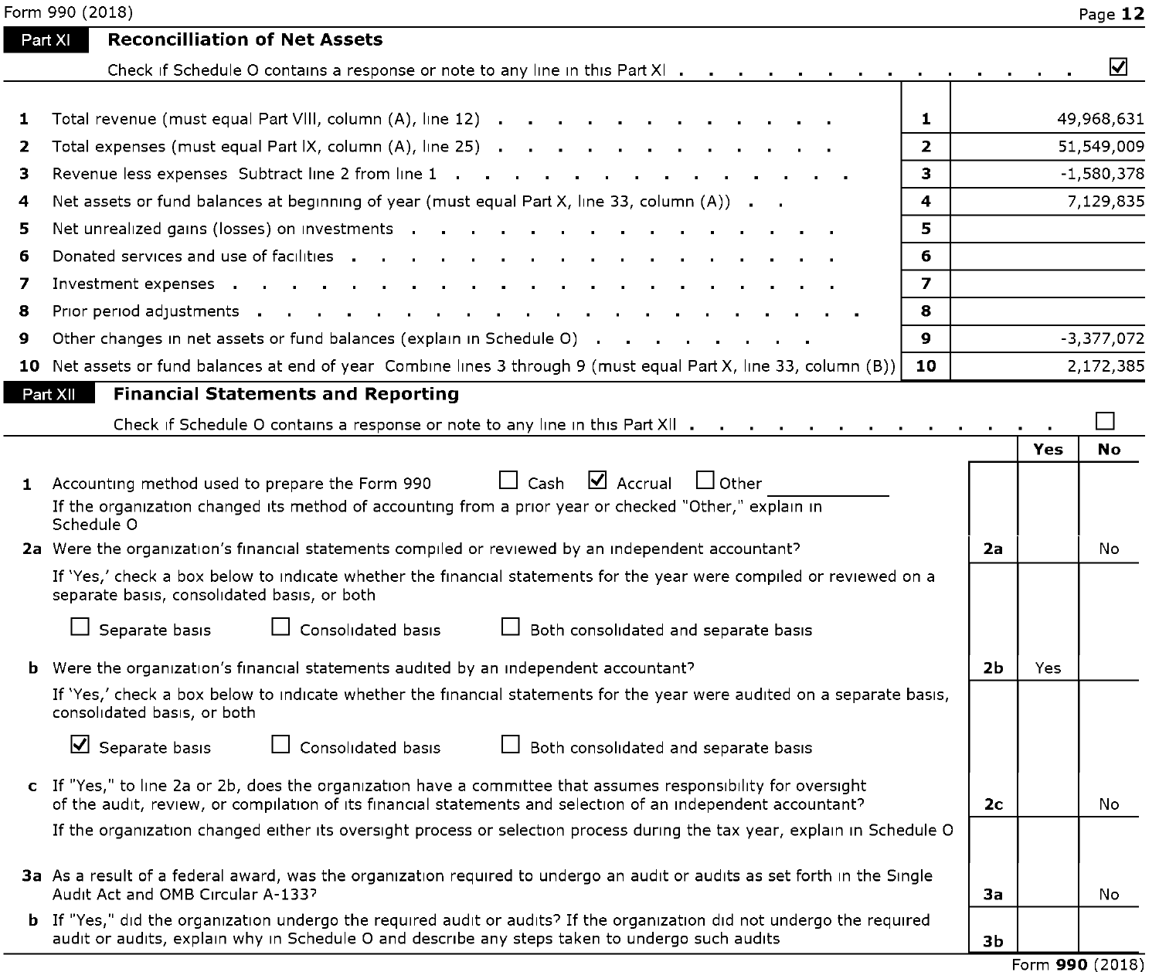|  | Form 990 (2018) |  |
|--|-----------------|--|
|  |                 |  |

|              | Form 990 (2018)                                                                                                                                                                                                                                                                                                          |                |                |     | Page 12      |
|--------------|--------------------------------------------------------------------------------------------------------------------------------------------------------------------------------------------------------------------------------------------------------------------------------------------------------------------------|----------------|----------------|-----|--------------|
|              | <b>Reconcilliation of Net Assets</b><br>Part XI                                                                                                                                                                                                                                                                          |                |                |     |              |
|              | Check if Schedule O contains a response or note to any line in this Part XI                                                                                                                                                                                                                                              |                |                |     | ☑            |
| 1            | Total revenue (must equal Part VIII, column (A), line 12)                                                                                                                                                                                                                                                                | $\mathbf{1}$   |                |     | 49,968,631   |
| $\mathbf{z}$ |                                                                                                                                                                                                                                                                                                                          | $\overline{2}$ |                |     | 51,549,009   |
| 3            | Revenue less expenses Subtract line 2 from line 1                                                                                                                                                                                                                                                                        | 3.             |                |     | $-1,580,378$ |
| 4            | Net assets or fund balances at beginning of year (must equal Part X, line 33, column $(A)$ ).                                                                                                                                                                                                                            | 4              |                |     | 7,129,835    |
| 5            |                                                                                                                                                                                                                                                                                                                          | 5              |                |     |              |
| 6            |                                                                                                                                                                                                                                                                                                                          | 6              |                |     |              |
| 7            | Investment expenses .<br>the company of the company of the company<br>$\mathbf{r}$ and $\mathbf{r}$ are a set of the set of the set of the set of the set of the set of the set of the set of the set of the set of the set of the set of the set of the set of the set of the set of the set of the set of<br>$\sim 10$ | $\overline{ }$ |                |     |              |
| 8            | Prior period adjustments and a series are a series of the series of the series of the series of the series of                                                                                                                                                                                                            | 8              |                |     |              |
| 9            | Other changes in net assets or fund balances (explain in Schedule O)                                                                                                                                                                                                                                                     | $\mathbf{Q}$   |                |     | $-3,377,072$ |
|              | 10 Net assets or fund balances at end of year Combine lines 3 through 9 (must equal Part X, line 33, column (B))                                                                                                                                                                                                         | 10             |                |     | 2,172,385    |
|              | <b>Financial Statements and Reporting</b><br>Part XII                                                                                                                                                                                                                                                                    |                |                |     |              |
|              | Check if Schedule O contains a response or note to any line in this Part XII                                                                                                                                                                                                                                             |                |                |     |              |
|              |                                                                                                                                                                                                                                                                                                                          |                |                | Yes | <b>No</b>    |
|              | $\Box$ Cash $\Box$ Accrual<br>l lother<br>1 Accounting method used to prepare the Form 990                                                                                                                                                                                                                               |                |                |     |              |
|              | If the organization changed its method of accounting from a prior year or checked "Other," explain in<br>Schedule O                                                                                                                                                                                                      |                |                |     |              |
|              | 2a Were the organization's financial statements compiled or reviewed by an independent accountant?                                                                                                                                                                                                                       |                | 2a             |     | No           |
|              | If 'Yes,' check a box below to indicate whether the financial statements for the year were compiled or reviewed on a<br>separate basis, consolidated basis, or both                                                                                                                                                      |                |                |     |              |
|              | $\Box$ Separate basis<br>□ Consolidated basis<br>$\Box$ Both consolidated and separate basis                                                                                                                                                                                                                             |                |                |     |              |
|              | <b>b</b> Were the organization's financial statements audited by an independent accountant?                                                                                                                                                                                                                              |                | 2b             | Yes |              |
|              | If 'Yes,' check a box below to indicate whether the financial statements for the year were audited on a separate basis,<br>consolidated basis, or both                                                                                                                                                                   |                |                |     |              |
|              | $\overline{\mathbf{y}}$ Separate basis<br>$\Box$ Consolidated basis<br>Both consolidated and separate basis                                                                                                                                                                                                              |                |                |     |              |
|              | c If "Yes," to line 2a or 2b, does the organization have a committee that assumes responsibility for oversight<br>of the audit, review, or compilation of its financial statements and selection of an independent accountant?                                                                                           |                | 2 <sub>c</sub> |     | No           |
|              | If the organization changed either its oversight process or selection process during the tax year, explain in Schedule O                                                                                                                                                                                                 |                |                |     |              |
|              | 3a As a result of a federal award, was the organization required to undergo an audit or audits as set forth in the Single<br>Audit Act and OMB Circular A-133?                                                                                                                                                           |                | 3a             |     | No           |
|              | <b>b</b> If "Yes," did the organization undergo the required audit or audits? If the organization did not undergo the required<br>audit or audits, explain why in Schedule O and describe any steps taken to undergo such audits                                                                                         |                | 3b             |     |              |

Form **990** (2018)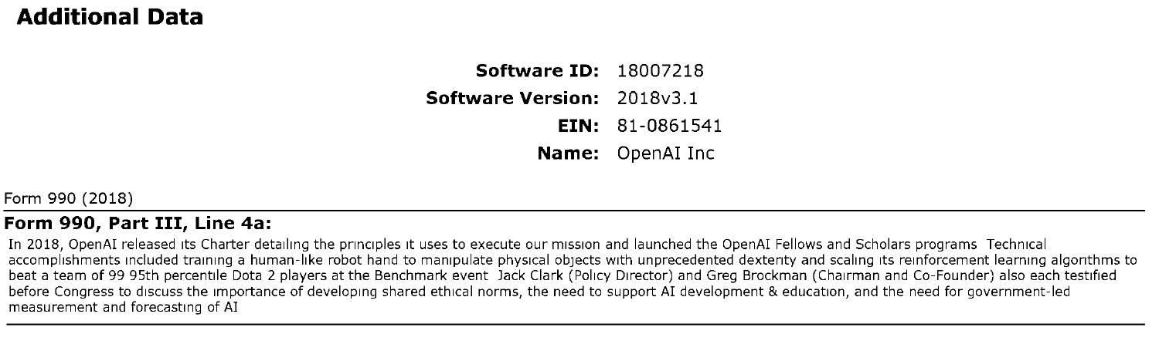## **Additional Data**

**Software ID:** 18007218 **Software Version:** 2018v3.1 **EIN:** 81-0861541 **Name:** OpenAI Inc

Form 990 (2018)

#### **Form 990, Part** III, **Line 4a:**

In 2018, OpenAI released its Charter detailing the principles it uses to execute our mission and launched the OpenAI Fellows and Scholars programs Technical accomplishments included training a human-like robot hand to manipulate physical objects with unprecedented dexterity and scaling its reinforcement learning algorithms to beat a team of 99 95th percentile Dota 2 players at the Benchmark event Jack Clark (Policy Director) and Greg Brockman (Chairman and Co-Founder) also each testified before Congress to discuss the importance of developing shared ethical norms, the need to support AI development & education, and the need for government-led measurement and forecasting of AI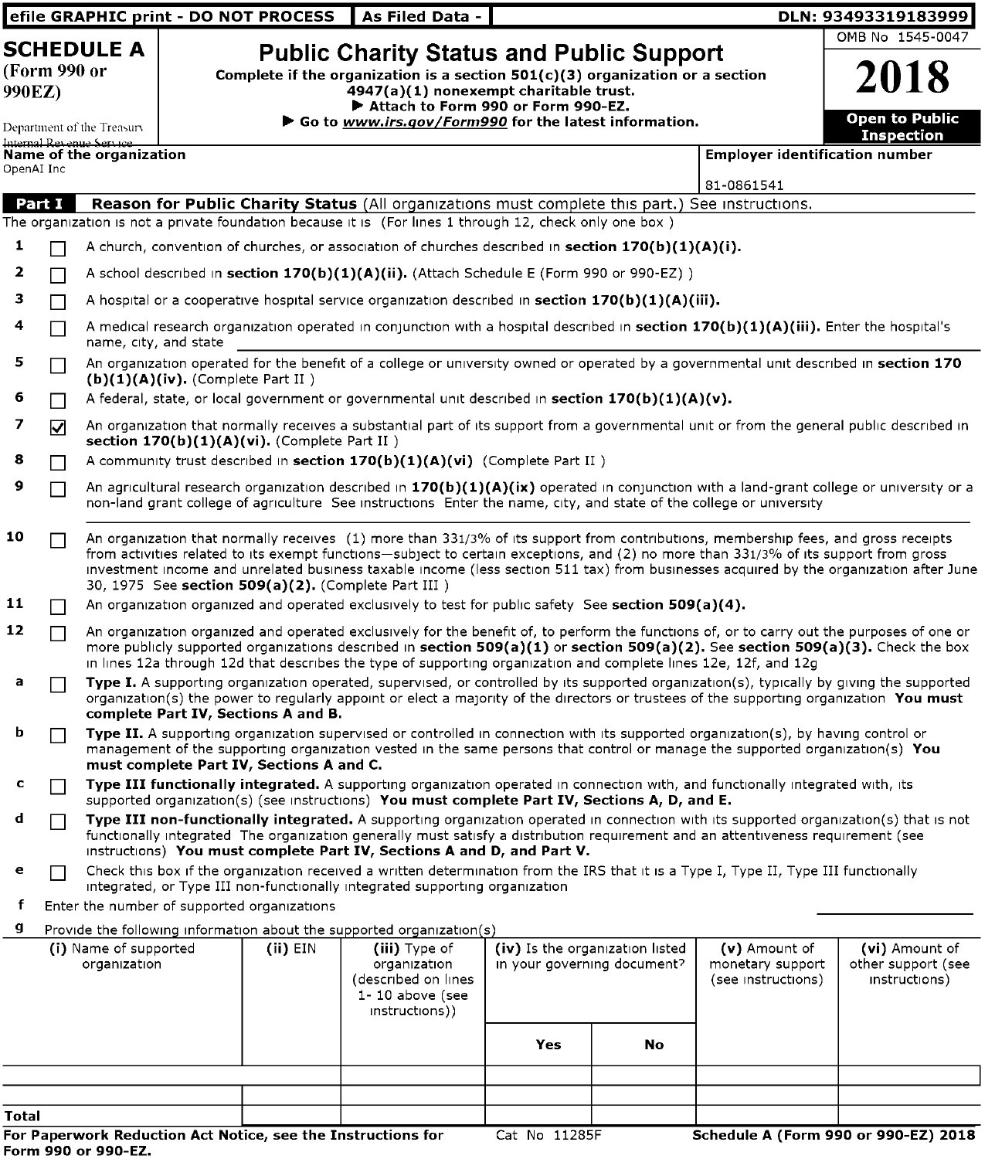|              |              |                                                                                                                                                                                                                                                                                                                                                                                                                                                                                       |                                      | efile GRAPHIC print - DO NOT PROCESS                                            | As Filed Data                                                                                                                                                                                                                                                                                                                                                                                                                                                                                                                                                                                                                                                                             |               |                                                                |                                                           | DLN: 93493319183999                                   |  |  |
|--------------|--------------|---------------------------------------------------------------------------------------------------------------------------------------------------------------------------------------------------------------------------------------------------------------------------------------------------------------------------------------------------------------------------------------------------------------------------------------------------------------------------------------|--------------------------------------|---------------------------------------------------------------------------------|-------------------------------------------------------------------------------------------------------------------------------------------------------------------------------------------------------------------------------------------------------------------------------------------------------------------------------------------------------------------------------------------------------------------------------------------------------------------------------------------------------------------------------------------------------------------------------------------------------------------------------------------------------------------------------------------|---------------|----------------------------------------------------------------|-----------------------------------------------------------|-------------------------------------------------------|--|--|
| 990EZ)       | (Form 990 or | <b>SCHEDULE A</b>                                                                                                                                                                                                                                                                                                                                                                                                                                                                     |                                      |                                                                                 | <b>Public Charity Status and Public Support</b><br>Complete if the organization is a section $501(c)(3)$ organization or a section<br>4947(a)(1) nonexempt charitable trust.<br>Attach to Form 990 or Form 990-EZ.                                                                                                                                                                                                                                                                                                                                                                                                                                                                        |               |                                                                |                                                           | OMB No 1545-0047<br>2018                              |  |  |
| OpenAI Inc   |              | Department of the Treasury<br>Internal Revenue Service<br>Name of the organization                                                                                                                                                                                                                                                                                                                                                                                                    |                                      |                                                                                 | Go to www.irs.gov/Form990 for the latest information.                                                                                                                                                                                                                                                                                                                                                                                                                                                                                                                                                                                                                                     |               |                                                                | <b>Employer identification number</b><br>81-0861541       | <b>Open to Public</b><br><b>Inspection</b>            |  |  |
| Part I<br>1  |              |                                                                                                                                                                                                                                                                                                                                                                                                                                                                                       |                                      |                                                                                 | Reason for Public Charity Status (All organizations must complete this part.) See instructions.<br>The organization is not a private foundation because it is (For lines 1 through 12, check only one box)<br>A church, convention of churches, or association of churches described in section $170(b)(1)(A)(i)$ .                                                                                                                                                                                                                                                                                                                                                                       |               |                                                                |                                                           |                                                       |  |  |
| 2<br>з<br>4  |              |                                                                                                                                                                                                                                                                                                                                                                                                                                                                                       |                                      |                                                                                 | A school described in section $170(b)(1)(A)(ii)$ . (Attach Schedule E (Form 990 or 990-EZ))<br>A hospital or a cooperative hospital service organization described in section $170(b)(1)(A)(iii)$ .<br>A medical research organization operated in conjunction with a hospital described in section 170(b)(1)(A)(iii). Enter the hospital's                                                                                                                                                                                                                                                                                                                                               |               |                                                                |                                                           |                                                       |  |  |
| 5<br>6       |              | name, city, and state                                                                                                                                                                                                                                                                                                                                                                                                                                                                 | $(b)(1)(A)(iv)$ . (Complete Part II) |                                                                                 | An organization operated for the benefit of a college or university owned or operated by a governmental unit described in section 170<br>A federal, state, or local government or governmental unit described in section $170(b)(1)(A)(v)$ .                                                                                                                                                                                                                                                                                                                                                                                                                                              |               |                                                                |                                                           |                                                       |  |  |
| 7<br>8       | ☑            |                                                                                                                                                                                                                                                                                                                                                                                                                                                                                       |                                      | section 170(b)(1)(A)(vi). (Complete Part II)                                    | An organization that normally receives a substantial part of its support from a governmental unit or from the general public described in                                                                                                                                                                                                                                                                                                                                                                                                                                                                                                                                                 |               |                                                                |                                                           |                                                       |  |  |
| 9<br>10      |              | A community trust described in section 170(b)(1)(A)(vi) (Complete Part II)<br>An agricultural research organization described in $170(b)(1)(A)(ix)$ operated in conjunction with a land-grant college or university or a<br>non-land grant college of agriculture See instructions Enter the name, city, and state of the college or university<br>An organization that normally receives (1) more than 331/3% of its support from contributions, membership fees, and gross receipts |                                      |                                                                                 |                                                                                                                                                                                                                                                                                                                                                                                                                                                                                                                                                                                                                                                                                           |               |                                                                |                                                           |                                                       |  |  |
| 11           |              | from activities related to its exempt functions-subject to certain exceptions, and (2) no more than 331/3% of its support from gross<br>investment income and unrelated business taxable income (less section 511 tax) from businesses acquired by the organization after June<br>30, 1975 See section 509(a)(2). (Complete Part III)<br>An organization organized and operated exclusively to test for public safety See section 509(a)(4).                                          |                                      |                                                                                 |                                                                                                                                                                                                                                                                                                                                                                                                                                                                                                                                                                                                                                                                                           |               |                                                                |                                                           |                                                       |  |  |
| 12<br>а      |              |                                                                                                                                                                                                                                                                                                                                                                                                                                                                                       |                                      |                                                                                 | An organization organized and operated exclusively for the benefit of, to perform the functions of, or to carry out the purposes of one or<br>more publicly supported organizations described in section 509(a)(1) or section 509(a)(2). See section 509(a)(3). Check the box<br>in lines 12a through 12d that describes the type of supporting organization and complete lines 12e, 12f, and 12g<br>Type I. A supporting organization operated, supervised, or controlled by its supported organization(s), typically by giving the supported<br>organization(s) the power to regularly appoint or elect a majority of the directors or trustees of the supporting organization You must |               |                                                                |                                                           |                                                       |  |  |
| b            |              |                                                                                                                                                                                                                                                                                                                                                                                                                                                                                       |                                      | complete Part IV, Sections A and B.<br>must complete Part IV, Sections A and C. | Type II. A supporting organization supervised or controlled in connection with its supported organization(s), by having control or<br>management of the supporting organization vested in the same persons that control or manage the supported organization(s) You                                                                                                                                                                                                                                                                                                                                                                                                                       |               |                                                                |                                                           |                                                       |  |  |
| с<br>d       |              |                                                                                                                                                                                                                                                                                                                                                                                                                                                                                       |                                      |                                                                                 | Type III functionally integrated. A supporting organization operated in connection with, and functionally integrated with, its<br>supported organization(s) (see instructions) You must complete Part IV, Sections A, D, and E.<br>Type III non-functionally integrated. A supporting organization operated in connection with its supported organization(s) that is not<br>functionally integrated The organization generally must satisfy a distribution requirement and an attentiveness requirement (see<br>instructions) You must complete Part IV, Sections A and D, and Part V.                                                                                                    |               |                                                                |                                                           |                                                       |  |  |
| е<br>f<br>g  |              |                                                                                                                                                                                                                                                                                                                                                                                                                                                                                       |                                      | Enter the number of supported organizations                                     | Check this box if the organization received a written determination from the IRS that it is a Type I, Type II, Type III functionally<br>integrated, or Type III non-functionally integrated supporting organization<br>Provide the following information about the supported organization(s)                                                                                                                                                                                                                                                                                                                                                                                              |               |                                                                |                                                           |                                                       |  |  |
|              |              | (i) Name of supported<br>organization                                                                                                                                                                                                                                                                                                                                                                                                                                                 |                                      | $(ii)$ EIN                                                                      | (iii) Type of<br>organization<br>(described on lines<br>1-10 above (see<br>instructions))                                                                                                                                                                                                                                                                                                                                                                                                                                                                                                                                                                                                 |               | (iv) Is the organization listed<br>in your governing document? | $(v)$ Amount of<br>monetary support<br>(see instructions) | (vi) Amount of<br>other support (see<br>instructions) |  |  |
|              |              |                                                                                                                                                                                                                                                                                                                                                                                                                                                                                       |                                      |                                                                                 |                                                                                                                                                                                                                                                                                                                                                                                                                                                                                                                                                                                                                                                                                           | Yes           | No                                                             |                                                           |                                                       |  |  |
| <b>Total</b> |              |                                                                                                                                                                                                                                                                                                                                                                                                                                                                                       |                                      |                                                                                 | For Paperwork Reduction Act Notice, see the Instructions for                                                                                                                                                                                                                                                                                                                                                                                                                                                                                                                                                                                                                              | Cat No 11285F |                                                                | Schedule A (Form 990 or 990-EZ) 2018                      |                                                       |  |  |

,一个人的人都是一个人的人,但是,我们的人都是一个人的人,我们也不会不会不会。""我们,我们的人,我们也不会不会不会不会。""我们,我们的人,我们也不会不会不会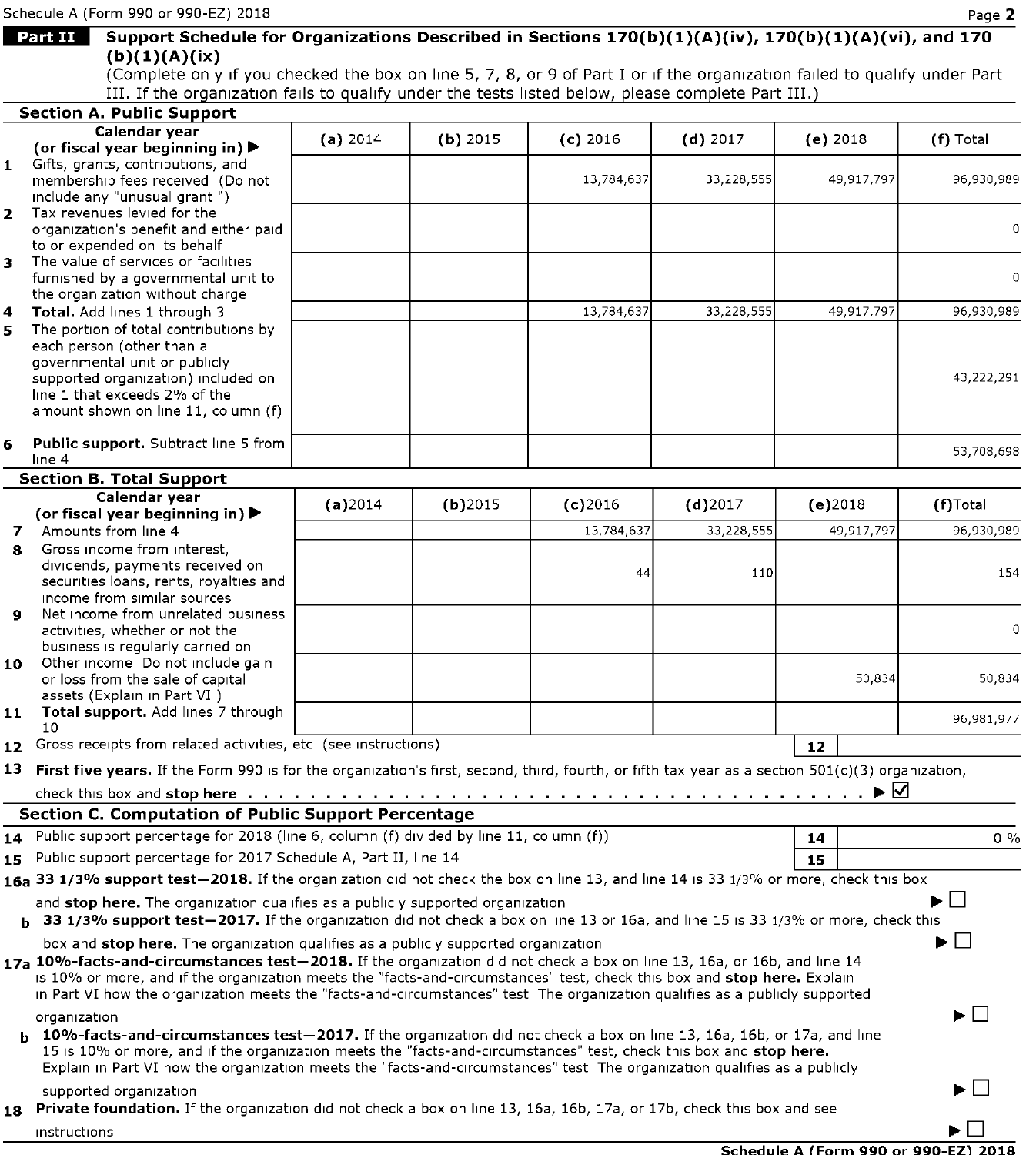1nstruct1ons

|    | Schedule A (Form 990 or 990-EZ) 2018                                                                                      |          |            |            |                                                                                                                                                                                                                                                                                                                                                                                                                                                                                                                                                                                                                                                                                                                                                                                                                                                                                                                                                                                                                                                                                                                                                                                                                                                                                                                                                                                                                                                                                                                                                                      |    |        | Page 2      |
|----|---------------------------------------------------------------------------------------------------------------------------|----------|------------|------------|----------------------------------------------------------------------------------------------------------------------------------------------------------------------------------------------------------------------------------------------------------------------------------------------------------------------------------------------------------------------------------------------------------------------------------------------------------------------------------------------------------------------------------------------------------------------------------------------------------------------------------------------------------------------------------------------------------------------------------------------------------------------------------------------------------------------------------------------------------------------------------------------------------------------------------------------------------------------------------------------------------------------------------------------------------------------------------------------------------------------------------------------------------------------------------------------------------------------------------------------------------------------------------------------------------------------------------------------------------------------------------------------------------------------------------------------------------------------------------------------------------------------------------------------------------------------|----|--------|-------------|
|    | <b>Part II</b>                                                                                                            |          |            |            |                                                                                                                                                                                                                                                                                                                                                                                                                                                                                                                                                                                                                                                                                                                                                                                                                                                                                                                                                                                                                                                                                                                                                                                                                                                                                                                                                                                                                                                                                                                                                                      |    |        |             |
|    | (b)(1)(A)(ix)                                                                                                             |          |            |            |                                                                                                                                                                                                                                                                                                                                                                                                                                                                                                                                                                                                                                                                                                                                                                                                                                                                                                                                                                                                                                                                                                                                                                                                                                                                                                                                                                                                                                                                                                                                                                      |    |        |             |
|    |                                                                                                                           |          |            |            |                                                                                                                                                                                                                                                                                                                                                                                                                                                                                                                                                                                                                                                                                                                                                                                                                                                                                                                                                                                                                                                                                                                                                                                                                                                                                                                                                                                                                                                                                                                                                                      |    |        |             |
|    |                                                                                                                           |          |            |            |                                                                                                                                                                                                                                                                                                                                                                                                                                                                                                                                                                                                                                                                                                                                                                                                                                                                                                                                                                                                                                                                                                                                                                                                                                                                                                                                                                                                                                                                                                                                                                      |    |        |             |
|    | <b>Section A. Public Support</b>                                                                                          |          |            |            |                                                                                                                                                                                                                                                                                                                                                                                                                                                                                                                                                                                                                                                                                                                                                                                                                                                                                                                                                                                                                                                                                                                                                                                                                                                                                                                                                                                                                                                                                                                                                                      |    |        |             |
|    | Calendar year                                                                                                             | (a) 2014 | $(b)$ 2015 | $(c)$ 2016 |                                                                                                                                                                                                                                                                                                                                                                                                                                                                                                                                                                                                                                                                                                                                                                                                                                                                                                                                                                                                                                                                                                                                                                                                                                                                                                                                                                                                                                                                                                                                                                      |    |        |             |
|    | (or fiscal year beginning in) $\blacktriangleright$                                                                       |          |            |            |                                                                                                                                                                                                                                                                                                                                                                                                                                                                                                                                                                                                                                                                                                                                                                                                                                                                                                                                                                                                                                                                                                                                                                                                                                                                                                                                                                                                                                                                                                                                                                      |    |        |             |
|    | 1 Gifts, grants, contributions, and                                                                                       |          |            | 13,784,637 |                                                                                                                                                                                                                                                                                                                                                                                                                                                                                                                                                                                                                                                                                                                                                                                                                                                                                                                                                                                                                                                                                                                                                                                                                                                                                                                                                                                                                                                                                                                                                                      |    |        |             |
|    | membership fees received (Do not<br>include any "unusual grant")                                                          |          |            |            |                                                                                                                                                                                                                                                                                                                                                                                                                                                                                                                                                                                                                                                                                                                                                                                                                                                                                                                                                                                                                                                                                                                                                                                                                                                                                                                                                                                                                                                                                                                                                                      |    |        |             |
|    | 2 Tax revenues levied for the                                                                                             |          |            |            |                                                                                                                                                                                                                                                                                                                                                                                                                                                                                                                                                                                                                                                                                                                                                                                                                                                                                                                                                                                                                                                                                                                                                                                                                                                                                                                                                                                                                                                                                                                                                                      |    |        |             |
|    | organization's benefit and either paid                                                                                    |          |            |            |                                                                                                                                                                                                                                                                                                                                                                                                                                                                                                                                                                                                                                                                                                                                                                                                                                                                                                                                                                                                                                                                                                                                                                                                                                                                                                                                                                                                                                                                                                                                                                      |    |        | $\mathbf 0$ |
|    | to or expended on its behalf                                                                                              |          |            |            |                                                                                                                                                                                                                                                                                                                                                                                                                                                                                                                                                                                                                                                                                                                                                                                                                                                                                                                                                                                                                                                                                                                                                                                                                                                                                                                                                                                                                                                                                                                                                                      |    |        |             |
| з. | The value of services or facilities                                                                                       |          |            |            |                                                                                                                                                                                                                                                                                                                                                                                                                                                                                                                                                                                                                                                                                                                                                                                                                                                                                                                                                                                                                                                                                                                                                                                                                                                                                                                                                                                                                                                                                                                                                                      |    |        |             |
|    | furnished by a governmental unit to                                                                                       |          |            |            |                                                                                                                                                                                                                                                                                                                                                                                                                                                                                                                                                                                                                                                                                                                                                                                                                                                                                                                                                                                                                                                                                                                                                                                                                                                                                                                                                                                                                                                                                                                                                                      |    |        |             |
|    | the organization without charge                                                                                           |          |            |            |                                                                                                                                                                                                                                                                                                                                                                                                                                                                                                                                                                                                                                                                                                                                                                                                                                                                                                                                                                                                                                                                                                                                                                                                                                                                                                                                                                                                                                                                                                                                                                      |    |        |             |
| 4  | Total. Add lines 1 through 3<br>The portion of total contributions by                                                     |          |            | 13,784,637 |                                                                                                                                                                                                                                                                                                                                                                                                                                                                                                                                                                                                                                                                                                                                                                                                                                                                                                                                                                                                                                                                                                                                                                                                                                                                                                                                                                                                                                                                                                                                                                      |    |        |             |
| 5. | each person (other than a                                                                                                 |          |            |            |                                                                                                                                                                                                                                                                                                                                                                                                                                                                                                                                                                                                                                                                                                                                                                                                                                                                                                                                                                                                                                                                                                                                                                                                                                                                                                                                                                                                                                                                                                                                                                      |    |        |             |
|    | governmental unit or publicly                                                                                             |          |            |            |                                                                                                                                                                                                                                                                                                                                                                                                                                                                                                                                                                                                                                                                                                                                                                                                                                                                                                                                                                                                                                                                                                                                                                                                                                                                                                                                                                                                                                                                                                                                                                      |    |        |             |
|    | supported organization) included on                                                                                       |          |            |            |                                                                                                                                                                                                                                                                                                                                                                                                                                                                                                                                                                                                                                                                                                                                                                                                                                                                                                                                                                                                                                                                                                                                                                                                                                                                                                                                                                                                                                                                                                                                                                      |    |        | 43,222,291  |
|    | line 1 that exceeds 2% of the                                                                                             |          |            |            |                                                                                                                                                                                                                                                                                                                                                                                                                                                                                                                                                                                                                                                                                                                                                                                                                                                                                                                                                                                                                                                                                                                                                                                                                                                                                                                                                                                                                                                                                                                                                                      |    |        |             |
|    | amount shown on line 11, column (f)                                                                                       |          |            |            |                                                                                                                                                                                                                                                                                                                                                                                                                                                                                                                                                                                                                                                                                                                                                                                                                                                                                                                                                                                                                                                                                                                                                                                                                                                                                                                                                                                                                                                                                                                                                                      |    |        |             |
|    |                                                                                                                           |          |            |            |                                                                                                                                                                                                                                                                                                                                                                                                                                                                                                                                                                                                                                                                                                                                                                                                                                                                                                                                                                                                                                                                                                                                                                                                                                                                                                                                                                                                                                                                                                                                                                      |    |        |             |
| 6  | Public support. Subtract line 5 from<br>line 4                                                                            |          |            |            |                                                                                                                                                                                                                                                                                                                                                                                                                                                                                                                                                                                                                                                                                                                                                                                                                                                                                                                                                                                                                                                                                                                                                                                                                                                                                                                                                                                                                                                                                                                                                                      |    |        | 53,708,698  |
|    | <b>Section B. Total Support</b>                                                                                           |          |            |            |                                                                                                                                                                                                                                                                                                                                                                                                                                                                                                                                                                                                                                                                                                                                                                                                                                                                                                                                                                                                                                                                                                                                                                                                                                                                                                                                                                                                                                                                                                                                                                      |    |        |             |
|    | Calendar year                                                                                                             |          |            |            |                                                                                                                                                                                                                                                                                                                                                                                                                                                                                                                                                                                                                                                                                                                                                                                                                                                                                                                                                                                                                                                                                                                                                                                                                                                                                                                                                                                                                                                                                                                                                                      |    |        |             |
|    | (or fiscal year beginning in) $\blacktriangleright$                                                                       | (a)2014  | $(b)$ 2015 | $(c)$ 2016 |                                                                                                                                                                                                                                                                                                                                                                                                                                                                                                                                                                                                                                                                                                                                                                                                                                                                                                                                                                                                                                                                                                                                                                                                                                                                                                                                                                                                                                                                                                                                                                      |    |        |             |
|    | 7 Amounts from line 4                                                                                                     |          |            | 13,784,637 | 33,228,555                                                                                                                                                                                                                                                                                                                                                                                                                                                                                                                                                                                                                                                                                                                                                                                                                                                                                                                                                                                                                                                                                                                                                                                                                                                                                                                                                                                                                                                                                                                                                           |    |        | 96,930,989  |
| 8  | Gross income from interest,                                                                                               |          |            |            |                                                                                                                                                                                                                                                                                                                                                                                                                                                                                                                                                                                                                                                                                                                                                                                                                                                                                                                                                                                                                                                                                                                                                                                                                                                                                                                                                                                                                                                                                                                                                                      |    |        |             |
|    | dividends, payments received on                                                                                           |          |            |            |                                                                                                                                                                                                                                                                                                                                                                                                                                                                                                                                                                                                                                                                                                                                                                                                                                                                                                                                                                                                                                                                                                                                                                                                                                                                                                                                                                                                                                                                                                                                                                      |    |        |             |
|    | securities loans, rents, royalties and                                                                                    |          |            |            |                                                                                                                                                                                                                                                                                                                                                                                                                                                                                                                                                                                                                                                                                                                                                                                                                                                                                                                                                                                                                                                                                                                                                                                                                                                                                                                                                                                                                                                                                                                                                                      |    |        |             |
| 9  | income from similar sources<br>Net income from unrelated business                                                         |          |            |            |                                                                                                                                                                                                                                                                                                                                                                                                                                                                                                                                                                                                                                                                                                                                                                                                                                                                                                                                                                                                                                                                                                                                                                                                                                                                                                                                                                                                                                                                                                                                                                      |    |        |             |
|    | activities, whether or not the                                                                                            |          |            |            |                                                                                                                                                                                                                                                                                                                                                                                                                                                                                                                                                                                                                                                                                                                                                                                                                                                                                                                                                                                                                                                                                                                                                                                                                                                                                                                                                                                                                                                                                                                                                                      |    |        |             |
|    | business is regularly carried on                                                                                          |          |            |            |                                                                                                                                                                                                                                                                                                                                                                                                                                                                                                                                                                                                                                                                                                                                                                                                                                                                                                                                                                                                                                                                                                                                                                                                                                                                                                                                                                                                                                                                                                                                                                      |    |        |             |
| 10 | Other income Do not include gain                                                                                          |          |            |            |                                                                                                                                                                                                                                                                                                                                                                                                                                                                                                                                                                                                                                                                                                                                                                                                                                                                                                                                                                                                                                                                                                                                                                                                                                                                                                                                                                                                                                                                                                                                                                      |    |        |             |
|    | or loss from the sale of capital                                                                                          |          |            |            |                                                                                                                                                                                                                                                                                                                                                                                                                                                                                                                                                                                                                                                                                                                                                                                                                                                                                                                                                                                                                                                                                                                                                                                                                                                                                                                                                                                                                                                                                                                                                                      |    | 50,834 | 50,834      |
|    | assets (Explain in Part VI)                                                                                               |          |            |            |                                                                                                                                                                                                                                                                                                                                                                                                                                                                                                                                                                                                                                                                                                                                                                                                                                                                                                                                                                                                                                                                                                                                                                                                                                                                                                                                                                                                                                                                                                                                                                      |    |        |             |
| 11 | Total support. Add lines 7 through<br>10                                                                                  |          |            |            |                                                                                                                                                                                                                                                                                                                                                                                                                                                                                                                                                                                                                                                                                                                                                                                                                                                                                                                                                                                                                                                                                                                                                                                                                                                                                                                                                                                                                                                                                                                                                                      |    |        | 96,981,977  |
|    | 12 Gross receipts from related activities, etc (see instructions)                                                         |          |            |            |                                                                                                                                                                                                                                                                                                                                                                                                                                                                                                                                                                                                                                                                                                                                                                                                                                                                                                                                                                                                                                                                                                                                                                                                                                                                                                                                                                                                                                                                                                                                                                      |    |        |             |
|    |                                                                                                                           |          |            |            |                                                                                                                                                                                                                                                                                                                                                                                                                                                                                                                                                                                                                                                                                                                                                                                                                                                                                                                                                                                                                                                                                                                                                                                                                                                                                                                                                                                                                                                                                                                                                                      |    |        |             |
|    |                                                                                                                           |          |            |            |                                                                                                                                                                                                                                                                                                                                                                                                                                                                                                                                                                                                                                                                                                                                                                                                                                                                                                                                                                                                                                                                                                                                                                                                                                                                                                                                                                                                                                                                                                                                                                      |    |        |             |
|    |                                                                                                                           |          |            |            |                                                                                                                                                                                                                                                                                                                                                                                                                                                                                                                                                                                                                                                                                                                                                                                                                                                                                                                                                                                                                                                                                                                                                                                                                                                                                                                                                                                                                                                                                                                                                                      |    |        |             |
|    | Section C. Computation of Public Support Percentage                                                                       |          |            |            |                                                                                                                                                                                                                                                                                                                                                                                                                                                                                                                                                                                                                                                                                                                                                                                                                                                                                                                                                                                                                                                                                                                                                                                                                                                                                                                                                                                                                                                                                                                                                                      |    |        |             |
|    | 14 Public support percentage for 2018 (line 6, column (f) divided by line 11, column (f))                                 |          |            |            |                                                                                                                                                                                                                                                                                                                                                                                                                                                                                                                                                                                                                                                                                                                                                                                                                                                                                                                                                                                                                                                                                                                                                                                                                                                                                                                                                                                                                                                                                                                                                                      | 14 |        | $0\%$       |
|    | 15 Public support percentage for 2017 Schedule A, Part II, line 14                                                        |          |            |            |                                                                                                                                                                                                                                                                                                                                                                                                                                                                                                                                                                                                                                                                                                                                                                                                                                                                                                                                                                                                                                                                                                                                                                                                                                                                                                                                                                                                                                                                                                                                                                      |    |        |             |
|    |                                                                                                                           |          |            |            |                                                                                                                                                                                                                                                                                                                                                                                                                                                                                                                                                                                                                                                                                                                                                                                                                                                                                                                                                                                                                                                                                                                                                                                                                                                                                                                                                                                                                                                                                                                                                                      |    |        |             |
|    | and stop here. The organization qualifies as a publicly supported organization                                            |          |            |            |                                                                                                                                                                                                                                                                                                                                                                                                                                                                                                                                                                                                                                                                                                                                                                                                                                                                                                                                                                                                                                                                                                                                                                                                                                                                                                                                                                                                                                                                                                                                                                      |    |        |             |
|    |                                                                                                                           |          |            |            | Support Schedule for Organizations Described in Sections 170(b)(1)(A)(iv), 170(b)(1)(A)(vi), and 170<br>(Complete only if you checked the box on line 5, 7, 8, or 9 of Part I or if the organization failed to qualify under Part<br>III. If the organization fails to qualify under the tests listed below, please complete Part III.)<br>$(d)$ 2017<br>(e) 2018<br>(f) Total<br>96,930,989<br>49,917,797<br>33,228,555<br>$\mathbf 0$<br>33,228,555<br>49,917,797<br>96,930,989<br>$(d)$ 2017<br>(e)2018<br>(f)Total<br>49,917,797<br>110<br>154<br>44<br>0<br>12<br>13 First five years. If the Form 990 is for the organization's first, second, third, fourth, or fifth tax year as a section 501(c)(3) organization,<br>15<br>16a 33 1/3% support test-2018. If the organization did not check the box on line 13, and line 14 is 33 1/3% or more, check this box<br>▶□<br><b>b</b> 33 1/3% support test-2017. If the organization did not check a box on line 13 or 16a, and line 15 is 33 1/3% or more, check this<br>$\perp$<br>17a 10%-facts-and-circumstances test-2018. If the organization did not check a box on line 13, 16a, or 16b, and line 14<br>is 10% or more, and if the organization meets the "facts-and-circumstances" test, check this box and stop here. Explain<br>in Part VI how the organization meets the "facts-and-circumstances" test The organization qualifies as a publicly supported<br>▶ │ │<br>h 10%-facts-and-circumstances test-2017. If the organization did not check a box on line 13, 16a, 16b, or 17a, and line<br>▶□ |    |        |             |
|    |                                                                                                                           |          |            |            |                                                                                                                                                                                                                                                                                                                                                                                                                                                                                                                                                                                                                                                                                                                                                                                                                                                                                                                                                                                                                                                                                                                                                                                                                                                                                                                                                                                                                                                                                                                                                                      |    |        |             |
|    | box and <b>stop here.</b> The organization qualifies as a publicly supported organization                                 |          |            |            |                                                                                                                                                                                                                                                                                                                                                                                                                                                                                                                                                                                                                                                                                                                                                                                                                                                                                                                                                                                                                                                                                                                                                                                                                                                                                                                                                                                                                                                                                                                                                                      |    |        |             |
|    |                                                                                                                           |          |            |            |                                                                                                                                                                                                                                                                                                                                                                                                                                                                                                                                                                                                                                                                                                                                                                                                                                                                                                                                                                                                                                                                                                                                                                                                                                                                                                                                                                                                                                                                                                                                                                      |    |        |             |
|    |                                                                                                                           |          |            |            |                                                                                                                                                                                                                                                                                                                                                                                                                                                                                                                                                                                                                                                                                                                                                                                                                                                                                                                                                                                                                                                                                                                                                                                                                                                                                                                                                                                                                                                                                                                                                                      |    |        |             |
|    |                                                                                                                           |          |            |            |                                                                                                                                                                                                                                                                                                                                                                                                                                                                                                                                                                                                                                                                                                                                                                                                                                                                                                                                                                                                                                                                                                                                                                                                                                                                                                                                                                                                                                                                                                                                                                      |    |        |             |
|    | organization                                                                                                              |          |            |            |                                                                                                                                                                                                                                                                                                                                                                                                                                                                                                                                                                                                                                                                                                                                                                                                                                                                                                                                                                                                                                                                                                                                                                                                                                                                                                                                                                                                                                                                                                                                                                      |    |        |             |
|    | 15 is 10% or more, and if the organization meets the "facts-and-circumstances" test, check this box and stop here.        |          |            |            |                                                                                                                                                                                                                                                                                                                                                                                                                                                                                                                                                                                                                                                                                                                                                                                                                                                                                                                                                                                                                                                                                                                                                                                                                                                                                                                                                                                                                                                                                                                                                                      |    |        |             |
|    | Explain in Part VI how the organization meets the "facts-and-circumstances" test The organization qualifies as a publicly |          |            |            |                                                                                                                                                                                                                                                                                                                                                                                                                                                                                                                                                                                                                                                                                                                                                                                                                                                                                                                                                                                                                                                                                                                                                                                                                                                                                                                                                                                                                                                                                                                                                                      |    |        |             |
|    | supported organization                                                                                                    |          |            |            |                                                                                                                                                                                                                                                                                                                                                                                                                                                                                                                                                                                                                                                                                                                                                                                                                                                                                                                                                                                                                                                                                                                                                                                                                                                                                                                                                                                                                                                                                                                                                                      |    |        |             |
|    | 18 Private foundation. If the organization did not check a box on line 13, 16a, 16b, 17a, or 17b, check this box and see  |          |            |            |                                                                                                                                                                                                                                                                                                                                                                                                                                                                                                                                                                                                                                                                                                                                                                                                                                                                                                                                                                                                                                                                                                                                                                                                                                                                                                                                                                                                                                                                                                                                                                      |    |        |             |
|    | instructions                                                                                                              |          |            |            |                                                                                                                                                                                                                                                                                                                                                                                                                                                                                                                                                                                                                                                                                                                                                                                                                                                                                                                                                                                                                                                                                                                                                                                                                                                                                                                                                                                                                                                                                                                                                                      |    |        | ►∣          |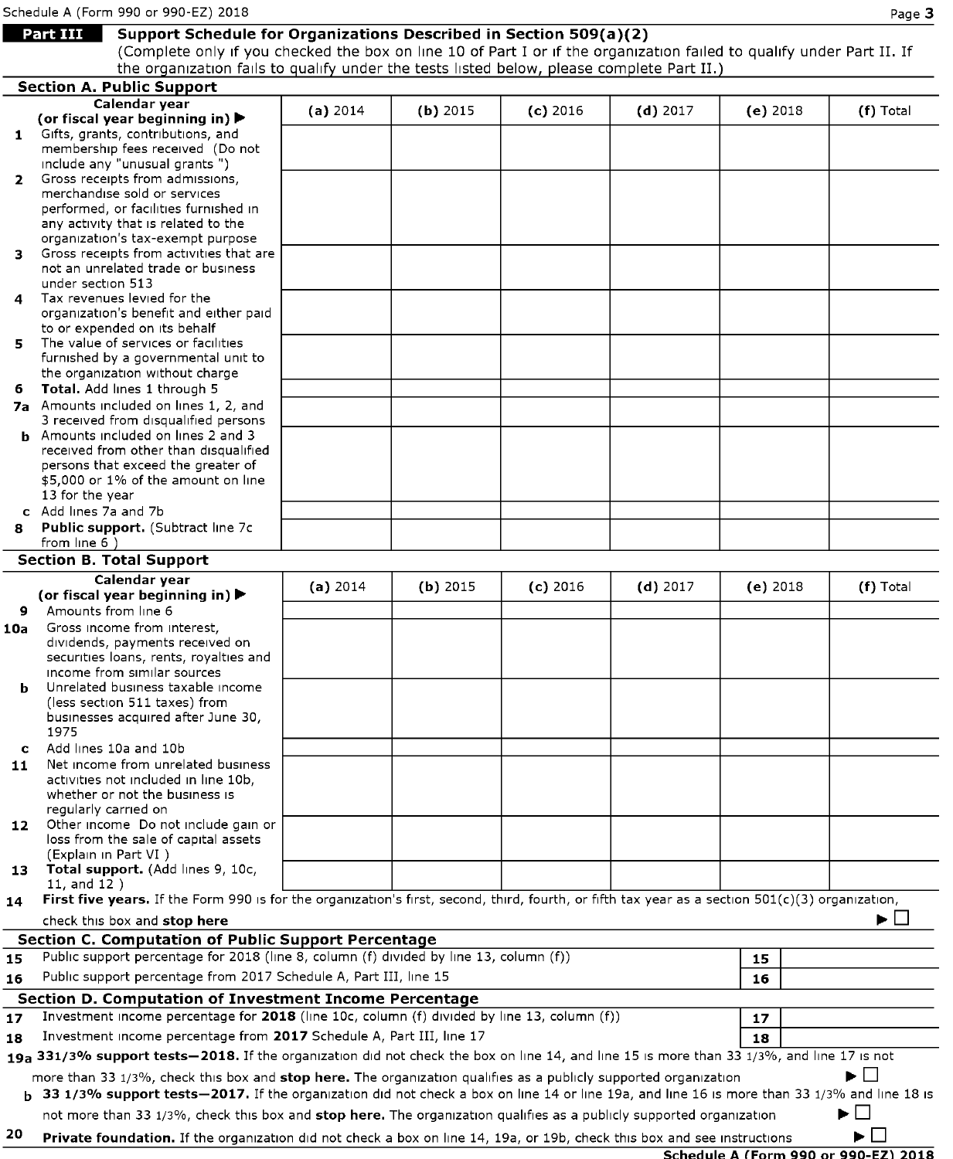# **Mart 111 Support Schedule for Organizations Described in Section 509(a)(2)**

(Complete only if you checked the box on line 10 of Part I or if the organization failed to qualify under Part II. If the organization fails to qualify under the tests listed below, please complete Part II.)

|              | <b>Section A. Public Support</b>                                                                                                                       |            |            |            |            |                                      |                   |
|--------------|--------------------------------------------------------------------------------------------------------------------------------------------------------|------------|------------|------------|------------|--------------------------------------|-------------------|
|              | Calendar year                                                                                                                                          | (a) 2014   | $(b)$ 2015 | $(c)$ 2016 | $(d)$ 2017 | (e) $2018$                           | (f) Total         |
|              | (or fiscal year beginning in) $\blacktriangleright$                                                                                                    |            |            |            |            |                                      |                   |
| $\mathbf{1}$ | Gifts, grants, contributions, and                                                                                                                      |            |            |            |            |                                      |                   |
|              | membership fees received (Do not<br>include any "unusual grants")                                                                                      |            |            |            |            |                                      |                   |
| $\mathbf{2}$ | Gross receipts from admissions,                                                                                                                        |            |            |            |            |                                      |                   |
|              | merchandise sold or services                                                                                                                           |            |            |            |            |                                      |                   |
|              | performed, or facilities furnished in                                                                                                                  |            |            |            |            |                                      |                   |
|              | any activity that is related to the                                                                                                                    |            |            |            |            |                                      |                   |
|              | organization's tax-exempt purpose                                                                                                                      |            |            |            |            |                                      |                   |
| з.           | Gross receipts from activities that are<br>not an unrelated trade or business                                                                          |            |            |            |            |                                      |                   |
|              | under section 513                                                                                                                                      |            |            |            |            |                                      |                   |
| 4            | Tax revenues levied for the                                                                                                                            |            |            |            |            |                                      |                   |
|              | organization's benefit and either paid                                                                                                                 |            |            |            |            |                                      |                   |
|              | to or expended on its behalf                                                                                                                           |            |            |            |            |                                      |                   |
| 5.           | The value of services or facilities                                                                                                                    |            |            |            |            |                                      |                   |
|              | furnished by a governmental unit to<br>the organization without charge                                                                                 |            |            |            |            |                                      |                   |
| 6.           | Total. Add lines 1 through 5                                                                                                                           |            |            |            |            |                                      |                   |
|              | 7a Amounts included on lines 1, 2, and                                                                                                                 |            |            |            |            |                                      |                   |
|              | 3 received from disqualified persons                                                                                                                   |            |            |            |            |                                      |                   |
|              | <b>b</b> Amounts included on lines 2 and 3                                                                                                             |            |            |            |            |                                      |                   |
|              | received from other than disqualified                                                                                                                  |            |            |            |            |                                      |                   |
|              | persons that exceed the greater of<br>\$5,000 or 1% of the amount on line                                                                              |            |            |            |            |                                      |                   |
|              | 13 for the year                                                                                                                                        |            |            |            |            |                                      |                   |
|              | c Add lines 7a and 7b                                                                                                                                  |            |            |            |            |                                      |                   |
| 8            | Public support. (Subtract line 7c                                                                                                                      |            |            |            |            |                                      |                   |
|              | from line 6)                                                                                                                                           |            |            |            |            |                                      |                   |
|              | <b>Section B. Total Support</b>                                                                                                                        |            |            |            |            |                                      |                   |
|              | Calendar year                                                                                                                                          | (a) $2014$ | $(b)$ 2015 | $(c)$ 2016 | $(d)$ 2017 | (e) 2018                             | (f) Total         |
|              | (or fiscal year beginning in) $\blacktriangleright$                                                                                                    |            |            |            |            |                                      |                   |
| 9.           | Amounts from line 6<br>Gross income from interest,                                                                                                     |            |            |            |            |                                      |                   |
| 10a          | dividends, payments received on                                                                                                                        |            |            |            |            |                                      |                   |
|              | securities loans, rents, royalties and                                                                                                                 |            |            |            |            |                                      |                   |
|              | income from similar sources                                                                                                                            |            |            |            |            |                                      |                   |
| b            | Unrelated business taxable income                                                                                                                      |            |            |            |            |                                      |                   |
|              | (less section 511 taxes) from                                                                                                                          |            |            |            |            |                                      |                   |
|              | businesses acquired after June 30,<br>1975                                                                                                             |            |            |            |            |                                      |                   |
| C            | Add lines 10a and 10b                                                                                                                                  |            |            |            |            |                                      |                   |
| 11           | Net income from unrelated business                                                                                                                     |            |            |            |            |                                      |                   |
|              | activities not included in line 10b,                                                                                                                   |            |            |            |            |                                      |                   |
|              | whether or not the business is                                                                                                                         |            |            |            |            |                                      |                   |
|              | requiarly carried on                                                                                                                                   |            |            |            |            |                                      |                   |
| 12           | Other income Do not include gain or<br>loss from the sale of capital assets                                                                            |            |            |            |            |                                      |                   |
|              | (Explain in Part VI)                                                                                                                                   |            |            |            |            |                                      |                   |
| 13           | Total support. (Add lines 9, 10c,                                                                                                                      |            |            |            |            |                                      |                   |
|              | $11,$ and $12)$                                                                                                                                        |            |            |            |            |                                      |                   |
| 14           | First five years. If the Form 990 is for the organization's first, second, third, fourth, or fifth tax year as a section 501(c)(3) organization,       |            |            |            |            |                                      |                   |
|              | check this box and stop here                                                                                                                           |            |            |            |            |                                      | ▶∟                |
|              | Section C. Computation of Public Support Percentage<br>Public support percentage for 2018 (line 8, column (f) divided by line 13, column (f))          |            |            |            |            |                                      |                   |
| 15           |                                                                                                                                                        |            |            |            |            | 15                                   |                   |
| 16           | Public support percentage from 2017 Schedule A, Part III, line 15                                                                                      |            |            |            |            | 16                                   |                   |
|              | Section D. Computation of Investment Income Percentage                                                                                                 |            |            |            |            |                                      |                   |
| 17           | Investment income percentage for 2018 (line 10c, column (f) divided by line 13, column (f))                                                            |            |            |            |            | 17                                   |                   |
| 18           | Investment income percentage from 2017 Schedule A, Part III, line 17                                                                                   |            |            |            |            | 18                                   |                   |
|              | 19a 331/3% support tests-2018. If the organization did not check the box on line 14, and line 15 is more than 33 1/3%, and line 17 is not              |            |            |            |            |                                      |                   |
|              | more than 33 1/3%, check this box and stop here. The organization qualifies as a publicly supported organization                                       |            |            |            |            |                                      | $\mathbf{1}$      |
|              | <b>b</b> 33 1/3% support tests - 2017. If the organization did not check a box on line 14 or line 19a, and line 16 is more than 33 1/3% and line 18 is |            |            |            |            |                                      |                   |
|              | not more than 33 1/3%, check this box and stop here. The organization qualifies as a publicly supported organization                                   |            |            |            |            |                                      | ▶<br>$\mathbf{I}$ |
| 20           | <b>Private foundation.</b> If the organization did not check a box on line 14, 19a, or 19b, check this box and see instructions                        |            |            |            |            |                                      | ▶                 |
|              |                                                                                                                                                        |            |            |            |            | Schedule A (Form 990 or 990-F7) 2018 |                   |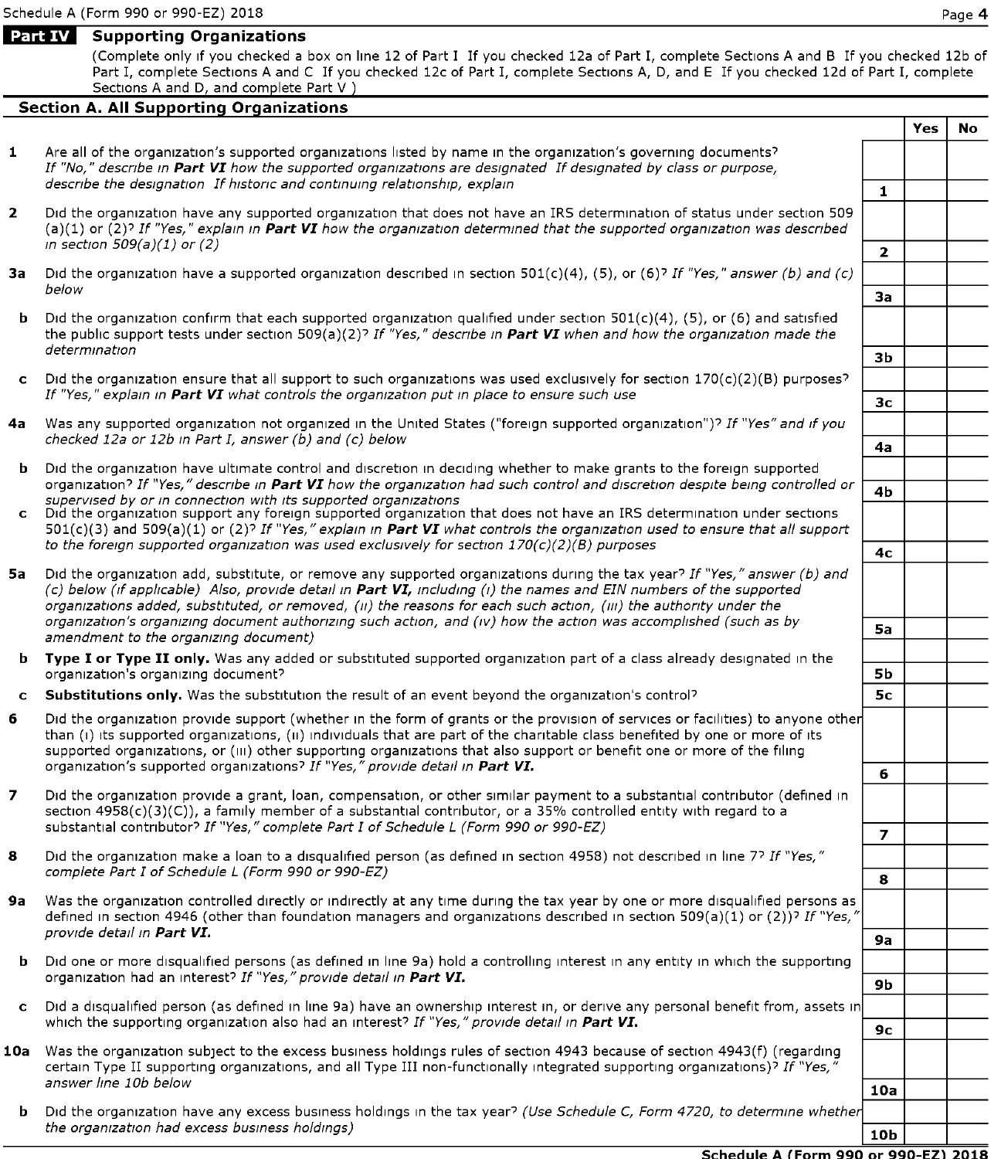### **Part IV** Supporting Organizations

(Complete only 1f you checked a box on line 12 of Part I If you checked 12a of Part I, complete Sections A and B If you checked 12b of Part I, complete Sections A and C If you checked 12c of Part I, complete Sections A, D, and E If you checked 12d of Part I, complete Sections A and D, and complete Part V )

### **Section A. All Supporting Organizations**

**Yes No**  1 Are all of the organization's supported organizations listed by name in the organization's governing documents? If "No," describe in Part VI how the supported organizations are designated If designated by class or purpose,  $\alpha$  describe the designation If historic and continuing relationship, explain  $\alpha$ **2** Did the organization have any supported organization that does not have an IRS determination of status under section 509 (a)(1) or (2)? If "Yes," explain in **Part VI** how the organization determined that the supported organization was described in section 509(a)(1) or (2) **2 3a** Did the organization have a supported organization described in section 501(c)(4), (5), or (6)? If "Yes," answer (b) and (c) below below **3a b** Did the organization confirm that each supported organization qualified under section  $501(c)(4)$ ,  $(5)$ , or  $(6)$  and satisfied the public support tests under section 509(a)(2)? If <sup>"y</sup>es," describe in **Part VI** when and how the organization made the<br>determination determination **3b 3b 3b c** D1d the organization ensure that all support to such organizations was used exclusively for section  $170(c)(2)(B)$  purposes? If "Yes," explain in **Part VI** what controls the organization put in place to ensure such use  $\overline{3c}$ 4a Was any supported organization not organized in the United States ("foreign supported organization")? If "Yes" and if you checked 12a or 12b in Part I, answer (b) and (c) below **4a**  Did the organization have ultimate control and discretion in deciding whether to make grants to the foreign supported organization? If "Yes," describe in **Part VI** how the organization had such control and discretion despite being controlled or **4b**<br>supervised by or in connection with its supported organizations **C**D1d the organization support any foreign supported organization that does not have an IRS determination under sections  $501(c)(3)$  and  $509(a)(1)$  or (2)? If "Yes," explain in **Part VI** what controls the organization used to ensure that all support to the foreign supported organization was used exclusively for section  $170(c)(2)(B)$  purposes  $4c$ **5a** Did the organization add, substitute, or remove any supported organizations during the tax year? If "Yes," answer (b) and ( c) below (tf applicable) Also, provide detail in *Part VI,* including (1) the names and EIN numbers of the supported organizations added, substituted, or removed, (ii) the reasons for each such action, (iii) the authority under the organization's organizing document authorizing such action, and (iv) how the action was accomplished (such as by **Sa** <br>amendment to the organizing document) **b** Type I or Type II only. Was any added or substituted supported organization part of a class already designated in the organization's organizing document? **Sb Sb Sb Sb Sb Sb Sb Sb Sb Sb Sb Sb Sb Sb Sb Sb Sb Sb Sb Sb Sb Sb Sb Sb Sb Sb Sb Sb Sb Sb Sb CSubstitutions only.** Was the substitution the result of an event beyond the organization's control? **Sc Sc 6** Did the organization provide support (whether in the form of grants or the provision of services or facilities) to anyone other than (i) its supported organizations, (ii) individuals that are part of the charitable class benefited by one or more of its supported organizations, or (iii) other supporting organizations that also support or benefit one or more of the filing organization's supported organizations? If "Yes," provide detail in **Part VI.**  $\overline{\phantom{a}}$  **6 7** Did the organization provide a grant, loan, compensation, or other similar payment to a substantial contributor (defined in section 4958(c)(3)(C)), a family member of a substantial contributor, or a 35% controlled entity with regard to a substantial contributor? If "Yes," complete Part I of Schedule L (Form 990 or 990-EZ) **<sup>7</sup>** 8 Did the organization make a loan to a disqualified person (as defined in section 4958) not described in line 7? If "Yes," complete Part I of Schedule L (Form 990 or 990-EZ) **<sup>8</sup> 9a** Was the organization controlled directly or indirectly at any time during the tax year by one or more disqualified persons as defined in section 4946 (other than foundation managers and organizations described in section 509(a)(1) or (2))? If "Yes," provide detatl in *Part VI.* **9a b** Did one or more disqualified persons (as defined in line 9a) hold a controlling interest in any entity in which the supporting organization had an interest? If "Yes," provide detail in **Part VI. 19b 9b 19b 19b 19b 19b 19b 19b 19b 19b 19b 19b 19b 19b 19b 19b 19b 19b 19b 19b 19b 19b 19b 19b 19b 1 c** Did a disqualified person (as defined in line 9a) have an ownership interest in, or derive any personal benefit from, assets in which the supporting organization also had an interest? If "Yes," provide detail in **Part VI.** 10a Was the organization subject to the excess business holdings rules of section 4943 because of section 4943(f) (regarding certain Type II supporting organizations, and all Type III non-functionally integrated supporting organizations)? If "Yes,"<br>answer line 10b below answer line 10b below **10a b** Did the organization have any excess business holdings in the tax year? (Use Schedule C, Form 4720, to determine whether the organization had excess business holdings) **10b 10b 10b 10b 10b**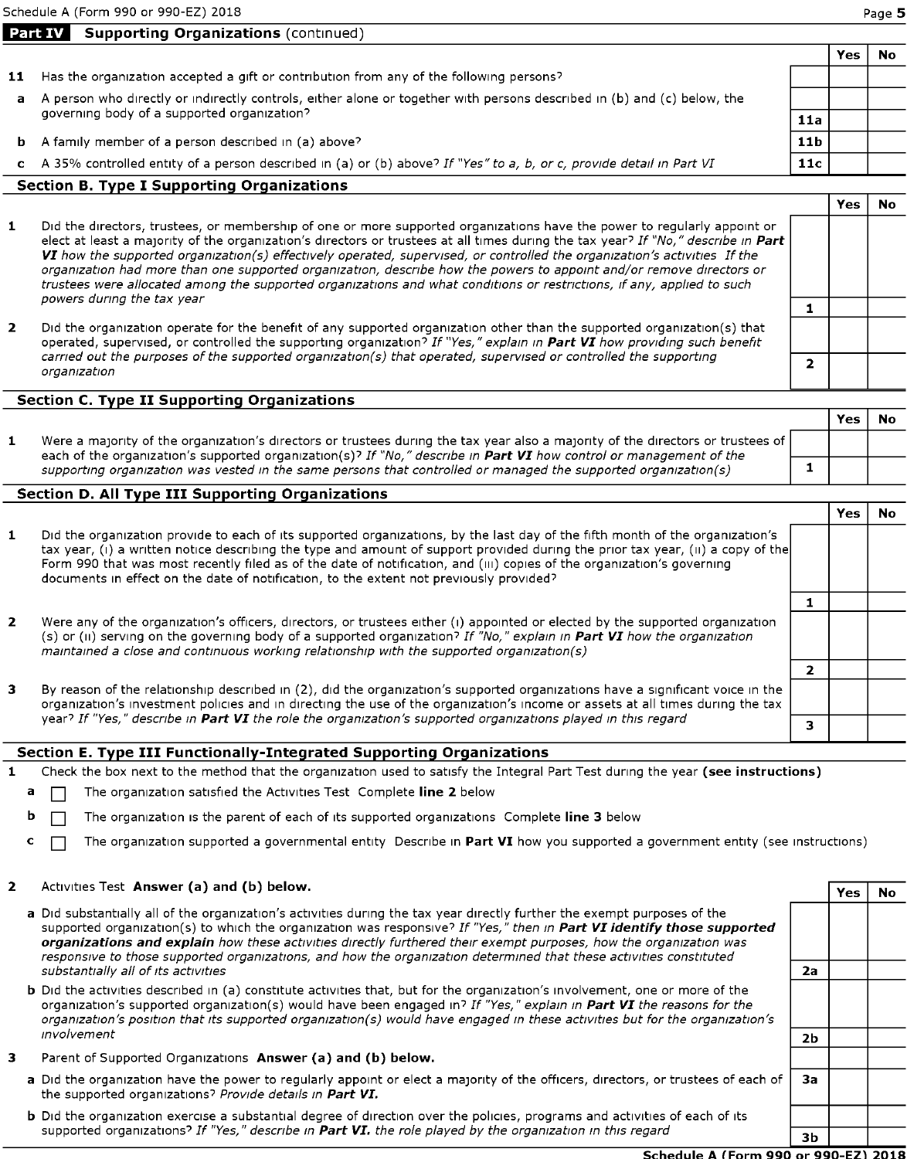Schedule A (Form 990 or 990-EZ) 2018 Page **5** 

|                                                                                                                         |                                             | 'es | Nc |  |  |
|-------------------------------------------------------------------------------------------------------------------------|---------------------------------------------|-----|----|--|--|
| Has the organization accepted a gift or contribution from any of the following persons?                                 |                                             |     |    |  |  |
| A person who directly or indirectly controls, either alone or together with persons described in (b) and (c) below, the |                                             |     |    |  |  |
|                                                                                                                         |                                             |     |    |  |  |
| A family member of a person described in (a) above?                                                                     | 11 <sub>b</sub>                             |     |    |  |  |
| A 35% controlled entity of a person described in (a) or (b) above? If "Yes" to a, b, or c, provide detail in Part VI    | 11c                                         |     |    |  |  |
|                                                                                                                         | governing body of a supported organization? | 11a |    |  |  |

#### **section B. Type I Supporting Organizations**

**Part IV Supporting Organizations** (continued)

- **1** D1d the directors, trustees, or membership of one or more supported organizations have the power to regularly appoint or elect at least a majority of the organization's directors or trustees at all times during the tax year? If "No," describe in Part VI how the supported organization(s) effectively operated, supervised, or controlled the organization's activities If the organization had more than one supported organization, descnbe how the powers to appoint and/or remove directors or trustees were allocated among the supported organizations and what conditions or restrictions, if any, applied to such powers dunng the tax year
- **2** Did the organization operate for the benefit of any supported organization other than the supported organization(s) that operated, supervised, or controlled the supporting organization<sup>7</sup> If "Yes," explain in **Part VI** how providing such benefit carried out the purposes of the supported organization(s) that operated, supervised or controlled the supporting <br> **2** *organization*

#### **section C. Type II Supporting Organizations**

|                                                                                                                                                                                                                                                               | Yes |  |
|---------------------------------------------------------------------------------------------------------------------------------------------------------------------------------------------------------------------------------------------------------------|-----|--|
| Were a majority of the organization's directors or trustees during the tax year also a majority of the directors or trustees of<br>each of the organization's supported organization(s)? If "No," describe in <b>Part VI</b> how control or management of the |     |  |
| supporting organization was vested in the same persons that controlled or managed the supported organization(s)                                                                                                                                               |     |  |

### **Section D. All Type III Supporting Organizations**

| 1 | Did the organization provide to each of its supported organizations, by the last day of the fifth month of the organization's<br>tax year, (i) a written notice describing the type and amount of support provided during the prior tax year, (ii) a copy of the<br>Form 990 that was most recently filed as of the date of notification, and (iii) copies of the organization's governing<br>documents in effect on the date of notification, to the extent not previously provided? |  |  |
|---|---------------------------------------------------------------------------------------------------------------------------------------------------------------------------------------------------------------------------------------------------------------------------------------------------------------------------------------------------------------------------------------------------------------------------------------------------------------------------------------|--|--|
|   |                                                                                                                                                                                                                                                                                                                                                                                                                                                                                       |  |  |
| 2 | Were any of the organization's officers, directors, or trustees either (i) appointed or elected by the supported organization<br>(s) or (ii) serving on the governing body of a supported organization? If "No," explain in Part VI how the organization<br>maintained a close and continuous working relationship with the supported organization(s)                                                                                                                                 |  |  |
|   |                                                                                                                                                                                                                                                                                                                                                                                                                                                                                       |  |  |
| з | By reason of the relationship described in (2), did the organization's supported organizations have a significant voice in the<br>organization's investment policies and in directing the use of the organization's income or assets at all times during the tax                                                                                                                                                                                                                      |  |  |
|   | year? If "Yes," describe in Part VI the role the organization's supported organizations played in this regard                                                                                                                                                                                                                                                                                                                                                                         |  |  |

#### **Section E. Type III Functionally-Integrated Supporting Organizations**

- 1 Check the box next to the method that the organization used to satisfy the Integral Part Test during the year (see instructions)
	- **a**  $\Box$  The organization satisfied the Activities Test Complete **line 2** below
	- **b**  $\Box$  The organization is the parent of each of its supported organizations Complete **line 3** below
	- **c** □ The organization supported a governmental entity Describe in **Part VI** how you supported a government entity (see instructions)

## **2** Activities Test **Answer (a) and (b) below.** Activities **Yes** No **Yes** No

| a Did substantially all of the organization's activities during the tax year directly further the exempt purposes of the<br>supported organization(s) to which the organization was responsive? If "Yes," then in Part VI identify those supported<br>organizations and explain how these activities directly furthered their exempt purposes, how the organization was<br>responsive to those supported organizations, and how the organization determined that these activities constituted |    |  |
|-----------------------------------------------------------------------------------------------------------------------------------------------------------------------------------------------------------------------------------------------------------------------------------------------------------------------------------------------------------------------------------------------------------------------------------------------------------------------------------------------|----|--|
| substantially all of its activities                                                                                                                                                                                                                                                                                                                                                                                                                                                           | 2a |  |
| <b>b</b> Did the activities described in (a) constitute activities that, but for the organization's involvement, one or more of the<br>organization's supported organization(s) would have been engaged in? If "Yes," explain in Part VI the reasons for the<br>organization's position that its supported organization(s) would have engaged in these activities but for the organization's                                                                                                  |    |  |
| <i>involvement</i>                                                                                                                                                                                                                                                                                                                                                                                                                                                                            | 2b |  |
|                                                                                                                                                                                                                                                                                                                                                                                                                                                                                               |    |  |

- **3** Parent of Supported Organizations Answer (a) and (b) below.
	- **a** Did the organization have the power to regularly appoint or elect a majority of the officers, directors, or trustees of each of | 3a the supported organizations? Provide details in **Part VI.**
	- **b** Did the organization exercise a substantial degree of direction over the policies, programs and activities of each of its supported organizations? If "Yes," describe in **Part VI.** the role played by the organization in this regard **3b**

**Yes No** 

**1**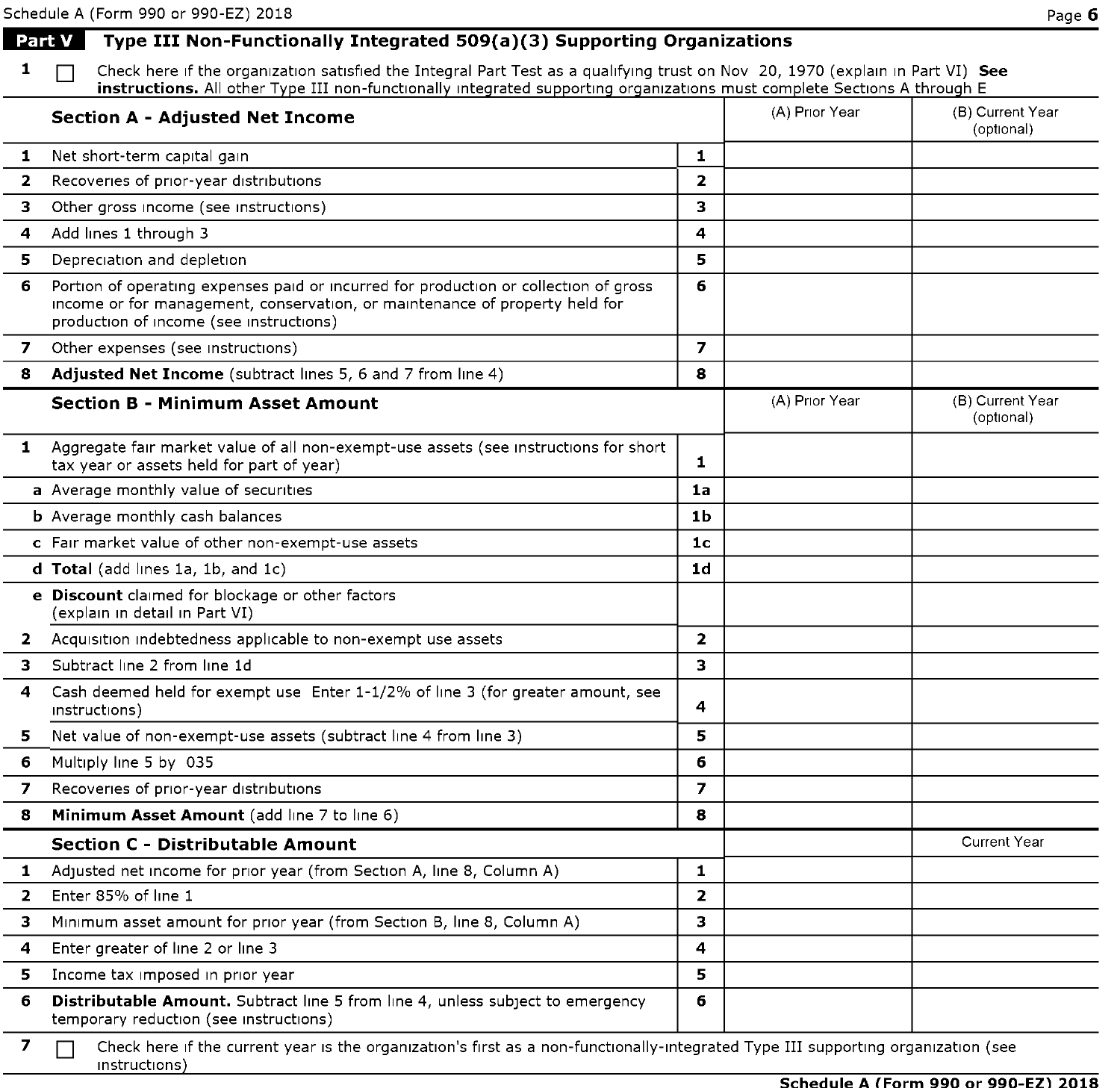|                | Schedule A (Form 990 or 990-EZ) 2018                                                                                                                                                                                                                       |                         |                | Page 6                         |
|----------------|------------------------------------------------------------------------------------------------------------------------------------------------------------------------------------------------------------------------------------------------------------|-------------------------|----------------|--------------------------------|
|                | Part V   Type III Non-Functionally Integrated 509(a)(3) Supporting Organizations                                                                                                                                                                           |                         |                |                                |
| 1              | Check here if the organization satisfied the Integral Part Test as a qualifying trust on Nov 20, 1970 (explain in Part VI) See<br>instructions. All other Type III non-functionally integrated supporting organizations must complete Sections A through E |                         |                |                                |
|                | <b>Section A - Adjusted Net Income</b>                                                                                                                                                                                                                     |                         | (A) Prior Year | (B) Current Year<br>(optional) |
| 1              | Net short-term capital gain                                                                                                                                                                                                                                | 1                       |                |                                |
| 2              | Recoveries of prior-year distributions                                                                                                                                                                                                                     | $\overline{2}$          |                |                                |
| 3              | Other gross income (see instructions)                                                                                                                                                                                                                      | 3                       |                |                                |
| 4              | Add lines 1 through 3                                                                                                                                                                                                                                      | 4                       |                |                                |
| 5              | Depreciation and depletion                                                                                                                                                                                                                                 | 5                       |                |                                |
| 6              | Portion of operating expenses paid or incurred for production or collection of gross<br>income or for management, conservation, or maintenance of property held for<br>production of income (see instructions)                                             | 6                       |                |                                |
| $\overline{ }$ | Other expenses (see instructions)                                                                                                                                                                                                                          | $\overline{\mathbf{z}}$ |                |                                |
| 8              | Adjusted Net Income (subtract lines 5, 6 and 7 from line 4)                                                                                                                                                                                                | 8                       |                |                                |
|                | <b>Section B - Minimum Asset Amount</b>                                                                                                                                                                                                                    |                         | (A) Prior Year | (B) Current Year<br>(optional) |
| 1              | Aggregate fair market value of all non-exempt-use assets (see instructions for short<br>tax year or assets held for part of year)                                                                                                                          | 1                       |                |                                |
|                | a Average monthly value of securities                                                                                                                                                                                                                      | 1a                      |                |                                |
|                | <b>b</b> Average monthly cash balances                                                                                                                                                                                                                     | 1 <sub>b</sub>          |                |                                |
|                | c Fair market value of other non-exempt-use assets                                                                                                                                                                                                         | 1 <sub>c</sub>          |                |                                |
|                | d Total (add lines 1a, 1b, and 1c)                                                                                                                                                                                                                         | 1 <sub>d</sub>          |                |                                |
|                | e Discount claimed for blockage or other factors<br>(explain in detail in Part VI)                                                                                                                                                                         |                         |                |                                |
| 2              | Acquisition indebtedness applicable to non-exempt use assets                                                                                                                                                                                               | $\overline{2}$          |                |                                |
| 3              | Subtract line 2 from line 1d                                                                                                                                                                                                                               | 3                       |                |                                |
| 4              | Cash deemed held for exempt use Enter 1-1/2% of line 3 (for greater amount, see<br>instructions)                                                                                                                                                           | 4                       |                |                                |
| 5              | Net value of non-exempt-use assets (subtract line 4 from line 3)                                                                                                                                                                                           | 5                       |                |                                |
| 6              | Multiply line 5 by 035                                                                                                                                                                                                                                     | 6                       |                |                                |
| 7              | Recoveries of prior-year distributions                                                                                                                                                                                                                     | 7                       |                |                                |
| 8              | Minimum Asset Amount (add line 7 to line 6)                                                                                                                                                                                                                | 8                       |                |                                |
|                | <b>Section C - Distributable Amount</b>                                                                                                                                                                                                                    |                         |                | <b>Current Year</b>            |
| 1              | Adjusted net income for prior year (from Section A, line 8, Column A)                                                                                                                                                                                      | 1.                      |                |                                |
| $\overline{2}$ | Enter 85% of line 1                                                                                                                                                                                                                                        | $\overline{2}$          |                |                                |
| з              | Minimum asset amount for prior year (from Section B, line 8, Column A)                                                                                                                                                                                     | 3                       |                |                                |
| 4              | Enter greater of line 2 or line 3                                                                                                                                                                                                                          | 4                       |                |                                |
| 5              | Income tax imposed in prior year                                                                                                                                                                                                                           | 5                       |                |                                |
| 6              | <b>Distributable Amount.</b> Subtract line 5 from line 4, unless subject to emergency<br>temporary reduction (see instructions)                                                                                                                            | 6                       |                |                                |
| 7              | Check here if the current year is the organization's first as a non-functionally-integrated Type III supporting organization (see<br>instructions)                                                                                                         |                         |                |                                |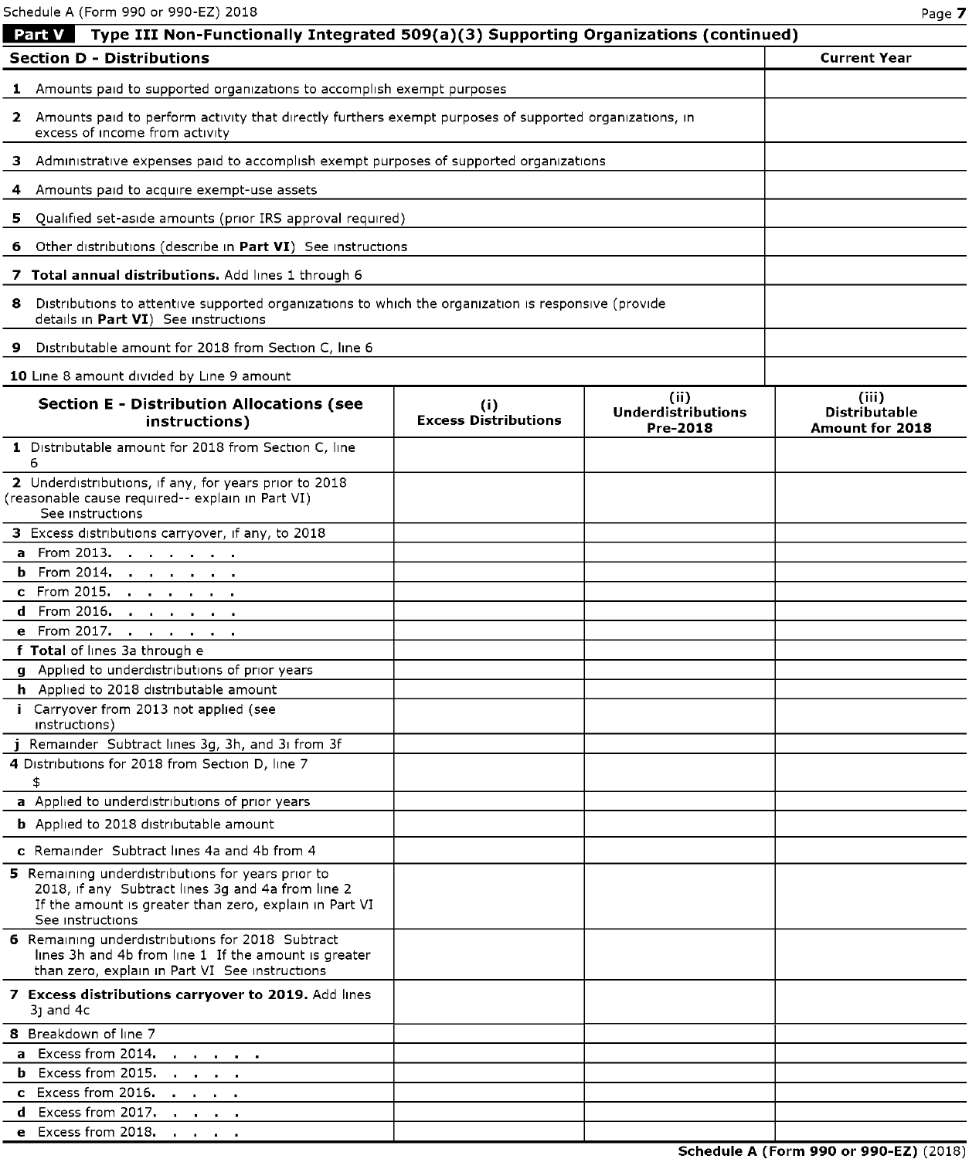Schedule A (Form 990 or 990-EZ) 2018 Page **7** 

| Type III Non-Functionally Integrated 509(a)(3) Supporting Organizations (continued)<br>Part V                                                                                        |                                    |                                               |                                                         |  |
|--------------------------------------------------------------------------------------------------------------------------------------------------------------------------------------|------------------------------------|-----------------------------------------------|---------------------------------------------------------|--|
| <b>Section D - Distributions</b>                                                                                                                                                     |                                    |                                               | <b>Current Year</b>                                     |  |
| <b>1</b> Amounts paid to supported organizations to accomplish exempt purposes                                                                                                       |                                    |                                               |                                                         |  |
| 2 Amounts paid to perform activity that directly furthers exempt purposes of supported organizations, in<br>excess of income from activity                                           |                                    |                                               |                                                         |  |
| 3 Administrative expenses paid to accomplish exempt purposes of supported organizations                                                                                              |                                    |                                               |                                                         |  |
| 4 Amounts paid to acquire exempt-use assets                                                                                                                                          |                                    |                                               |                                                         |  |
| 5 Qualified set-aside amounts (prior IRS approval required)                                                                                                                          |                                    |                                               |                                                         |  |
| 6 Other distributions (describe in Part VI) See instructions                                                                                                                         |                                    |                                               |                                                         |  |
| 7 Total annual distributions. Add lines 1 through 6                                                                                                                                  |                                    |                                               |                                                         |  |
| Distributions to attentive supported organizations to which the organization is responsive (provide<br>8<br>details in Part VI) See instructions                                     |                                    |                                               |                                                         |  |
| Distributable amount for 2018 from Section C, line 6<br>9                                                                                                                            |                                    |                                               |                                                         |  |
| 10 Line 8 amount divided by Line 9 amount                                                                                                                                            |                                    |                                               |                                                         |  |
| <b>Section E - Distribution Allocations (see</b><br>instructions)                                                                                                                    | (i)<br><b>Excess Distributions</b> | (ii)<br><b>Underdistributions</b><br>Pre-2018 | (iii)<br><b>Distributable</b><br><b>Amount for 2018</b> |  |
| 1 Distributable amount for 2018 from Section C, line<br>6                                                                                                                            |                                    |                                               |                                                         |  |
| 2 Underdistributions, if any, for years prior to 2018<br>(reasonable cause required-- explain in Part VI)<br>See instructions                                                        |                                    |                                               |                                                         |  |
| 3 Excess distributions carryover, if any, to 2018                                                                                                                                    |                                    |                                               |                                                         |  |
| a From 2013.                                                                                                                                                                         |                                    |                                               |                                                         |  |
| <b>b</b> From 2014.                                                                                                                                                                  |                                    |                                               |                                                         |  |
| c From 2015. <u>.</u>                                                                                                                                                                |                                    |                                               |                                                         |  |
| <b>d</b> From 2016.<br>e From 2017.                                                                                                                                                  |                                    |                                               |                                                         |  |
| f Total of lines 3a through e                                                                                                                                                        |                                    |                                               |                                                         |  |
| g Applied to underdistributions of prior years                                                                                                                                       |                                    |                                               |                                                         |  |
| h Applied to 2018 distributable amount                                                                                                                                               |                                    |                                               |                                                         |  |
| i Carryover from 2013 not applied (see<br>instructions)                                                                                                                              |                                    |                                               |                                                         |  |
| Remainder Subtract lines 3g, 3h, and 3i from 3f                                                                                                                                      |                                    |                                               |                                                         |  |
| 4 Distributions for 2018 from Section D, line 7                                                                                                                                      |                                    |                                               |                                                         |  |
| \$                                                                                                                                                                                   |                                    |                                               |                                                         |  |
| a Applied to underdistributions of prior years                                                                                                                                       |                                    |                                               |                                                         |  |
| <b>b</b> Applied to 2018 distributable amount                                                                                                                                        |                                    |                                               |                                                         |  |
| c Remainder Subtract lines 4a and 4b from 4                                                                                                                                          |                                    |                                               |                                                         |  |
| 5 Remaining underdistributions for years prior to<br>2018, if any Subtract lines 3q and 4a from line 2<br>If the amount is greater than zero, explain in Part VI<br>See instructions |                                    |                                               |                                                         |  |
| 6 Remaining underdistributions for 2018 Subtract<br>lines 3h and 4b from line 1 If the amount is greater<br>than zero, explain in Part VI See instructions                           |                                    |                                               |                                                         |  |
| 7 Excess distributions carryover to 2019. Add lines<br>$31$ and $4c$                                                                                                                 |                                    |                                               |                                                         |  |
| 8 Breakdown of line 7                                                                                                                                                                |                                    |                                               |                                                         |  |
| a Excess from 2014.                                                                                                                                                                  |                                    |                                               |                                                         |  |
| <b>b</b> Excess from 2015.<br><b>Contract Contract</b>                                                                                                                               |                                    |                                               |                                                         |  |
| c Excess from 2016.<br>and a strain and<br>Excess from 2017.<br>d.<br>$\mathbf{r}=\mathbf{r}+\mathbf{r}+\mathbf{r}$                                                                  |                                    |                                               |                                                         |  |
| e Excess from 2018.<br>and a strong of the                                                                                                                                           |                                    |                                               |                                                         |  |

**Schedule A (Form 990 or 990-EZ)** (2018)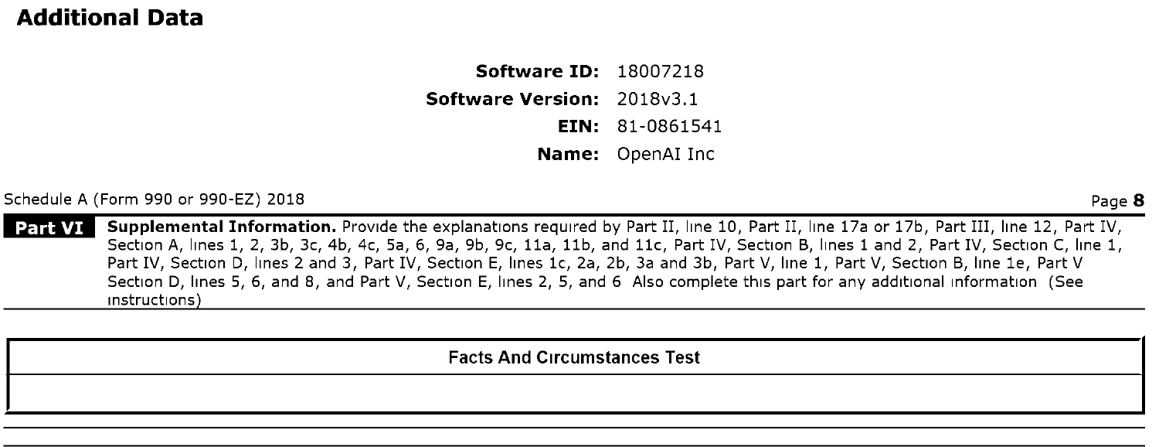## **Additional Data**

**Software ID:** 18007218

**Software Version:** 2018v3.1

**EIN:** 81-0861541

**Name:** OpenAI Inc

Schedule A (Form 990 or 990-EZ) 2018

Page **8** 

**Supplemental Information.** Provide the explanations required by Part II, line 10, Part II, line 17a or 17b, Part III, line 12, Part IV, Part VI Section A, lines 1, 2, 3b, 3c, 4b, 4c, Sa, 6, 9a, 9b, 9c, 11a, 11b, and 11c, Part IV, Section B, lines 1 and 2, Part IV, Section C, line 1, Part IV, Section D, lines 2 and 3, Part IV, Section E, lines 1c, 2a, 2b, 3a and 3b, Part V, line 1, Part V, Section B, line 1e, Part V Section D, lines 5, 6, and 8, and Part V, Section E, lines 2, 5, and 6 Also complete this part for any additional information (See instructions

**Facts And Circumstances Test**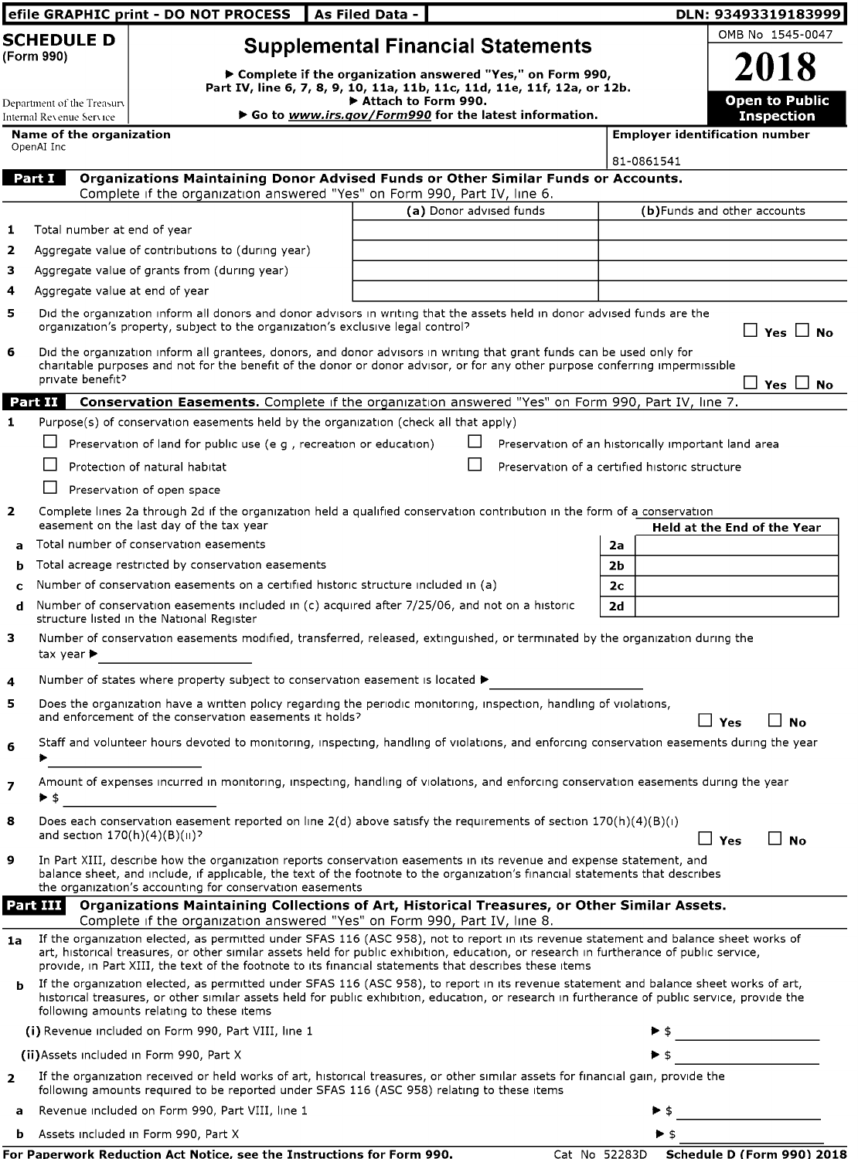|                   |                                                                                                                                                                                                                                                                                                                   | efile GRAPHIC print - DO NOT PROCESS                                                                                                                                                                                                                                                                                                                                                       | <b>LAs Filed Data -</b> |                         |                                                     |                      |                                       |            | DLN: 93493319183999                      |
|-------------------|-------------------------------------------------------------------------------------------------------------------------------------------------------------------------------------------------------------------------------------------------------------------------------------------------------------------|--------------------------------------------------------------------------------------------------------------------------------------------------------------------------------------------------------------------------------------------------------------------------------------------------------------------------------------------------------------------------------------------|-------------------------|-------------------------|-----------------------------------------------------|----------------------|---------------------------------------|------------|------------------------------------------|
|                   | <b>SCHEDULE D</b><br>(Form 990)                                                                                                                                                                                                                                                                                   | <b>Supplemental Financial Statements</b>                                                                                                                                                                                                                                                                                                                                                   |                         |                         |                                                     |                      |                                       |            | OMB No 1545-0047                         |
|                   | Department of the Treasury                                                                                                                                                                                                                                                                                        | ▶ Complete if the organization answered "Yes," on Form 990,<br>Part IV, line 6, 7, 8, 9, 10, 11a, 11b, 11c, 11d, 11e, 11f, 12a, or 12b.                                                                                                                                                                                                                                                    | Attach to Form 990.     |                         |                                                     |                      |                                       |            | 2018<br><b>Open to Public</b>            |
|                   | Internal Revenue Service                                                                                                                                                                                                                                                                                          | ▶ Go to www.irs.gov/Form990 for the latest information.                                                                                                                                                                                                                                                                                                                                    |                         |                         |                                                     |                      |                                       |            | <b>Inspection</b>                        |
|                   | <b>Name of the organization</b><br>OpenAI Inc                                                                                                                                                                                                                                                                     |                                                                                                                                                                                                                                                                                                                                                                                            |                         |                         |                                                     |                      | <b>Employer identification number</b> |            |                                          |
|                   | Part I                                                                                                                                                                                                                                                                                                            | Organizations Maintaining Donor Advised Funds or Other Similar Funds or Accounts.                                                                                                                                                                                                                                                                                                          |                         |                         |                                                     |                      | 81-0861541                            |            |                                          |
|                   |                                                                                                                                                                                                                                                                                                                   | Complete if the organization answered "Yes" on Form 990, Part IV, line 6.                                                                                                                                                                                                                                                                                                                  |                         |                         |                                                     |                      |                                       |            |                                          |
|                   |                                                                                                                                                                                                                                                                                                                   |                                                                                                                                                                                                                                                                                                                                                                                            |                         | (a) Donor advised funds |                                                     |                      | (b)Funds and other accounts           |            |                                          |
| 1                 | Total number at end of year                                                                                                                                                                                                                                                                                       |                                                                                                                                                                                                                                                                                                                                                                                            |                         |                         |                                                     |                      |                                       |            |                                          |
| $\mathbf{z}$<br>з |                                                                                                                                                                                                                                                                                                                   | Aggregate value of contributions to (during year)<br>Aggregate value of grants from (during year)                                                                                                                                                                                                                                                                                          |                         |                         |                                                     |                      |                                       |            |                                          |
| 4                 | Aggregate value at end of year                                                                                                                                                                                                                                                                                    |                                                                                                                                                                                                                                                                                                                                                                                            |                         |                         |                                                     |                      |                                       |            |                                          |
| 5                 |                                                                                                                                                                                                                                                                                                                   | Did the organization inform all donors and donor advisors in writing that the assets held in donor advised funds are the<br>organization's property, subject to the organization's exclusive legal control?                                                                                                                                                                                |                         |                         |                                                     |                      |                                       |            | $\Box$ Yes $\Box$ No                     |
| 6                 | private benefit?                                                                                                                                                                                                                                                                                                  | Did the organization inform all grantees, donors, and donor advisors in writing that grant funds can be used only for<br>charitable purposes and not for the benefit of the donor or donor advisor, or for any other purpose conferring impermissible                                                                                                                                      |                         |                         |                                                     |                      |                                       |            | Yes I No                                 |
|                   | Part II                                                                                                                                                                                                                                                                                                           | Conservation Easements. Complete if the organization answered "Yes" on Form 990, Part IV, line 7.                                                                                                                                                                                                                                                                                          |                         |                         |                                                     |                      |                                       |            |                                          |
| $\mathbf{1}$      |                                                                                                                                                                                                                                                                                                                   | Purpose(s) of conservation easements held by the organization (check all that apply)                                                                                                                                                                                                                                                                                                       |                         |                         |                                                     |                      |                                       |            |                                          |
|                   |                                                                                                                                                                                                                                                                                                                   | Preservation of land for public use (e g, recreation or education)                                                                                                                                                                                                                                                                                                                         |                         |                         | Preservation of an historically important land area |                      |                                       |            |                                          |
|                   |                                                                                                                                                                                                                                                                                                                   | Protection of natural habitat                                                                                                                                                                                                                                                                                                                                                              |                         |                         | Preservation of a certified historic structure      |                      |                                       |            |                                          |
|                   |                                                                                                                                                                                                                                                                                                                   | Preservation of open space                                                                                                                                                                                                                                                                                                                                                                 |                         |                         |                                                     |                      |                                       |            |                                          |
| $\mathbf{z}$      |                                                                                                                                                                                                                                                                                                                   | Complete lines 2a through 2d if the organization held a qualified conservation contribution in the form of a conservation<br>easement on the last day of the tax year                                                                                                                                                                                                                      |                         |                         |                                                     |                      |                                       |            | Held at the End of the Year              |
| a                 |                                                                                                                                                                                                                                                                                                                   | Total number of conservation easements<br>Total acreage restricted by conservation easements                                                                                                                                                                                                                                                                                               |                         |                         |                                                     | 2a                   |                                       |            |                                          |
| b<br>C            |                                                                                                                                                                                                                                                                                                                   | Number of conservation easements on a certified historic structure included in (a)                                                                                                                                                                                                                                                                                                         |                         |                         |                                                     | 2b<br>2 <sub>c</sub> |                                       |            |                                          |
| d                 |                                                                                                                                                                                                                                                                                                                   | Number of conservation easements included in (c) acquired after 7/25/06, and not on a historic                                                                                                                                                                                                                                                                                             |                         |                         |                                                     | 2d                   |                                       |            |                                          |
| з                 |                                                                                                                                                                                                                                                                                                                   | structure listed in the National Register<br>Number of conservation easements modified, transferred, released, extinguished, or terminated by the organization during the                                                                                                                                                                                                                  |                         |                         |                                                     |                      |                                       |            |                                          |
|                   | tax year $\blacktriangleright$                                                                                                                                                                                                                                                                                    |                                                                                                                                                                                                                                                                                                                                                                                            |                         |                         |                                                     |                      |                                       |            |                                          |
| 4                 |                                                                                                                                                                                                                                                                                                                   | Number of states where property subject to conservation easement is located ▶                                                                                                                                                                                                                                                                                                              |                         |                         |                                                     |                      |                                       |            |                                          |
| 5                 |                                                                                                                                                                                                                                                                                                                   | Does the organization have a written policy regarding the periodic monitoring, inspection, handling of violations,<br>and enforcement of the conservation easements it holds?                                                                                                                                                                                                              |                         |                         |                                                     |                      |                                       | 」Yes       | No                                       |
| 6                 |                                                                                                                                                                                                                                                                                                                   | Staff and volunteer hours devoted to monitoring, inspecting, handling of violations, and enforcing conservation easements during the year                                                                                                                                                                                                                                                  |                         |                         |                                                     |                      |                                       |            |                                          |
| 7                 | ▶ \$                                                                                                                                                                                                                                                                                                              | Amount of expenses incurred in monitoring, inspecting, handling of violations, and enforcing conservation easements during the year                                                                                                                                                                                                                                                        |                         |                         |                                                     |                      |                                       |            |                                          |
| 8                 | and section $170(h)(4)(B)(ii)$ ?                                                                                                                                                                                                                                                                                  | Does each conservation easement reported on line $2(d)$ above satisfy the requirements of section $170(h)(4)(B)(i)$                                                                                                                                                                                                                                                                        |                         |                         |                                                     |                      |                                       | $\Box$ Yes | $\Box$ No                                |
| 9                 | In Part XIII, describe how the organization reports conservation easements in its revenue and expense statement, and<br>balance sheet, and include, if applicable, the text of the footnote to the organization's financial statements that describes<br>the organization's accounting for conservation easements |                                                                                                                                                                                                                                                                                                                                                                                            |                         |                         |                                                     |                      |                                       |            |                                          |
|                   | Part III                                                                                                                                                                                                                                                                                                          | Organizations Maintaining Collections of Art, Historical Treasures, or Other Similar Assets.<br>Complete if the organization answered "Yes" on Form 990, Part IV, line 8.                                                                                                                                                                                                                  |                         |                         |                                                     |                      |                                       |            |                                          |
| 1a                |                                                                                                                                                                                                                                                                                                                   | If the organization elected, as permitted under SFAS 116 (ASC 958), not to report in its revenue statement and balance sheet works of<br>art, historical treasures, or other similar assets held for public exhibition, education, or research in furtherance of public service,<br>provide, in Part XIII, the text of the footnote to its financial statements that describes these items |                         |                         |                                                     |                      |                                       |            |                                          |
| b                 |                                                                                                                                                                                                                                                                                                                   | If the organization elected, as permitted under SFAS 116 (ASC 958), to report in its revenue statement and balance sheet works of art,<br>historical treasures, or other similar assets held for public exhibition, education, or research in furtherance of public service, provide the<br>following amounts relating to these items                                                      |                         |                         |                                                     |                      |                                       |            |                                          |
|                   |                                                                                                                                                                                                                                                                                                                   | (i) Revenue included on Form 990, Part VIII, line 1                                                                                                                                                                                                                                                                                                                                        |                         |                         |                                                     |                      |                                       |            |                                          |
|                   |                                                                                                                                                                                                                                                                                                                   | (ii) Assets included in Form 990, Part X                                                                                                                                                                                                                                                                                                                                                   |                         |                         |                                                     |                      |                                       |            |                                          |
| $\overline{2}$    |                                                                                                                                                                                                                                                                                                                   | If the organization received or held works of art, historical treasures, or other similar assets for financial gain, provide the<br>following amounts required to be reported under SFAS 116 (ASC 958) relating to these items                                                                                                                                                             |                         |                         |                                                     |                      |                                       |            |                                          |
| a                 |                                                                                                                                                                                                                                                                                                                   | Revenue included on Form 990, Part VIII, line 1                                                                                                                                                                                                                                                                                                                                            |                         |                         |                                                     |                      |                                       |            |                                          |
| b                 |                                                                                                                                                                                                                                                                                                                   | Assets included in Form 990, Part X                                                                                                                                                                                                                                                                                                                                                        |                         |                         |                                                     |                      | ▶ \$                                  |            |                                          |
|                   |                                                                                                                                                                                                                                                                                                                   | For Paperwork Reduction Act Notice, see the Instructions for Form 990.                                                                                                                                                                                                                                                                                                                     |                         |                         |                                                     |                      |                                       |            | Cat No 52283D Schedule D (Form 990) 2018 |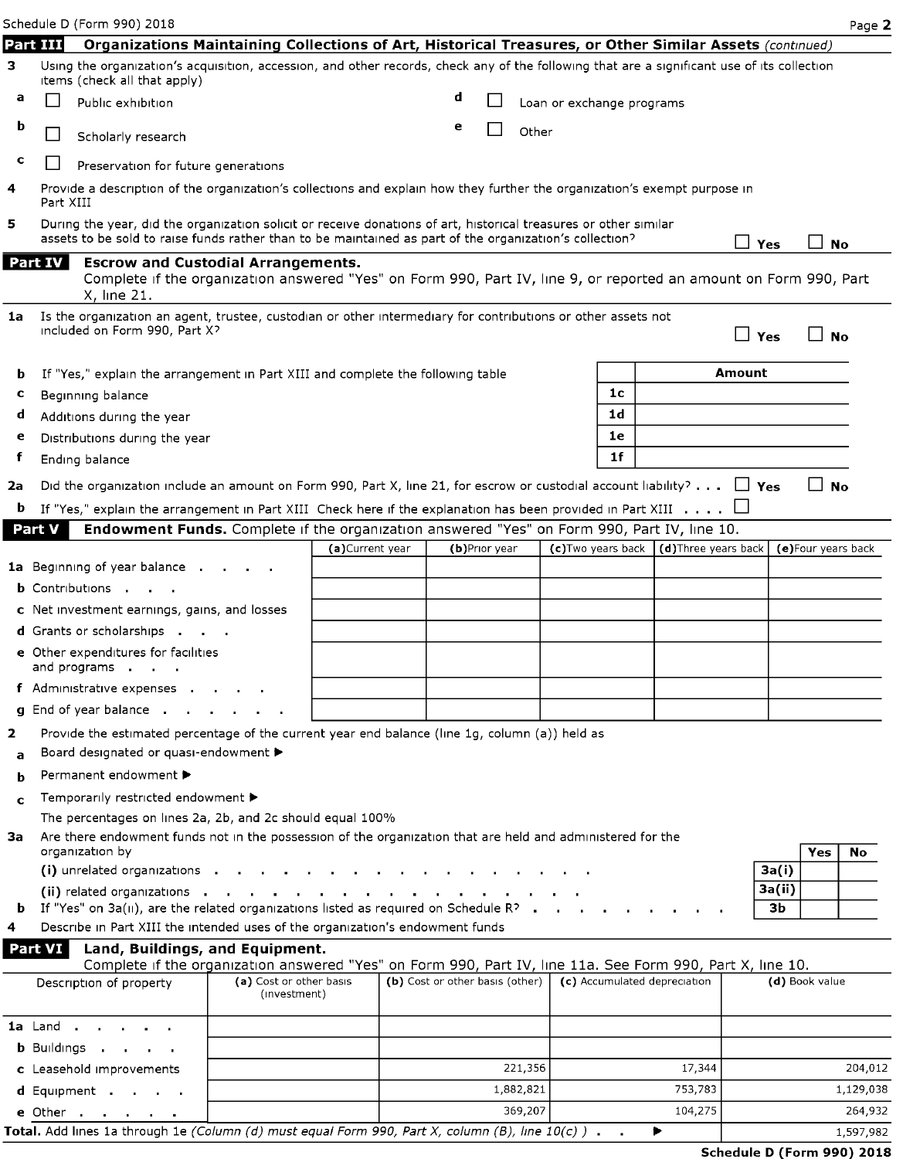|             |                | Schedule D (Form 990) 2018                                                                                                                                                                                                  |                                         |                  |                                 |   |               |           |                           |    |                                         |               |                     | Page 2    |
|-------------|----------------|-----------------------------------------------------------------------------------------------------------------------------------------------------------------------------------------------------------------------------|-----------------------------------------|------------------|---------------------------------|---|---------------|-----------|---------------------------|----|-----------------------------------------|---------------|---------------------|-----------|
|             | Part III       | Organizations Maintaining Collections of Art, Historical Treasures, or Other Similar Assets (continued)                                                                                                                     |                                         |                  |                                 |   |               |           |                           |    |                                         |               |                     |           |
| з           |                | Using the organization's acquisition, accession, and other records, check any of the following that are a significant use of its collection<br>items (check all that apply)                                                 |                                         |                  |                                 |   |               |           |                           |    |                                         |               |                     |           |
| a           |                | Public exhibition                                                                                                                                                                                                           |                                         |                  |                                 | d |               |           | Loan or exchange programs |    |                                         |               |                     |           |
| b           |                | Scholarly research                                                                                                                                                                                                          |                                         |                  |                                 | e |               | Other     |                           |    |                                         |               |                     |           |
| c           |                | Preservation for future generations                                                                                                                                                                                         |                                         |                  |                                 |   |               |           |                           |    |                                         |               |                     |           |
| 4           | Part XIII      | Provide a description of the organization's collections and explain how they further the organization's exempt purpose in                                                                                                   |                                         |                  |                                 |   |               |           |                           |    |                                         |               |                     |           |
| 5           |                | During the year, did the organization solicit or receive donations of art, historical treasures or other similar<br>assets to be sold to raise funds rather than to be maintained as part of the organization's collection? |                                         |                  |                                 |   |               |           |                           |    |                                         | ΙI<br>Yes     |                     | <b>No</b> |
|             | <b>Part IV</b> | <b>Escrow and Custodial Arrangements.</b><br>Complete if the organization answered "Yes" on Form 990, Part IV, line 9, or reported an amount on Form 990, Part<br>X, line 21.                                               |                                         |                  |                                 |   |               |           |                           |    |                                         |               |                     |           |
| 1a          |                | Is the organization an agent, trustee, custodian or other intermediary for contributions or other assets not<br>included on Form 990, Part X?                                                                               |                                         |                  |                                 |   |               |           |                           |    |                                         | $\Box$ Yes    | ⊿ No                |           |
| b           |                | If "Yes," explain the arrangement in Part XIII and complete the following table                                                                                                                                             |                                         |                  |                                 |   |               |           |                           |    |                                         | <b>Amount</b> |                     |           |
| с           |                | Beginning balance                                                                                                                                                                                                           |                                         |                  |                                 |   |               |           |                           | 1c |                                         |               |                     |           |
| d           |                | Additions during the year                                                                                                                                                                                                   |                                         |                  |                                 |   |               |           |                           | 1d |                                         |               |                     |           |
| e           |                | Distributions during the year                                                                                                                                                                                               |                                         |                  |                                 |   |               |           |                           | 1e |                                         |               |                     |           |
| f           |                | Ending balance                                                                                                                                                                                                              |                                         |                  |                                 |   |               |           |                           | 1f |                                         |               |                     |           |
| 2a          |                | Did the organization include an amount on Form 990, Part X, line 21, for escrow or custodial account liability? $\Box$ Yes                                                                                                  |                                         |                  |                                 |   |               |           |                           |    |                                         |               | $\Box$              | <b>No</b> |
| b           |                | If "Yes," explain the arrangement in Part XIII Check here if the explanation has been provided in Part XIII $\dots$ .                                                                                                       |                                         |                  |                                 |   |               |           |                           |    |                                         |               |                     |           |
|             | Part V         | Endowment Funds. Complete if the organization answered "Yes" on Form 990, Part IV, line 10.                                                                                                                                 |                                         |                  |                                 |   |               |           |                           |    |                                         |               |                     |           |
|             |                |                                                                                                                                                                                                                             |                                         | (a) Current year |                                 |   | (b)Prior year |           |                           |    | (c)Two years back   (d)Three years back |               | (e) Four years back |           |
|             |                | <b>1a</b> Beginning of year balance.                                                                                                                                                                                        |                                         |                  |                                 |   |               |           |                           |    |                                         |               |                     |           |
|             |                | <b>b</b> Contributions                                                                                                                                                                                                      |                                         |                  |                                 |   |               |           |                           |    |                                         |               |                     |           |
|             |                | c Net investment earnings, gains, and losses                                                                                                                                                                                |                                         |                  |                                 |   |               |           |                           |    |                                         |               |                     |           |
|             |                | <b>d</b> Grants or scholarships <b>.</b><br>e Other expenditures for facilities                                                                                                                                             |                                         |                  |                                 |   |               |           |                           |    |                                         |               |                     |           |
|             |                | and programs<br>f Administrative expenses.                                                                                                                                                                                  |                                         |                  |                                 |   |               |           |                           |    |                                         |               |                     |           |
|             |                | <b>g</b> End of year balance.                                                                                                                                                                                               |                                         |                  |                                 |   |               |           |                           |    |                                         |               |                     |           |
| 2           |                | Provide the estimated percentage of the current year end balance (line 1g, column (a)) held as                                                                                                                              |                                         |                  |                                 |   |               |           |                           |    |                                         |               |                     |           |
| a           |                | Board designated or quasi-endowment ▶                                                                                                                                                                                       |                                         |                  |                                 |   |               |           |                           |    |                                         |               |                     |           |
| b           |                | Permanent endowment ▶                                                                                                                                                                                                       |                                         |                  |                                 |   |               |           |                           |    |                                         |               |                     |           |
| $\mathbf c$ |                | Temporarily restricted endowment ▶                                                                                                                                                                                          |                                         |                  |                                 |   |               |           |                           |    |                                         |               |                     |           |
|             |                | The percentages on lines 2a, 2b, and 2c should equal 100%                                                                                                                                                                   |                                         |                  |                                 |   |               |           |                           |    |                                         |               |                     |           |
| За          |                | Are there endowment funds not in the possession of the organization that are held and administered for the                                                                                                                  |                                         |                  |                                 |   |               |           |                           |    |                                         |               |                     |           |
|             |                | organization by<br>(i) unrelated organizations .                                                                                                                                                                            |                                         |                  |                                 |   |               |           |                           |    |                                         | 3a(i)         | Yes                 | No.       |
|             |                | (ii) related organizations.                                                                                                                                                                                                 | $\sim$                                  |                  |                                 |   |               |           |                           |    |                                         | 3a(ii)        |                     |           |
| b.          |                | If "Yes" on $3a(II)$ , are the related organizations listed as required on Schedule R? $\blacksquare$                                                                                                                       |                                         |                  |                                 |   |               |           |                           |    |                                         | Зb            |                     |           |
| 4           |                | Describe in Part XIII the intended uses of the organization's endowment funds                                                                                                                                               |                                         |                  |                                 |   |               |           |                           |    |                                         |               |                     |           |
|             | Part VI        | Land, Buildings, and Equipment.<br>Complete if the organization answered "Yes" on Form 990, Part IV, line 11a. See Form 990, Part X, line 10.                                                                               |                                         |                  |                                 |   |               |           |                           |    |                                         |               |                     |           |
|             |                | Description of property                                                                                                                                                                                                     | (a) Cost or other basis<br>(investment) |                  | (b) Cost or other basis (other) |   |               |           |                           |    | (c) Accumulated depreciation            |               | (d) Book value      |           |
|             | <b>1a</b> Land |                                                                                                                                                                                                                             |                                         |                  |                                 |   |               |           |                           |    |                                         |               |                     |           |
|             |                | <b>b</b> Buildings .                                                                                                                                                                                                        |                                         |                  |                                 |   |               |           |                           |    |                                         |               |                     |           |
|             |                | c Leasehold improvements                                                                                                                                                                                                    |                                         |                  |                                 |   |               | 221,356   |                           |    | 17,344                                  |               |                     | 204,012   |
|             |                | d Equipment                                                                                                                                                                                                                 |                                         |                  |                                 |   |               | 1,882,821 |                           |    | 753,783                                 |               |                     | 1,129,038 |

**e** Other 369,207 **104,275** 264,932 264,932 264,932 264,932 264,932 Total. Add lines 1a through 1e (Column (d) must equal Form 990, Part X, column (B), line 10(c)) . . ▶ 1,597,982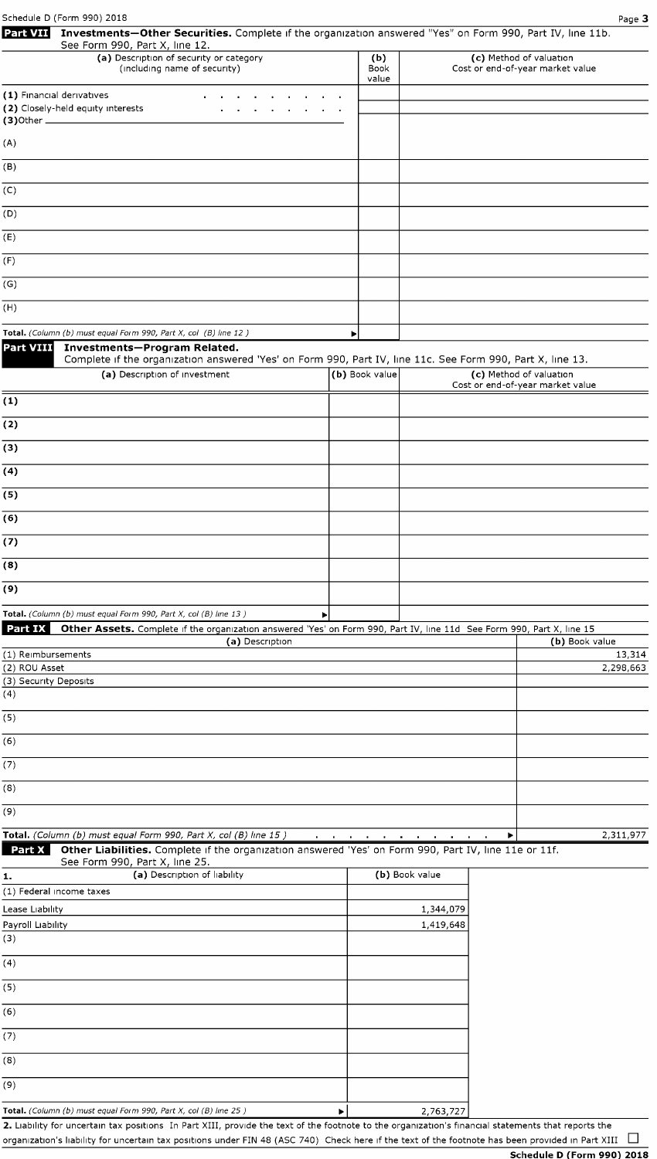| Schedule D (Form 990) 2018<br>Investments-Other Securities. Complete if the organization answered "Yes" on Form 990, Part IV, line 11b.<br><b>Part VII</b>                                                   |                      |                        | Page 3                                                      |
|--------------------------------------------------------------------------------------------------------------------------------------------------------------------------------------------------------------|----------------------|------------------------|-------------------------------------------------------------|
| See Form 990, Part X, line 12.                                                                                                                                                                               |                      |                        |                                                             |
| (a) Description of security or category<br>(including name of security)                                                                                                                                      | (b)<br>Book<br>value |                        | (c) Method of valuation<br>Cost or end-of-year market value |
| (1) Financial derivatives<br>(2) Closely-held equity interests                                                                                                                                               |                      |                        |                                                             |
| (A)                                                                                                                                                                                                          |                      |                        |                                                             |
| (B)                                                                                                                                                                                                          |                      |                        |                                                             |
| (C)                                                                                                                                                                                                          |                      |                        |                                                             |
| (D)                                                                                                                                                                                                          |                      |                        |                                                             |
| (E)                                                                                                                                                                                                          |                      |                        |                                                             |
| (F)                                                                                                                                                                                                          |                      |                        |                                                             |
| (G)                                                                                                                                                                                                          |                      |                        |                                                             |
| (H)                                                                                                                                                                                                          |                      |                        |                                                             |
| Total. (Column (b) must equal Form 990, Part X, col (B) line 12)                                                                                                                                             | ▶                    |                        |                                                             |
| <b>Part VIII</b><br>Investments-Program Related.<br>Complete if the organization answered 'Yes' on Form 990, Part IV, line 11c. See Form 990, Part X, line 13.                                               |                      |                        |                                                             |
| (a) Description of investment                                                                                                                                                                                | (b) Book value       |                        | (c) Method of valuation<br>Cost or end-of-year market value |
| (1)                                                                                                                                                                                                          |                      |                        |                                                             |
| (2)                                                                                                                                                                                                          |                      |                        |                                                             |
| (3)                                                                                                                                                                                                          |                      |                        |                                                             |
| (4)                                                                                                                                                                                                          |                      |                        |                                                             |
| (5)                                                                                                                                                                                                          |                      |                        |                                                             |
| (6)                                                                                                                                                                                                          |                      |                        |                                                             |
| (7)                                                                                                                                                                                                          |                      |                        |                                                             |
| (8)                                                                                                                                                                                                          |                      |                        |                                                             |
| (9)                                                                                                                                                                                                          |                      |                        |                                                             |
| Total. (Column (b) must equal Form 990, Part X, col (B) line 13)<br><b>Part IX</b><br>Other Assets. Complete if the organization answered 'Yes' on Form 990, Part IV, line 11d See Form 990, Part X, line 15 |                      |                        |                                                             |
| (a) Description                                                                                                                                                                                              |                      |                        | (b) Book value                                              |
| (1) Reimbursements<br>(2) ROU Asset                                                                                                                                                                          |                      |                        | 13,314<br>2,298,663                                         |
| (3) Security Deposits<br>(4)                                                                                                                                                                                 |                      |                        |                                                             |
| (5)                                                                                                                                                                                                          |                      |                        |                                                             |
| (6)                                                                                                                                                                                                          |                      |                        |                                                             |
| (7)                                                                                                                                                                                                          |                      |                        |                                                             |
| (8)                                                                                                                                                                                                          |                      |                        |                                                             |
| (9)                                                                                                                                                                                                          |                      |                        |                                                             |
| Total. (Column (b) must equal Form 990, Part X, col (B) line 15)                                                                                                                                             |                      |                        | 2,311,977<br>▶                                              |
| Part X<br>Other Liabilities. Complete if the organization answered 'Yes' on Form 990, Part IV, line 11e or 11f.<br>See Form 990, Part X, line 25.                                                            |                      |                        |                                                             |
| (a) Description of liability<br>1.                                                                                                                                                                           |                      | (b) Book value         |                                                             |
| (1) Federal income taxes                                                                                                                                                                                     |                      |                        |                                                             |
| Lease Liability<br>Payroll Liability                                                                                                                                                                         |                      | 1,344,079<br>1,419,648 |                                                             |
| (3)                                                                                                                                                                                                          |                      |                        |                                                             |
| (4)                                                                                                                                                                                                          |                      |                        |                                                             |
| (5)                                                                                                                                                                                                          |                      |                        |                                                             |
| (6)                                                                                                                                                                                                          |                      |                        |                                                             |
| (7)                                                                                                                                                                                                          |                      |                        |                                                             |
| (8)                                                                                                                                                                                                          |                      |                        |                                                             |
| (9)                                                                                                                                                                                                          |                      |                        |                                                             |
| Total. (Column (b) must equal Form 990, Part X, col (B) line 25)<br>▶                                                                                                                                        |                      | 2.763.727              |                                                             |

**2.** Liability for uncertain tax positions In Part XIII, provide the text of the footnote to the organization's financial statements that reports the organization's liability for uncertain tax positions under FIN 48 (ASC 740) Check here if the text of the footnote has been provided in Part XIII  $\Box$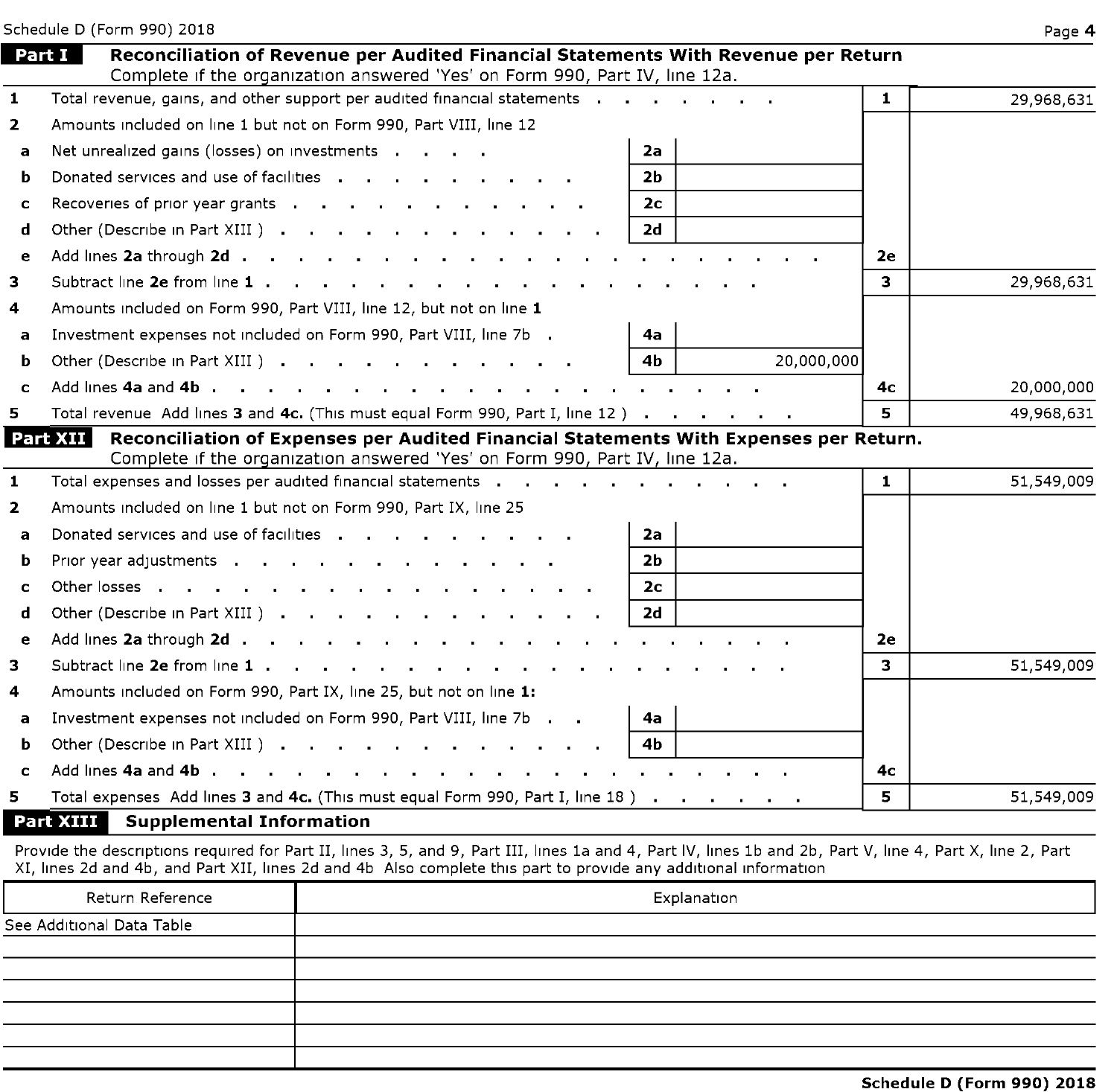|              | Schedule D (Form 990) 2018                                                                                                                                                                                                     |              | Page 4     |
|--------------|--------------------------------------------------------------------------------------------------------------------------------------------------------------------------------------------------------------------------------|--------------|------------|
|              | Part I<br>Reconciliation of Revenue per Audited Financial Statements With Revenue per Return                                                                                                                                   |              |            |
| $\mathbf{1}$ | Complete if the organization answered 'Yes' on Form 990, Part IV, line 12a.<br>Total revenue, gains, and other support per audited financial statements (all cases in terms of the control of                                  | $\mathbf{1}$ | 29,968,631 |
| $\mathbf{2}$ | Amounts included on line 1 but not on Form 990, Part VIII, line 12                                                                                                                                                             |              |            |
| a            | Net unrealized gains (losses) on investments<br>2a                                                                                                                                                                             |              |            |
| b            | Donated services and use of facilities and a series and the series and the series are a series and the series<br>2b                                                                                                            |              |            |
| $\mathbf c$  | Recoveries of prior year grants<br>2 <sub>c</sub>                                                                                                                                                                              |              |            |
| d            | Other (Describe in Part XIII)<br>2d                                                                                                                                                                                            |              |            |
| e            |                                                                                                                                                                                                                                | 2e           |            |
| з.           | Subtract line 2e from line 1                                                                                                                                                                                                   | 3            | 29,968,631 |
| 4            | Amounts included on Form 990, Part VIII, line 12, but not on line 1                                                                                                                                                            |              |            |
| $\mathbf{a}$ | Investment expenses not included on Form 990, Part VIII, line 7b .<br>4a                                                                                                                                                       |              |            |
| b            | 4 <sub>b</sub><br>Other (Describe in Part XIII).<br>20,000,000                                                                                                                                                                 |              |            |
| c            |                                                                                                                                                                                                                                | 4с           | 20,000,000 |
| 5.           | Total revenue Add lines 3 and 4c. (This must equal Form 990, Part I, line 12)                                                                                                                                                  | 5.           | 49,968,631 |
|              | Reconciliation of Expenses per Audited Financial Statements With Expenses per Return.<br>Part XII                                                                                                                              |              |            |
|              | Complete if the organization answered 'Yes' on Form 990, Part IV, line 12a.                                                                                                                                                    |              |            |
| $\mathbf{1}$ | Total expenses and losses per audited financial statements and and and and annual statements and a set of the statements and a set of the statements are all the statements of the statements of the statements of the stateme | $\mathbf{1}$ | 51,549,009 |
| $\mathbf{2}$ | Amounts included on line 1 but not on Form 990, Part IX, line 25                                                                                                                                                               |              |            |
| a            | Donated services and use of facilities<br>2a                                                                                                                                                                                   |              |            |
| b            | Prior year adjustments<br>2 <sub>b</sub>                                                                                                                                                                                       |              |            |
| C            | 2с                                                                                                                                                                                                                             |              |            |
| d            | Other (Describe in Part XIII )<br>2d                                                                                                                                                                                           |              |            |
| e            | Add lines 2a through 2d                                                                                                                                                                                                        | 2e           |            |
| 3.           | Subtract line 2e from line 1                                                                                                                                                                                                   | 3            | 51,549,009 |
| 4            | Amounts included on Form 990, Part IX, line 25, but not on line 1:                                                                                                                                                             |              |            |
| a            | Investment expenses not included on Form 990, Part VIII, line 7b<br>4a                                                                                                                                                         |              |            |
| b            | Other (Describe in Part XIII )<br>4b                                                                                                                                                                                           |              |            |
| C            |                                                                                                                                                                                                                                | 4с           |            |
| 5.           | Total expenses Add lines 3 and 4c. (This must equal Form 990, Part I, line 18)                                                                                                                                                 | 5            | 51,549,009 |
|              | Part XIII<br><b>Supplemental Information</b>                                                                                                                                                                                   |              |            |

Provide the descriptions required for Part II, lines 3, 5, and 9, Part III, lines 1a and 4, Part IV, lines 1b and 2b, Part V, line 4, Part X, line 2, Part XI, lines 2d and 4b, and Part XII, lines 2d and 4b Also complete this part to provide any additional information

| Return Reference          | Explanation |
|---------------------------|-------------|
| See Additional Data Table |             |
|                           |             |
|                           |             |
|                           |             |
|                           |             |
|                           |             |
|                           |             |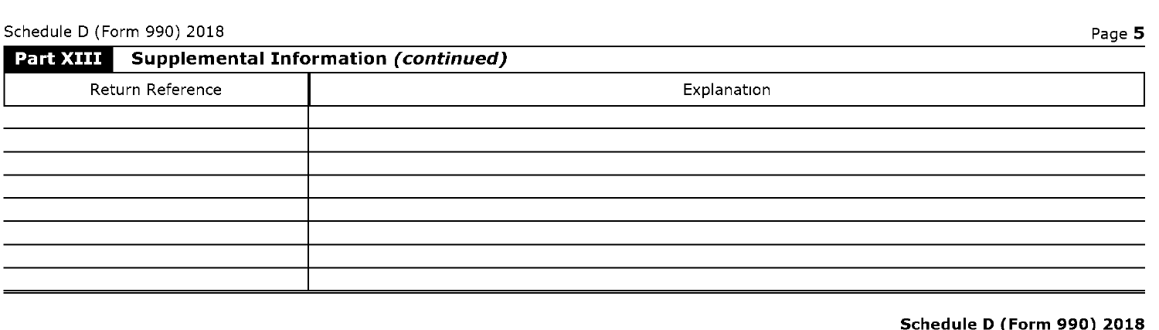| Part XIII Supplemental Information (continued) | ----        |
|------------------------------------------------|-------------|
| Return Reference                               | Explanation |
|                                                |             |
|                                                |             |
|                                                |             |
|                                                |             |
|                                                |             |
|                                                |             |

#### **Schedule D (Form 990) 2018**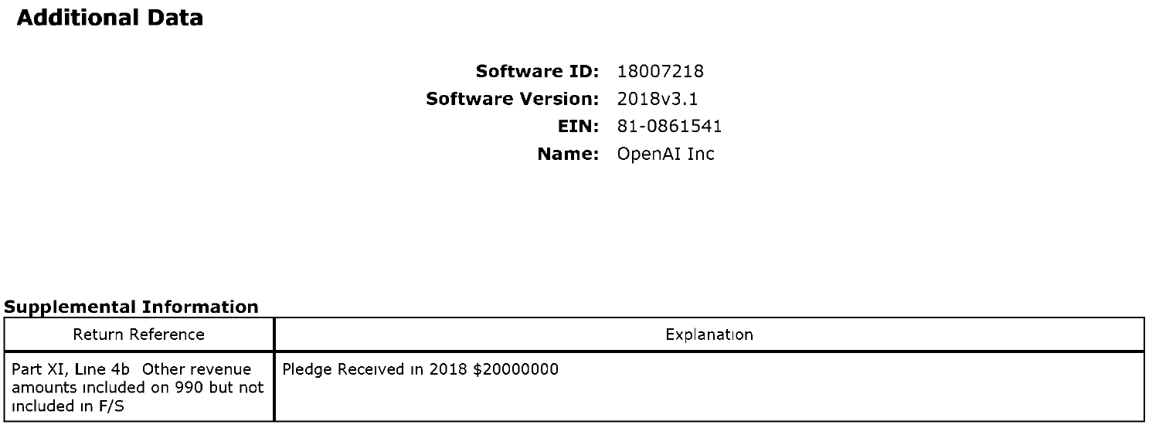## **Additional Data**

**Software ID:** 18007218 **Software Version:** 2018v3.1 **EIN:** 81-0861541 **Name:** OpenAI Inc

#### **supplemental Information**

| Return Reference                                                                     | Explanation                        |
|--------------------------------------------------------------------------------------|------------------------------------|
| Part XI, Line 4b Other revenue<br>amounts included on 990 but not<br>included in F/S | Pledge Received in 2018 \$20000000 |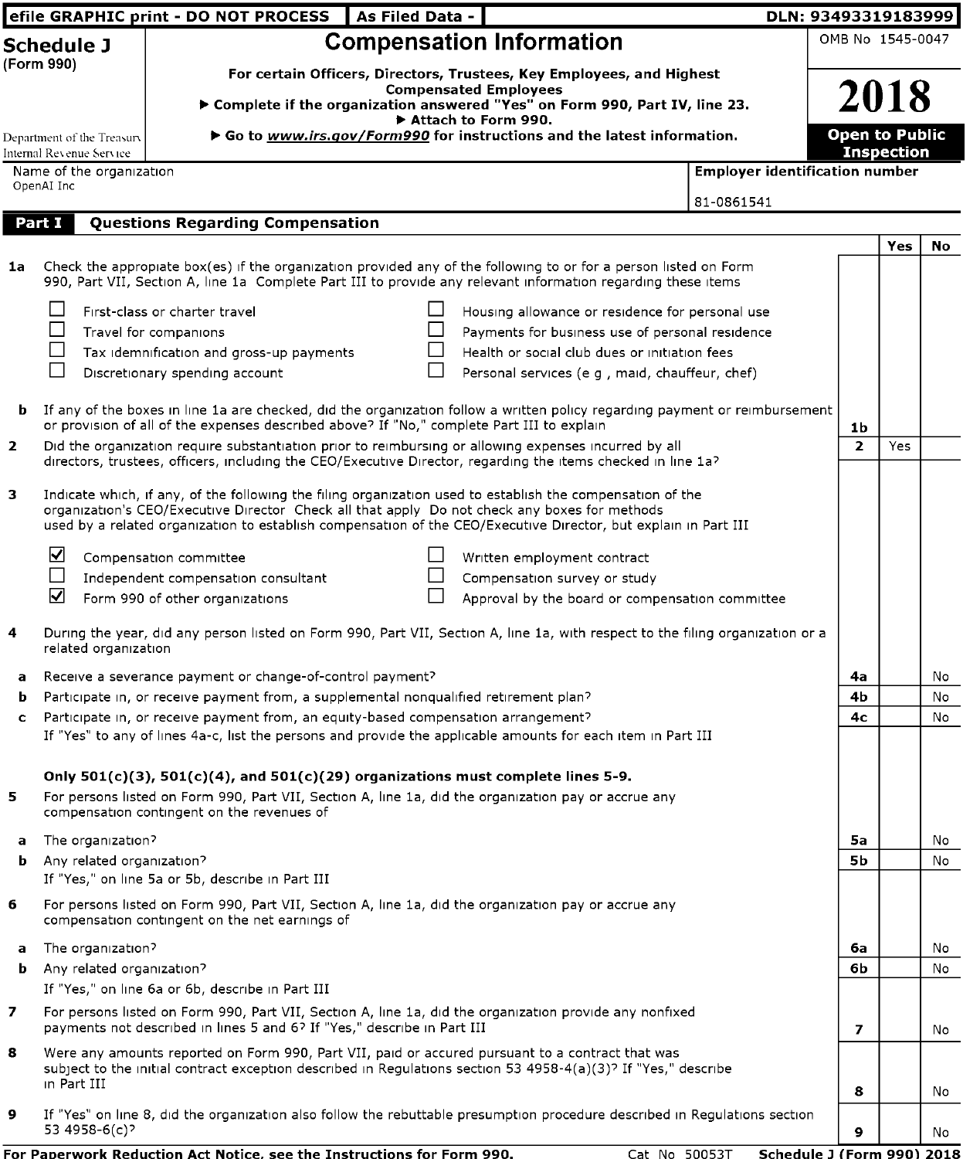|                |                                                        | efile GRAPHIC print - DO NOT PROCESS                                                                                           | As Filed Data - |                                                                                                                                                                                                                                   | DLN: 93493319183999                   |                          |                                            |     |
|----------------|--------------------------------------------------------|--------------------------------------------------------------------------------------------------------------------------------|-----------------|-----------------------------------------------------------------------------------------------------------------------------------------------------------------------------------------------------------------------------------|---------------------------------------|--------------------------|--------------------------------------------|-----|
|                | <b>Schedule J</b>                                      |                                                                                                                                |                 | <b>Compensation Information</b>                                                                                                                                                                                                   |                                       |                          | OMB No 1545-0047                           |     |
|                | (Form 990)                                             |                                                                                                                                |                 | For certain Officers, Directors, Trustees, Key Employees, and Highest<br><b>Compensated Employees</b><br>Complete if the organization answered "Yes" on Form 990, Part IV, line 23.<br>Attach to Form 990.                        |                                       |                          | 2018                                       |     |
|                | Department of the Treasury<br>Internal Revenue Service |                                                                                                                                |                 | ▶ Go to www.irs.gov/Form990 for instructions and the latest information.                                                                                                                                                          |                                       |                          | <b>Open to Public</b><br><b>Inspection</b> |     |
|                | Name of the organization<br>OpenAI Inc                 |                                                                                                                                |                 |                                                                                                                                                                                                                                   | <b>Employer identification number</b> |                          |                                            |     |
|                |                                                        |                                                                                                                                |                 |                                                                                                                                                                                                                                   | 81-0861541                            |                          |                                            |     |
|                | Part I                                                 | <b>Questions Regarding Compensation</b>                                                                                        |                 |                                                                                                                                                                                                                                   |                                       |                          |                                            |     |
| 1a             |                                                        |                                                                                                                                |                 | Check the appropiate box(es) if the organization provided any of the following to or for a person listed on Form<br>990, Part VII, Section A, line 1a Complete Part III to provide any relevant information regarding these items |                                       |                          | Yes                                        | No  |
|                |                                                        | First-class or charter travel                                                                                                  | ΙI              | Housing allowance or residence for personal use                                                                                                                                                                                   |                                       |                          |                                            |     |
|                |                                                        | Travel for companions                                                                                                          |                 | Payments for business use of personal residence                                                                                                                                                                                   |                                       |                          |                                            |     |
|                |                                                        | Tax idemnification and gross-up payments                                                                                       |                 | Health or social club dues or initiation fees                                                                                                                                                                                     |                                       |                          |                                            |     |
|                |                                                        | Discretionary spending account                                                                                                 |                 | Personal services (e g, maid, chauffeur, chef)                                                                                                                                                                                    |                                       |                          |                                            |     |
| b              |                                                        | or provision of all of the expenses described above? If "No," complete Part III to explain                                     |                 | If any of the boxes in line 1a are checked, did the organization follow a written policy regarding payment or reimbursement                                                                                                       |                                       | 1b                       |                                            |     |
| $\overline{2}$ |                                                        |                                                                                                                                |                 | Did the organization require substantiation prior to reimbursing or allowing expenses incurred by all<br>directors, trustees, officers, including the CEO/Executive Director, regarding the items checked in line 1a?             |                                       | $\overline{2}$           | Yes                                        |     |
| з              |                                                        |                                                                                                                                |                 | Indicate which, if any, of the following the filing organization used to establish the compensation of the<br>organization's CEO/Executive Director Check all that apply Do not check any boxes for methods                       |                                       |                          |                                            |     |
|                |                                                        |                                                                                                                                |                 | used by a related organization to establish compensation of the CEO/Executive Director, but explain in Part III                                                                                                                   |                                       |                          |                                            |     |
|                | ☑                                                      | Compensation committee                                                                                                         |                 | Written employment contract                                                                                                                                                                                                       |                                       |                          |                                            |     |
|                |                                                        | Independent compensation consultant                                                                                            | □               | Compensation survey or study                                                                                                                                                                                                      |                                       |                          |                                            |     |
|                | ☑                                                      | Form 990 of other organizations                                                                                                | $\mathsf{L}$    | Approval by the board or compensation committee                                                                                                                                                                                   |                                       |                          |                                            |     |
| 4              | related organization                                   |                                                                                                                                |                 | During the year, did any person listed on Form 990, Part VII, Section A, line 1a, with respect to the filing organization or a                                                                                                    |                                       |                          |                                            |     |
| a              |                                                        | Receive a severance payment or change-of-control payment?                                                                      |                 |                                                                                                                                                                                                                                   |                                       | 4a                       |                                            | No  |
| b              |                                                        | Participate in, or receive payment from, a supplemental nonqualified retirement plan?                                          |                 |                                                                                                                                                                                                                                   |                                       | 4b                       |                                            | No  |
| c              |                                                        | Participate in, or receive payment from, an equity-based compensation arrangement?                                             |                 | If "Yes" to any of lines 4a-c, list the persons and provide the applicable amounts for each item in Part III                                                                                                                      |                                       | 4с                       |                                            | No  |
| 5              |                                                        | Only 501(c)(3), 501(c)(4), and 501(c)(29) organizations must complete lines 5-9.<br>compensation contingent on the revenues of |                 | For persons listed on Form 990, Part VII, Section A, line 1a, did the organization pay or accrue any                                                                                                                              |                                       |                          |                                            |     |
| a              | The organization?                                      |                                                                                                                                |                 |                                                                                                                                                                                                                                   |                                       | 5а                       |                                            | No  |
| b              | Any related organization?                              | If "Yes," on line 5a or 5b, describe in Part III                                                                               |                 |                                                                                                                                                                                                                                   |                                       | 5b                       |                                            | No  |
| 6              |                                                        | compensation contingent on the net earnings of                                                                                 |                 | For persons listed on Form 990, Part VII, Section A, line 1a, did the organization pay or accrue any                                                                                                                              |                                       |                          |                                            |     |
| a              | The organization?                                      |                                                                                                                                |                 |                                                                                                                                                                                                                                   |                                       | 6a                       |                                            | No  |
| b              | Any related organization?                              |                                                                                                                                |                 |                                                                                                                                                                                                                                   |                                       | 6b                       |                                            | No  |
|                |                                                        | If "Yes," on line 6a or 6b, describe in Part III                                                                               |                 |                                                                                                                                                                                                                                   |                                       |                          |                                            |     |
| 7              |                                                        | payments not described in lines 5 and 6? If "Yes," describe in Part III                                                        |                 | For persons listed on Form 990, Part VII, Section A, line 1a, did the organization provide any nonfixed                                                                                                                           |                                       | $\overline{\phantom{a}}$ |                                            | No  |
| 8              | in Part III                                            |                                                                                                                                |                 | Were any amounts reported on Form 990, Part VII, paid or accured pursuant to a contract that was<br>subject to the initial contract exception described in Regulations section 53 4958-4(a)(3)? If "Yes," describe                |                                       |                          |                                            |     |
| 9              |                                                        |                                                                                                                                |                 |                                                                                                                                                                                                                                   |                                       | 8                        |                                            | No  |
|                | 53 4958-6(c)?                                          |                                                                                                                                |                 | If "Yes" on line 8, did the organization also follow the rebuttable presumption procedure described in Regulations section                                                                                                        |                                       | 9                        |                                            | No. |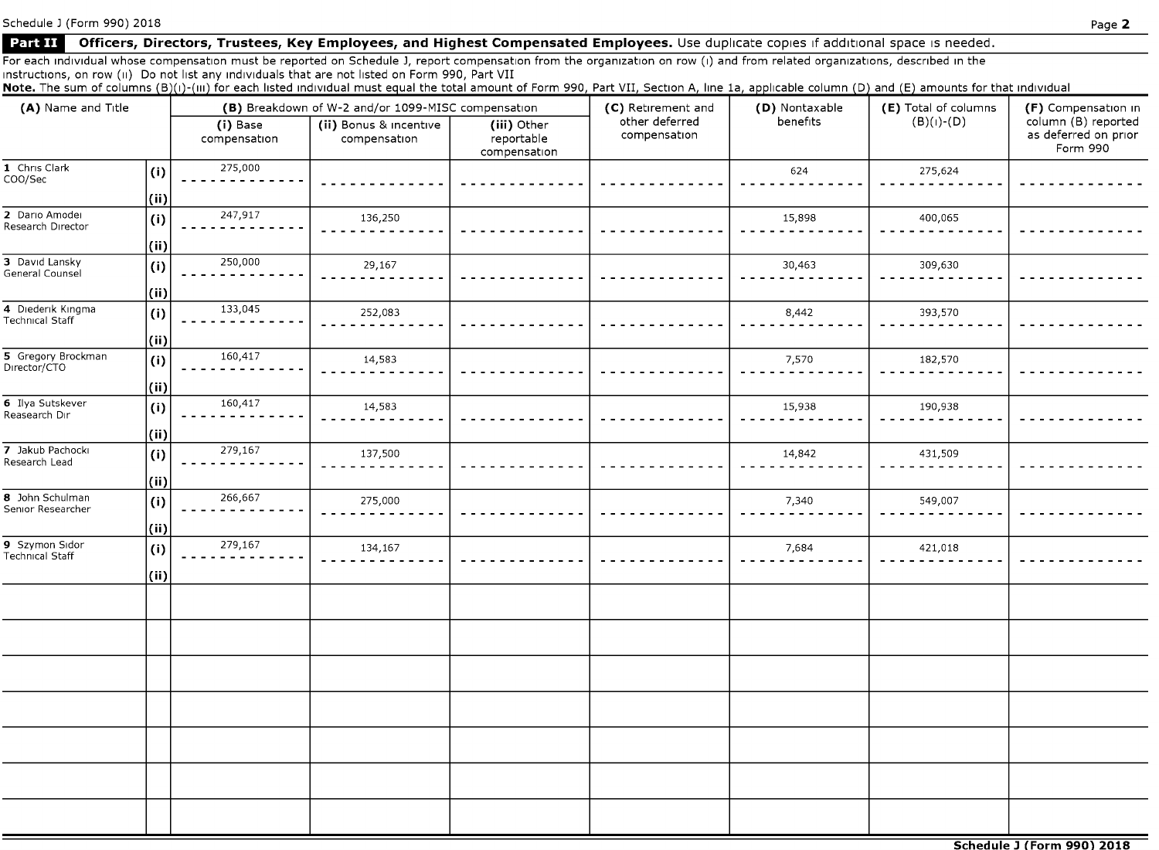Schedule J (Form 990) 2018

### **Part II** Officers, Directors, Trustees, Key Employees, and Highest Compensated Employees. Use duplicate copies if additional space is needed.

For each individual whose compensation must be reported on Schedule J, report compensation from the organization on row (i) and from related organizations, described in the 1nstruct1ons, on row (11) Do not 11st any 1nd1v1duals that are not listed on Form 990, Part VII

Note. The sum of columns (B)(i)-(iii) for each listed individual must equal the total amount of Form 990, Part VII, Section A, line 1a, applicable column (D) and (E) amounts for that individual

| (A) Name and Title                          |                | (B) Breakdown of W-2 and/or 1099-MISC compensation |                                        |                                           | (C) Retirement and             | (D) Nontaxable | (E) Total of columns | (F) Compensation in                                     |  |
|---------------------------------------------|----------------|----------------------------------------------------|----------------------------------------|-------------------------------------------|--------------------------------|----------------|----------------------|---------------------------------------------------------|--|
|                                             |                | (i) Base<br>compensation                           | (ii) Bonus & incentive<br>compensation | (iii) Other<br>reportable<br>compensation | other deferred<br>compensation | benefits       | $(B)(I)$ - $(D)$     | column (B) reported<br>as deferred on prior<br>Form 990 |  |
| 1 Chris Clark<br>COO/Sec                    | (i)            | 275,000                                            |                                        |                                           |                                | 624            | 275,624              |                                                         |  |
|                                             | (iii)          |                                                    |                                        |                                           |                                |                |                      |                                                         |  |
| 2 Dario Amodei<br>Research Director         | $\mathbf{I}$   | 247,917                                            | 136,250                                |                                           |                                | 15,898         | 400,065              |                                                         |  |
|                                             | (i)            |                                                    |                                        |                                           |                                |                |                      |                                                         |  |
| 3 David Lansky<br>General Counsel           | (i)            | 250,000                                            | 29,167                                 |                                           |                                | 30,463         | 309,630              |                                                         |  |
|                                             | (ii)           |                                                    |                                        |                                           |                                |                |                      |                                                         |  |
| 4 Diederik Kingma<br><b>Technical Staff</b> | (i)            | 133,045                                            | 252,083                                |                                           |                                | 8,442          | 393,570              |                                                         |  |
|                                             | (ii)           |                                                    |                                        |                                           |                                |                |                      |                                                         |  |
| 5 Gregory Brockman<br>Director/CTO          | (i)            | 160,417                                            | 14,583                                 |                                           |                                | 7,570          | 182,570              |                                                         |  |
|                                             | (ii)           |                                                    |                                        |                                           |                                |                |                      |                                                         |  |
| 6 Ilya Sutskever<br>Reasearch Dır           | (i)            | 160,417                                            | 14,583                                 |                                           |                                | 15,938         | 190,938              |                                                         |  |
|                                             | (ii)           |                                                    |                                        |                                           |                                |                |                      |                                                         |  |
| 7 Jakub Pachocki<br>Research Lead           | $\mathbf{(i)}$ | 279,167                                            | 137,500                                |                                           |                                | 14,842         | 431,509              |                                                         |  |
|                                             | (ii)           |                                                    |                                        |                                           |                                |                |                      |                                                         |  |
| 8 John Schulman<br>Senior Researcher        | (i)            | 266,667                                            | 275,000                                |                                           |                                | 7,340          | 549,007              |                                                         |  |
|                                             | (ii)           |                                                    |                                        |                                           |                                |                |                      |                                                         |  |
| 9 Szymon Sidor<br><b>Technical Staff</b>    | (i)            | 279,167                                            | 134,167                                |                                           |                                | 7,684          | 421,018              |                                                         |  |
|                                             | (iii)          |                                                    |                                        |                                           |                                |                |                      |                                                         |  |
|                                             |                |                                                    |                                        |                                           |                                |                |                      |                                                         |  |
|                                             |                |                                                    |                                        |                                           |                                |                |                      |                                                         |  |
|                                             |                |                                                    |                                        |                                           |                                |                |                      |                                                         |  |
|                                             |                |                                                    |                                        |                                           |                                |                |                      |                                                         |  |
|                                             |                |                                                    |                                        |                                           |                                |                |                      |                                                         |  |
|                                             |                |                                                    |                                        |                                           |                                |                |                      |                                                         |  |
|                                             |                |                                                    |                                        |                                           |                                |                |                      |                                                         |  |
|                                             |                |                                                    |                                        |                                           |                                |                |                      |                                                         |  |

**Schedule J (Form 990) 2018**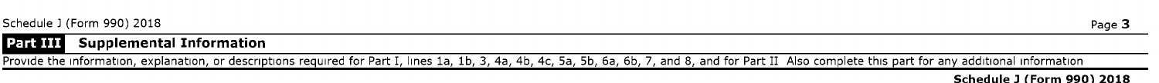





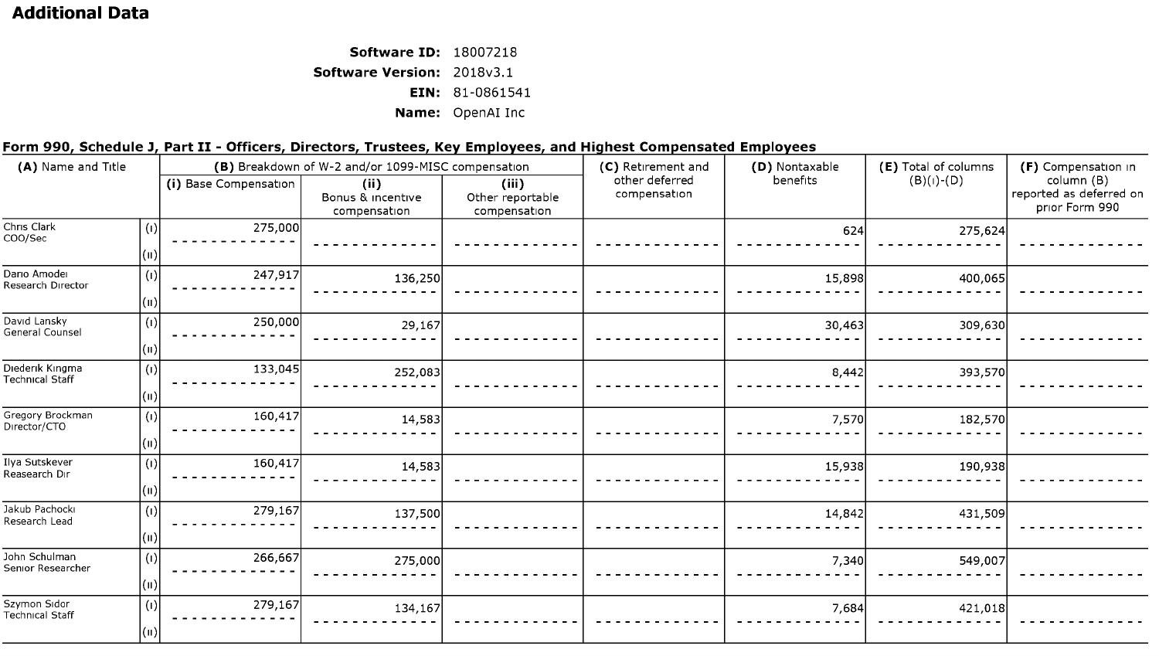## **Additional Data**

**Software ID:** 18007218 **Software Version:** 2018v3.1 **EIN:** 81-0861541 **Name:** OpenAI Inc

### **Form 990, Schedule J, Part** II - **Officers, Directors, Trustees, Key Employees, and Highest Compensated Employees**

| (A) Name and Title                 |                                              | chin boop concurred, rare in correction of masters, we employees, and inglicate compensated employees | (B) Breakdown of W-2 and/or 1099-MISC compensation |                                           | (C) Retirement and             | (D) Nontaxable | (E) Total of columns | (F) Compensation in                                     |
|------------------------------------|----------------------------------------------|-------------------------------------------------------------------------------------------------------|----------------------------------------------------|-------------------------------------------|--------------------------------|----------------|----------------------|---------------------------------------------------------|
|                                    |                                              | (i) Base Compensation                                                                                 | (ii)<br>Bonus & incentive<br>compensation          | (iii)<br>Other reportable<br>compensation | other deferred<br>compensation | benefits       | $(B)(1)-(D)$         | column (B)<br>reported as deferred on<br>prior Form 990 |
| Chris Clark<br>COO/Sec             | $\left( 1\right)$<br>$\vert(\shortparallel)$ | 275,000                                                                                               |                                                    |                                           |                                | 624            | 275,624              |                                                         |
| Dario Amodei<br>Research Director  | (1)<br>$(\mathsf{u})$                        | 247,917                                                                                               | 136,250                                            |                                           |                                | 15,898         | 400,065              |                                                         |
| David Lansky<br>General Counsel    | (1)<br>$\vert ( \mathrm{u} )$                | 250,000                                                                                               | 29,167                                             |                                           |                                | 30,463         | 309,630              |                                                         |
| Diederik Kingma<br>Technical Staff | (1)<br>$\vert(\shortparallel)$               | 133,045                                                                                               | 252,083                                            |                                           |                                | 8,442          | 393,570              |                                                         |
| Gregory Brockman<br>Director/CTO   | (1)<br>(n)                                   | 160,417                                                                                               | 14,583                                             |                                           |                                | 7,570          | 182,570              |                                                         |
| Ilya Sutskever<br>Reasearch Dir    | (1)<br>$\vert$ (ii)                          | 160,417                                                                                               | 14,583                                             |                                           |                                | 15,938         | 190,938              |                                                         |
| Jakub Pachocki<br>Research Lead    | (1)<br>(n)                                   | 279,167                                                                                               | 137,500                                            |                                           |                                | 14,842         | 431,509              |                                                         |
| John Schulman<br>Senior Researcher | (1)<br>(n)                                   | 266,667                                                                                               | 275,000                                            |                                           |                                | 7,340          | 549,007              |                                                         |
| Szymon Sidor<br>Technical Staff    | (1)<br>(n)                                   | 279,167                                                                                               | 134,167                                            |                                           |                                | 7,684          | 421,018              |                                                         |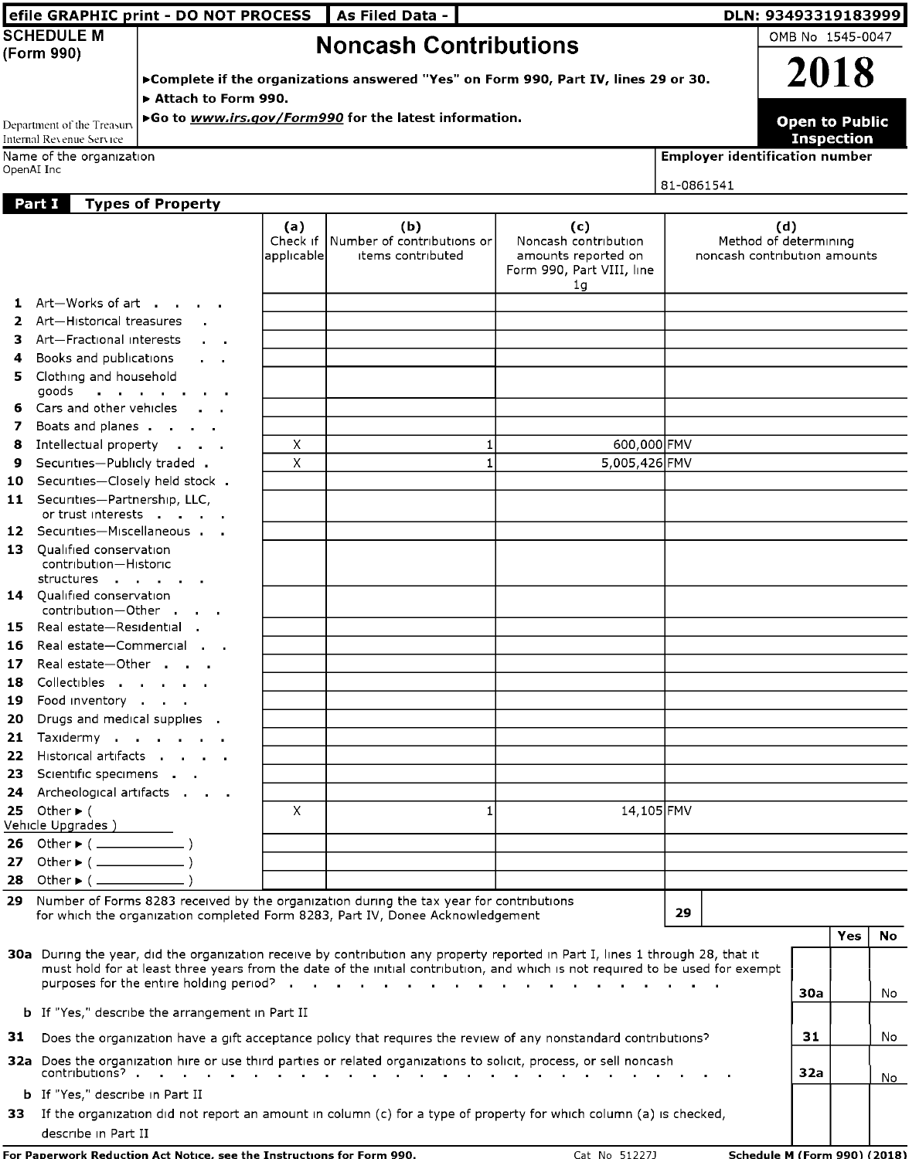|            |                                                                                                                                                     | efile GRAPHIC print - DO NOT PROCESS                                   |                               | As Filed Data -                                                                            |                                                                                                                                                                                                                                                                             |            | DLN: 93493319183999                                                                 |
|------------|-----------------------------------------------------------------------------------------------------------------------------------------------------|------------------------------------------------------------------------|-------------------------------|--------------------------------------------------------------------------------------------|-----------------------------------------------------------------------------------------------------------------------------------------------------------------------------------------------------------------------------------------------------------------------------|------------|-------------------------------------------------------------------------------------|
|            | <b>SCHEDULE M</b><br>(Form 990)                                                                                                                     | Attach to Form 990.                                                    |                               | <b>Noncash Contributions</b>                                                               | ▶ Complete if the organizations answered "Yes" on Form 990, Part IV, lines 29 or 30.                                                                                                                                                                                        |            | OMB No 1545-0047<br>2018                                                            |
| OpenAI Inc | Department of the Treasury<br>Internal Revenue Service<br>Name of the organization                                                                  |                                                                        |                               | ▶Go to www.irs.gov/Form990 for the latest information.                                     |                                                                                                                                                                                                                                                                             | 81-0861541 | <b>Open to Public</b><br><b>Inspection</b><br><b>Employer identification number</b> |
| Part I     |                                                                                                                                                     | <b>Types of Property</b>                                               | (a)<br>Check if<br>applicable | (b)<br>Number of contributions or<br>items contributed                                     | (c)<br>Noncash contribution<br>amounts reported on                                                                                                                                                                                                                          |            | (d)<br>Method of determining<br>noncash contribution amounts                        |
|            | 1 Art-Works of art<br>2 Art-Historical treasures<br>3 Art-Fractional interests                                                                      | $\alpha = 0.1$                                                         |                               |                                                                                            | Form 990, Part VIII, line<br>1g                                                                                                                                                                                                                                             |            |                                                                                     |
| 4          | Books and publications<br>5 Clothing and household<br>goods<br>6 Cars and other vehicles<br>7 Boats and planes                                      | $\sim$ $\sim$<br>and a straight and a                                  |                               |                                                                                            |                                                                                                                                                                                                                                                                             |            |                                                                                     |
| 8<br>9     | Intellectual property<br>Securities-Publicly traded .<br>10 Securities-Closely held stock.<br>11 Securities-Partnership, LLC,<br>or trust interests |                                                                        | X<br>X                        | 1<br>$\mathbf{1}$                                                                          | 600,000 FMV<br>5,005,426 FMV                                                                                                                                                                                                                                                |            |                                                                                     |
|            | 12 Securities-Miscellaneous<br>13 Qualified conservation<br>contribution-Historic<br>structures                                                     |                                                                        |                               |                                                                                            |                                                                                                                                                                                                                                                                             |            |                                                                                     |
|            | 14 Qualified conservation<br>contribution-Other<br>15 Real estate-Residential .<br>16 Real estate-Commercial<br>17 Real estate-Other                |                                                                        |                               |                                                                                            |                                                                                                                                                                                                                                                                             |            |                                                                                     |
| 20         | 18 Collectibles<br>19 Food inventory<br>Drugs and medical supplies .<br>21 Taxidermy                                                                |                                                                        |                               |                                                                                            |                                                                                                                                                                                                                                                                             |            |                                                                                     |
|            | 22 Historical artifacts<br>23 Scientific specimens<br>24 Archeological artifacts<br>25 Other $\blacktriangleright$ (<br>Vehicle Upgrades )          |                                                                        | $\times$                      | 1                                                                                          | 14,105 FMV                                                                                                                                                                                                                                                                  |            |                                                                                     |
|            | 27 Other > ( ______________ )                                                                                                                       |                                                                        |                               | 29 Number of Forms 8283 received by the organization during the tax year for contributions |                                                                                                                                                                                                                                                                             | 29         |                                                                                     |
|            |                                                                                                                                                     |                                                                        |                               | for which the organization completed Form 8283, Part IV, Donee Acknowledgement             | 30a During the year, did the organization receive by contribution any property reported in Part I, lines 1 through 28, that it<br>must hold for at least three years from the date of the initial contribution, and which is not required to be used for exempt             |            | <b>Yes</b><br><b>No</b><br>30a<br>No                                                |
|            |                                                                                                                                                     | <b>b</b> If "Yes," describe the arrangement in Part II                 |                               |                                                                                            | 31 Does the organization have a gift acceptance policy that requires the review of any nonstandard contributions?<br>32a Does the organization hire or use third parties or related organizations to solicit, process, or sell noncash<br><b>Contract Contract Contract</b> |            | 31<br>No<br>32a                                                                     |
|            | <b>b</b> If "Yes," describe in Part II<br>describe in Part II                                                                                       | For Paperwork Reduction Act Notice, see the Instructions for Form 990. |                               |                                                                                            | 33 If the organization did not report an amount in column (c) for a type of property for which column (a) is checked,                                                                                                                                                       |            | No<br>Cat No 51227J Schedule M (Form 990) (2018)                                    |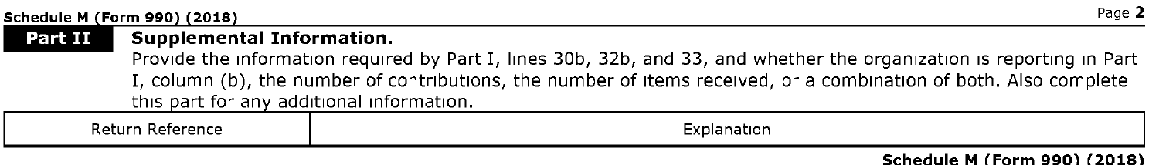#### **Form 990 2018** Page **2**

Part II



#### **Supplemental Information.**

#### Provide the information required by Part I, lines 30b, 32b, and 33, and whether the organization is reporting in Part I, column (b), the number of contributions, the number of items received, or a combination of both. Also complete this part for any additional information.





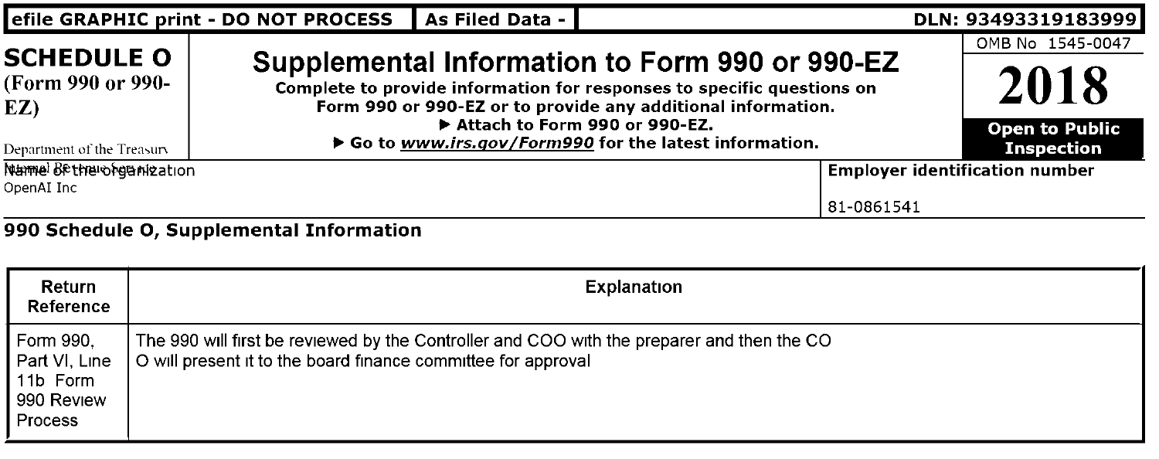| efile GRAPHIC print - DO NOT PROCESS          | As Filed Data - I            |                                                                                                                                                                                          | DLN: 93493319183999                               |
|-----------------------------------------------|------------------------------|------------------------------------------------------------------------------------------------------------------------------------------------------------------------------------------|---------------------------------------------------|
| <b>SCHEDULE O</b><br>(Form 990 or 990-<br>EZ) | Attach to Form 990 or 990-EZ | Supplemental Information to Form 990 or 990-EZ<br>Complete to provide information for responses to specific questions on<br>Form 990 or 990-EZ or to provide any additional information. | OMB No 1545-0047<br>2018<br><b>Open to Public</b> |
| Department of the Treasury                    |                              | ▶ Go to www.irs.gov/Form990 for the latest information.                                                                                                                                  | <b>Inspection</b>                                 |
| Name Bether organization                      |                              |                                                                                                                                                                                          | <b>Employer identification number</b>             |
| OpenAI Inc                                    |                              | 81-0861541                                                                                                                                                                               |                                                   |

| Return<br>Reference                                                    | Explanation                                                                                                                                                 |
|------------------------------------------------------------------------|-------------------------------------------------------------------------------------------------------------------------------------------------------------|
| Form 990.<br>Part VI, Line<br>11b Form<br>990 Review<br><b>Process</b> | The 990 will first be reviewed by the Controller and COO with the preparer and then the CO<br>O will present it to the board finance committee for approval |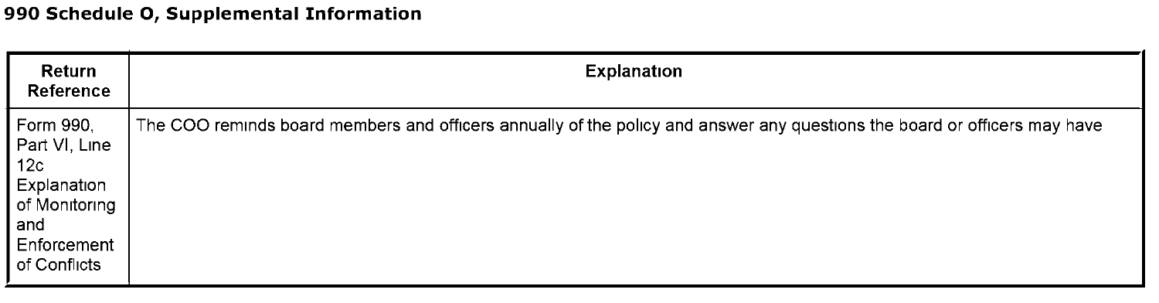►

| Return<br>Reference                                                                                     | Explanation                                                                                                               |
|---------------------------------------------------------------------------------------------------------|---------------------------------------------------------------------------------------------------------------------------|
| Form 990,<br>Part VI, Line<br>12c<br>Explanation<br>of Monitoring<br>and<br>Enforcement<br>of Conflicts | The COO reminds board members and officers annually of the policy and answer any questions the board or officers may have |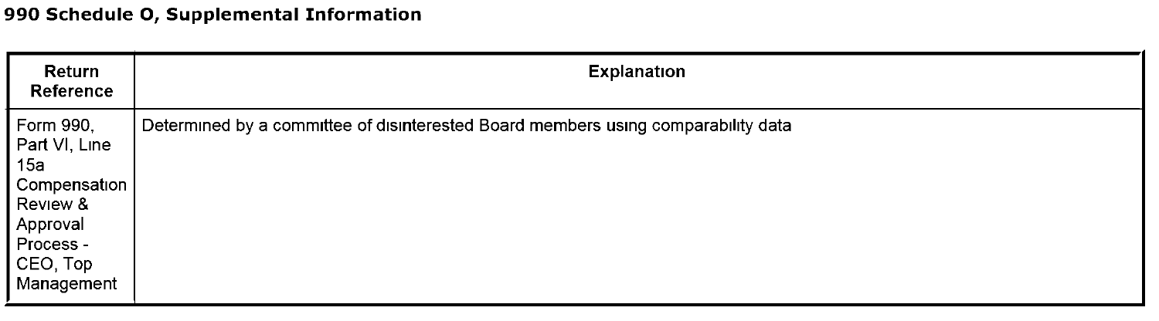| Return<br>Reference                                                                                              | Explanation                                                                       |
|------------------------------------------------------------------------------------------------------------------|-----------------------------------------------------------------------------------|
| Form 990,<br>Part VI, Line<br>15a<br>Compensation<br>Review &<br>Approval<br>Process -<br>CEO, Top<br>Management | Determined by a committee of disinterested Board members using comparability data |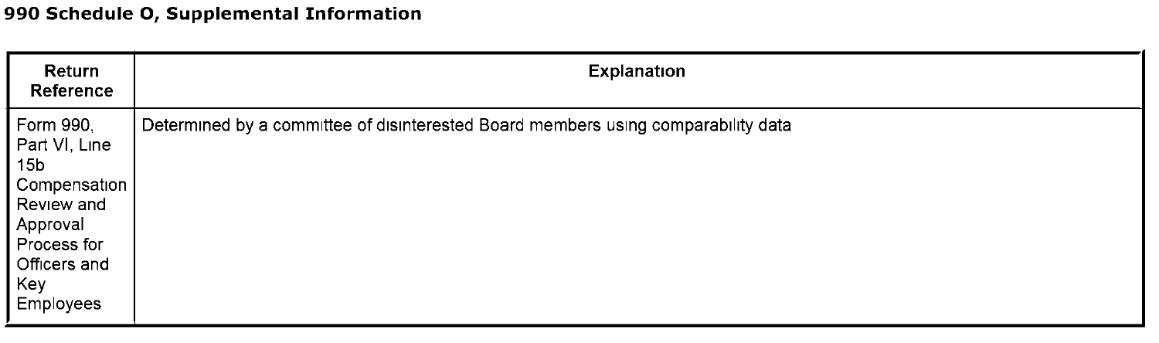| Return<br>Reference                                                                                                              | <b>Explanation</b>                                                                |
|----------------------------------------------------------------------------------------------------------------------------------|-----------------------------------------------------------------------------------|
| Form 990.<br>Part VI, Line<br>15b<br>Compensation  <br>Review and<br>Approval<br>Process for<br>Officers and<br>Key<br>Employees | Determined by a committee of disinterested Board members using comparability data |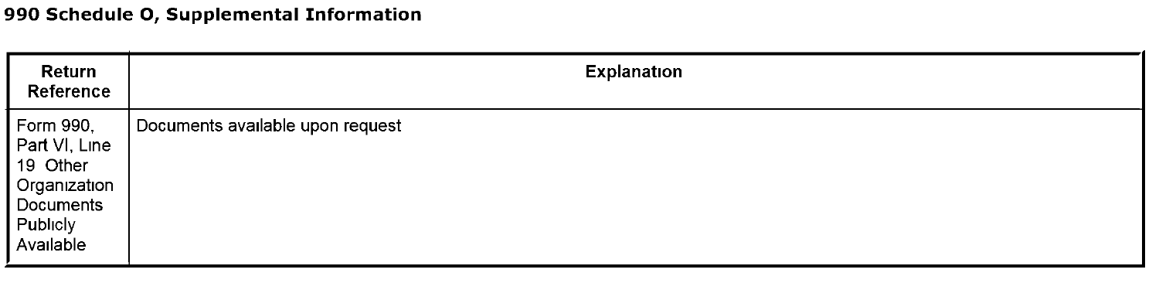| Return<br>Reference                                                                          | Explanation                      |
|----------------------------------------------------------------------------------------------|----------------------------------|
| Form 990,<br>Part VI, Line<br>19 Other<br>Organization<br>Documents<br>Publicly<br>Available | Documents available upon request |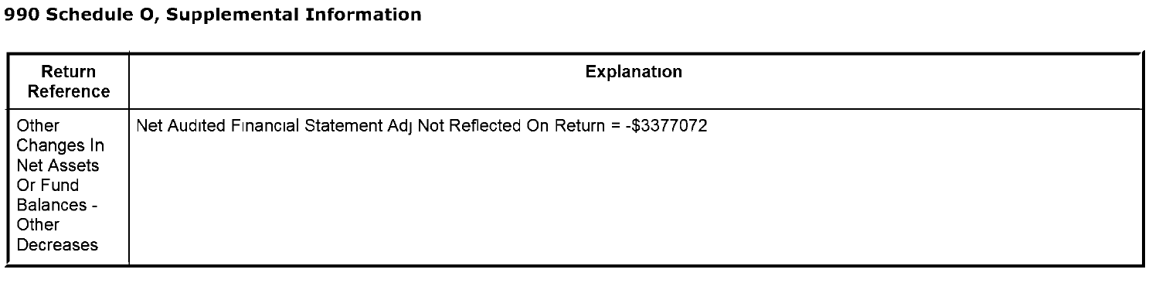| Return<br>Reference                                                              | Explanation                                                              |
|----------------------------------------------------------------------------------|--------------------------------------------------------------------------|
| Other<br>Changes In<br>Net Assets<br>Or Fund<br>Balances -<br>Other<br>Decreases | Net Audited Financial Statement Adj Not Reflected On Return = -\$3377072 |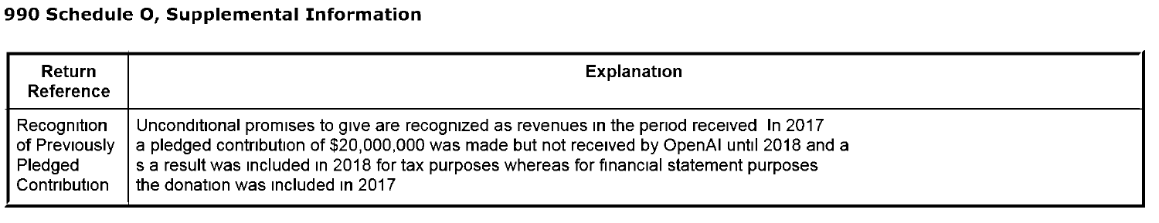| Return<br>Reference | <b>Explanation</b>                                                                          |
|---------------------|---------------------------------------------------------------------------------------------|
| Recognition         | Unconditional promises to give are recognized as revenues in the period received In 2017    |
| of Previously       | a pledged contribution of \$20,000,000 was made but not received by OpenAI until 2018 and a |
| Pledged             | s a result was included in 2018 for tax purposes whereas for financial statement purposes   |
| Contribution        | the donation was included in 2017                                                           |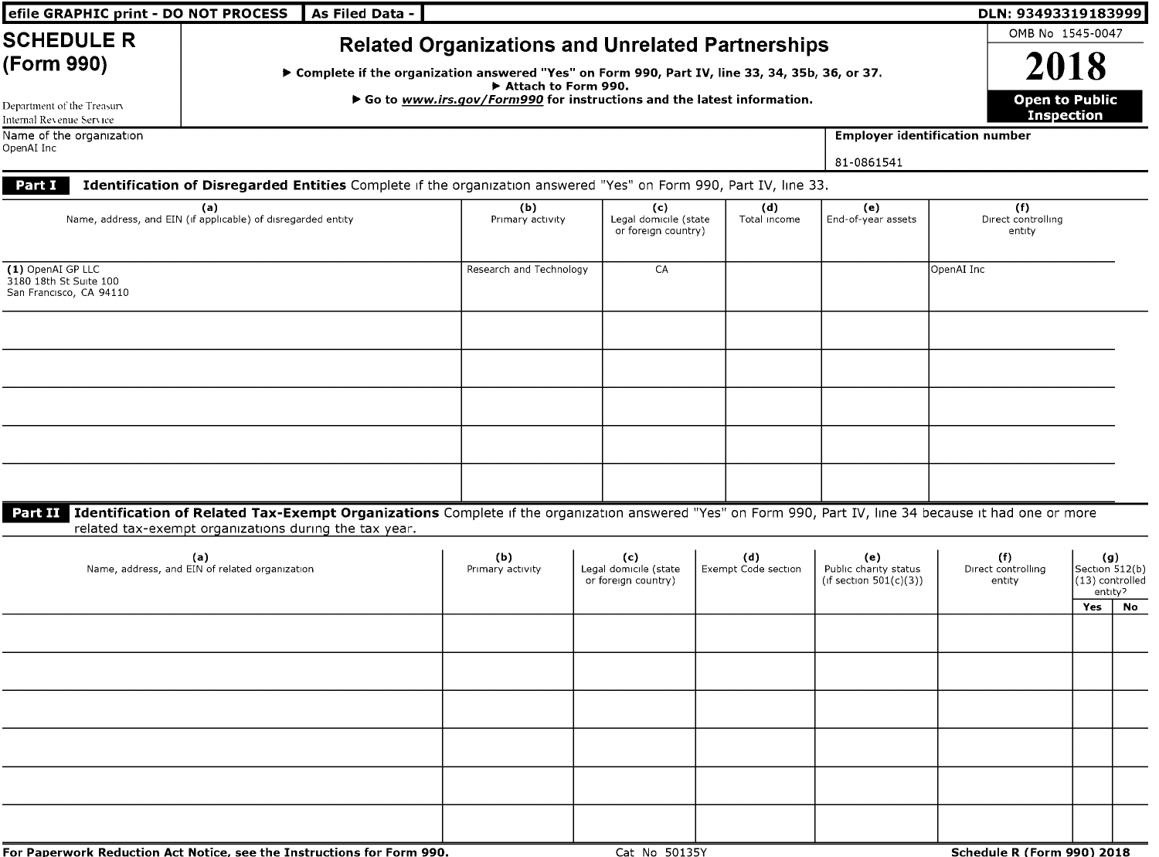| efile GRAPHIC print - DO NOT PROCESS                                                      | As Filed Data -                                                                                                                                                                                                          |                                                                                                                                                            |                                                     |                            |                                                           | DLN: 93493319183999                   |                                                            |    |
|-------------------------------------------------------------------------------------------|--------------------------------------------------------------------------------------------------------------------------------------------------------------------------------------------------------------------------|------------------------------------------------------------------------------------------------------------------------------------------------------------|-----------------------------------------------------|----------------------------|-----------------------------------------------------------|---------------------------------------|------------------------------------------------------------|----|
| <b>SCHEDULE R</b><br>(Form 990)<br>Department of the Treasury<br>Internal Revenue Service | ▶ Complete if the organization answered "Yes" on Form 990, Part IV, line 33, 34, 35b, 36, or 37.                                                                                                                         | <b>Related Organizations and Unrelated Partnerships</b><br>Attach to Form 990.<br>▶ Go to www.irs.gov/Form990 for instructions and the latest information. |                                                     |                            |                                                           | OMB No 1545-0047                      | 2018<br><b>Open to Public</b><br><b>Inspection</b>         |    |
| Name of the organization                                                                  |                                                                                                                                                                                                                          |                                                                                                                                                            |                                                     |                            |                                                           | <b>Employer identification number</b> |                                                            |    |
| OpenAI Inc                                                                                |                                                                                                                                                                                                                          |                                                                                                                                                            |                                                     |                            | 81-0861541                                                |                                       |                                                            |    |
| Part I                                                                                    | Identification of Disregarded Entities Complete if the organization answered "Yes" on Form 990, Part IV, line 33.                                                                                                        |                                                                                                                                                            |                                                     |                            |                                                           |                                       |                                                            |    |
|                                                                                           | (a)<br>Name, address, and EIN (if applicable) of disregarded entity                                                                                                                                                      | (b)<br>Primary activity                                                                                                                                    | (c)<br>Legal domicile (state<br>or foreign country) | (d)<br>Total income        | (e)<br>End-of-year assets                                 | (f)<br>Direct controlling<br>entity   |                                                            |    |
| (1) OpenAI GP LLC<br>3180 18th St Suite 100<br>San Francisco, CA 94110                    |                                                                                                                                                                                                                          | Research and Technology                                                                                                                                    | CA                                                  |                            |                                                           | OpenAI Inc                            |                                                            |    |
|                                                                                           |                                                                                                                                                                                                                          |                                                                                                                                                            |                                                     |                            |                                                           |                                       |                                                            |    |
|                                                                                           |                                                                                                                                                                                                                          |                                                                                                                                                            |                                                     |                            |                                                           |                                       |                                                            |    |
|                                                                                           |                                                                                                                                                                                                                          |                                                                                                                                                            |                                                     |                            |                                                           |                                       |                                                            |    |
|                                                                                           | Part II Identification of Related Tax-Exempt Organizations Complete if the organization answered "Yes" on Form 990, Part IV, line 34 because it had one or more<br>related tax-exempt organizations during the tax year. |                                                                                                                                                            |                                                     |                            |                                                           |                                       |                                                            |    |
|                                                                                           | (a)<br>Name, address, and EIN of related organization                                                                                                                                                                    | (b)<br>Primary activity                                                                                                                                    | (c)<br>Legal domicile (state<br>or foreign country) | (d)<br>Exempt Code section | (e)<br>Public charity status<br>(if section $501(c)(3)$ ) | (f)<br>Direct controlling<br>entity   | (g)<br>Section 512(b)<br>(13) controlled<br>entity?<br>Yes | No |
|                                                                                           |                                                                                                                                                                                                                          |                                                                                                                                                            |                                                     |                            |                                                           |                                       |                                                            |    |
|                                                                                           |                                                                                                                                                                                                                          |                                                                                                                                                            |                                                     |                            |                                                           |                                       |                                                            |    |
|                                                                                           |                                                                                                                                                                                                                          |                                                                                                                                                            |                                                     |                            |                                                           |                                       |                                                            |    |
|                                                                                           |                                                                                                                                                                                                                          |                                                                                                                                                            |                                                     |                            |                                                           |                                       |                                                            |    |
|                                                                                           |                                                                                                                                                                                                                          |                                                                                                                                                            |                                                     |                            |                                                           |                                       |                                                            |    |
|                                                                                           | For Paperwork Reduction Act Notice, see the Instructions for Form 990.                                                                                                                                                   |                                                                                                                                                            | Cat No 50135Y                                       |                            |                                                           | Schedule R (Form 990) 2018            |                                                            |    |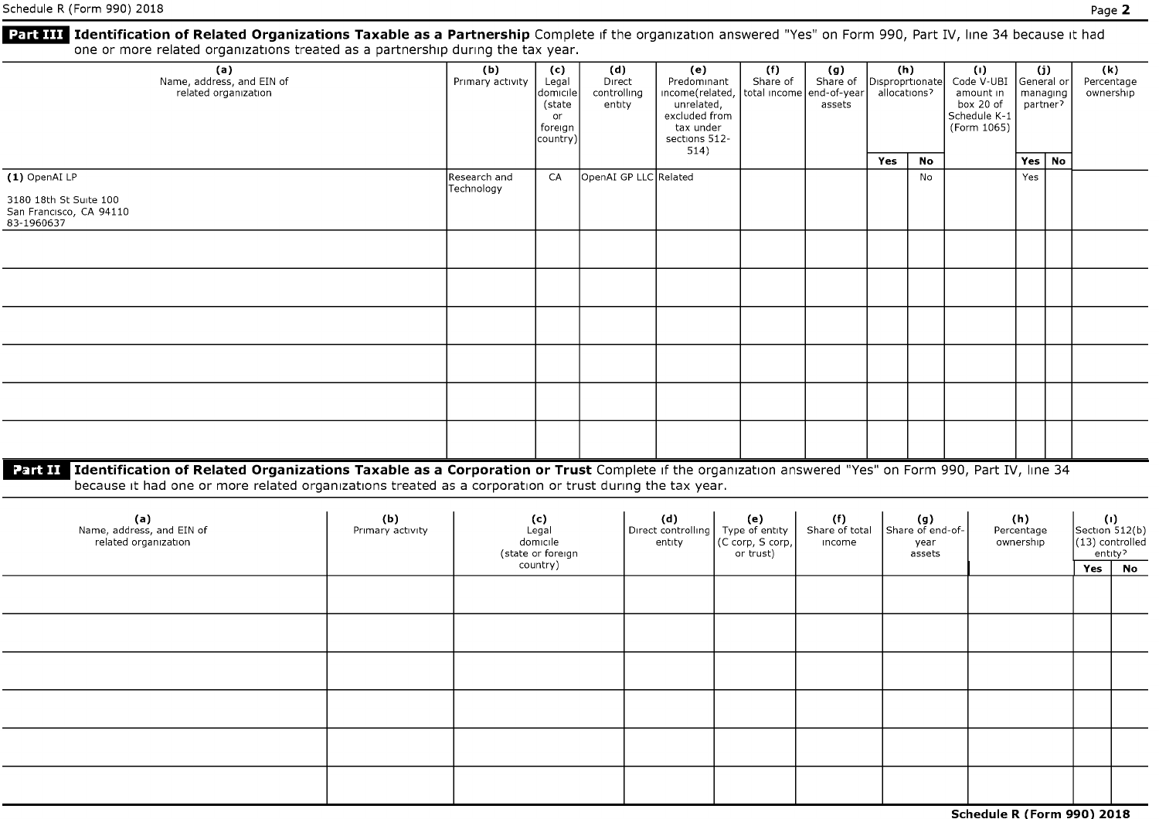| Schedule R (Form 990) 2018                                                                                                                                                                                                                                             |                         |                            |                                                                 |                                        |                                                                                         |                                                             |                                 |                 |                                           |                                                                                                      |                                |                      | Page 2                                                     |           |
|------------------------------------------------------------------------------------------------------------------------------------------------------------------------------------------------------------------------------------------------------------------------|-------------------------|----------------------------|-----------------------------------------------------------------|----------------------------------------|-----------------------------------------------------------------------------------------|-------------------------------------------------------------|---------------------------------|-----------------|-------------------------------------------|------------------------------------------------------------------------------------------------------|--------------------------------|----------------------|------------------------------------------------------------|-----------|
| Part III Identification of Related Organizations Taxable as a Partnership Complete if the organization answered "Yes" on Form 990, Part IV, line 34 because it had<br>one or more related organizations treated as a partnership during the tax year.                  |                         |                            |                                                                 |                                        |                                                                                         |                                                             |                                 |                 |                                           |                                                                                                      |                                |                      |                                                            |           |
| (a)<br>Name, address, and EIN of<br>related organization                                                                                                                                                                                                               |                         | (b)<br>Primary activity    | (c)<br>Legal<br>domicile<br>(state<br>or<br>foreign<br>country) | (d)<br>Direct<br>controlling<br>entity | (e)<br>Predominant<br>unrelated,<br>excluded from<br>tax under<br>sections 512-<br>514) | (f)<br>Share of<br>income(related, total income end-of-year | (g)<br>Share of<br>assets       | Disproprtionate | (h)<br>allocations?                       | $\left( 0 \right)$<br>Code V-UBI General or<br>amount in<br>box 20 of<br>Schedule K-1<br>(Form 1065) | (i)                            | managing<br>partner? | (k)<br>Percentage<br>ownership                             |           |
|                                                                                                                                                                                                                                                                        |                         |                            |                                                                 |                                        |                                                                                         |                                                             |                                 | Yes             | No                                        |                                                                                                      |                                | Yes   No             |                                                            |           |
| (1) OpenAI LP                                                                                                                                                                                                                                                          |                         | Research and<br>Technology | CA                                                              | OpenAI GP LLC Related                  |                                                                                         |                                                             |                                 |                 | No                                        |                                                                                                      | Yes                            |                      |                                                            |           |
| 3180 18th St Suite 100<br>San Francisco, CA 94110<br>83-1960637                                                                                                                                                                                                        |                         |                            |                                                                 |                                        |                                                                                         |                                                             |                                 |                 |                                           |                                                                                                      |                                |                      |                                                            |           |
|                                                                                                                                                                                                                                                                        |                         |                            |                                                                 |                                        |                                                                                         |                                                             |                                 |                 |                                           |                                                                                                      |                                |                      |                                                            |           |
|                                                                                                                                                                                                                                                                        |                         |                            |                                                                 |                                        |                                                                                         |                                                             |                                 |                 |                                           |                                                                                                      |                                |                      |                                                            |           |
|                                                                                                                                                                                                                                                                        |                         |                            |                                                                 |                                        |                                                                                         |                                                             |                                 |                 |                                           |                                                                                                      |                                |                      |                                                            |           |
|                                                                                                                                                                                                                                                                        |                         |                            |                                                                 |                                        |                                                                                         |                                                             |                                 |                 |                                           |                                                                                                      |                                |                      |                                                            |           |
|                                                                                                                                                                                                                                                                        |                         |                            |                                                                 |                                        |                                                                                         |                                                             |                                 |                 |                                           |                                                                                                      |                                |                      |                                                            |           |
|                                                                                                                                                                                                                                                                        |                         |                            |                                                                 |                                        |                                                                                         |                                                             |                                 |                 |                                           |                                                                                                      |                                |                      |                                                            |           |
| Part II Identification of Related Organizations Taxable as a Corporation or Trust Complete if the organization answered "Yes" on Form 990, Part IV, line 34<br>because it had one or more related organizations treated as a corporation or trust during the tax year. |                         |                            |                                                                 |                                        |                                                                                         |                                                             |                                 |                 |                                           |                                                                                                      |                                |                      |                                                            |           |
| (a)<br>Name, address, and EIN of<br>related organization                                                                                                                                                                                                               | (b)<br>Primary activity |                            | (c)<br>Legal<br>domicile<br>(state or foreign<br>country)       |                                        | (d)<br>Direct controlling<br>entity                                                     | (e)<br>Type of entity<br>(C corp, S corp,<br>or trust)      | (f)<br>Share of total<br>income |                 | (g)<br>Share of end-of-<br>year<br>assets |                                                                                                      | (h)<br>Percentage<br>ownership |                      | (1)<br>Section 512(b)<br>(13) controlled<br>entity?<br>Yes | <b>No</b> |
|                                                                                                                                                                                                                                                                        |                         |                            |                                                                 |                                        |                                                                                         |                                                             |                                 |                 |                                           |                                                                                                      |                                |                      |                                                            |           |
|                                                                                                                                                                                                                                                                        |                         |                            |                                                                 |                                        |                                                                                         |                                                             |                                 |                 |                                           |                                                                                                      |                                |                      |                                                            |           |

| Schedule R (Form 990) 2018 |
|----------------------------|
|----------------------------|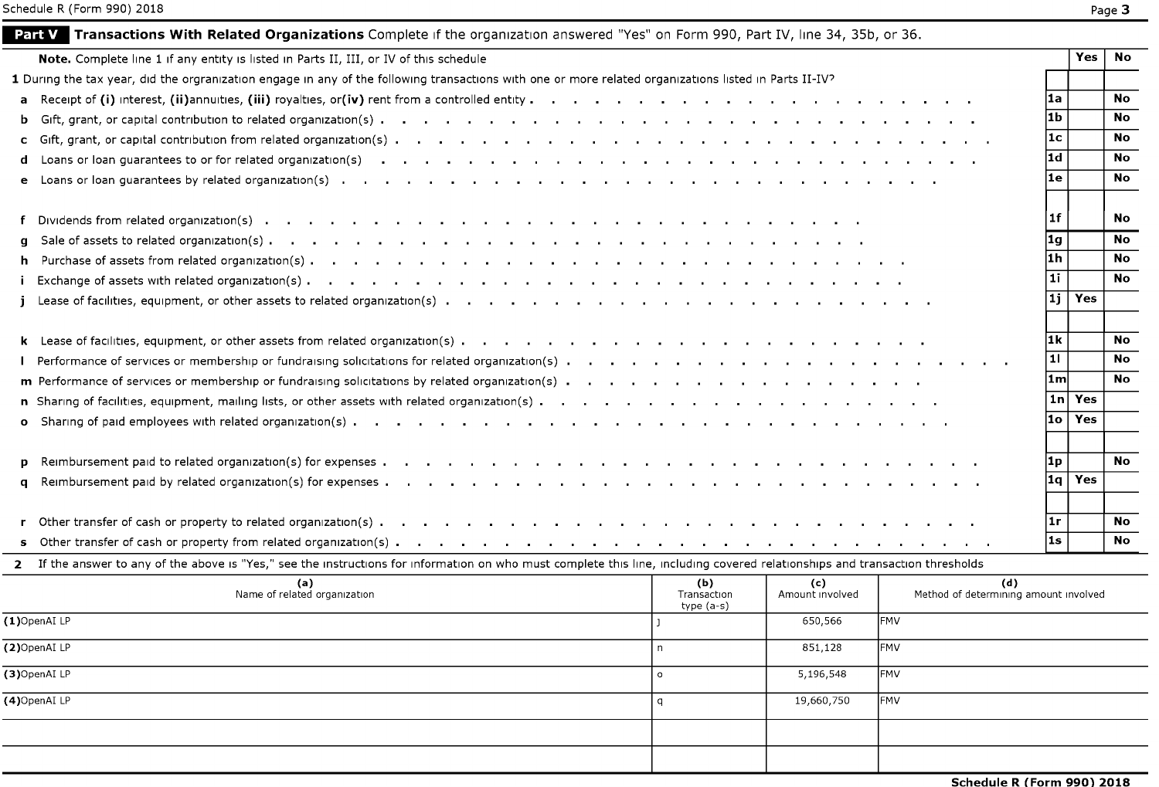|    |                                                                                                                                                                               |                                  |                        |                                              | l1b     |            | No        |
|----|-------------------------------------------------------------------------------------------------------------------------------------------------------------------------------|----------------------------------|------------------------|----------------------------------------------|---------|------------|-----------|
|    |                                                                                                                                                                               |                                  |                        |                                              | 1c      |            | <b>No</b> |
|    |                                                                                                                                                                               |                                  |                        |                                              | 1d      |            | <b>No</b> |
|    |                                                                                                                                                                               |                                  |                        |                                              | l1e.    |            | <b>No</b> |
|    |                                                                                                                                                                               |                                  |                        |                                              | l 1 f   |            | <b>No</b> |
| g. |                                                                                                                                                                               |                                  |                        |                                              | 1g      |            | <b>No</b> |
| h. |                                                                                                                                                                               |                                  |                        |                                              | l1h     |            | <b>No</b> |
|    |                                                                                                                                                                               |                                  |                        |                                              | l 1 i   |            | <b>No</b> |
|    |                                                                                                                                                                               |                                  |                        |                                              | 11 i    | <b>Yes</b> |           |
|    |                                                                                                                                                                               |                                  |                        |                                              | l1k     |            | <b>No</b> |
|    |                                                                                                                                                                               |                                  |                        |                                              | 11 I    |            | <b>No</b> |
|    |                                                                                                                                                                               |                                  |                        |                                              | 1m      |            | <b>No</b> |
|    |                                                                                                                                                                               |                                  |                        |                                              | l 1 n l | Yes        |           |
|    |                                                                                                                                                                               |                                  |                        |                                              | l1o.    | Yes        |           |
|    |                                                                                                                                                                               |                                  |                        |                                              | 1 p     |            | <b>No</b> |
| q  |                                                                                                                                                                               |                                  |                        |                                              | 1a      | Yes        |           |
|    |                                                                                                                                                                               |                                  |                        |                                              | ∣1r     |            | No.       |
|    |                                                                                                                                                                               |                                  |                        |                                              | l1s     |            | <b>No</b> |
|    | 2 If the answer to any of the above is "Yes," see the instructions for information on who must complete this line, including covered relationships and transaction thresholds |                                  |                        |                                              |         |            |           |
|    | (a)<br>Name of related organization                                                                                                                                           | (b)<br>Transaction<br>type (a-s) | (c)<br>Amount involved | (d)<br>Method of determining amount involved |         |            |           |
|    | (1)OpenAI LP                                                                                                                                                                  |                                  | 650,566                | <b>FMV</b>                                   |         |            |           |
|    | (2)OpenAI LP                                                                                                                                                                  | $\mathsf{n}$                     | 851,128                | FMV                                          |         |            |           |
|    | (3)OpenAI LP                                                                                                                                                                  | $\circ$                          | 5,196,548              | <b>FMV</b>                                   |         |            |           |
|    | (4)OpenAI LP                                                                                                                                                                  | $\mathsf{q}$                     | 19,660,750             | <b>FMV</b>                                   |         |            |           |
|    |                                                                                                                                                                               |                                  |                        |                                              |         |            |           |
|    |                                                                                                                                                                               |                                  |                        |                                              |         |            |           |
|    |                                                                                                                                                                               |                                  |                        | Schedule R (Form 990) 2018                   |         |            |           |
|    |                                                                                                                                                                               |                                  |                        |                                              |         |            |           |

**Note.** Complete line 1 if any entity is listed in Parts II, III, or IV of this schedule **Yes No Yes No** 

**a** Receipt of (i) interest, (ii)annuities, (iii) royalties, or(iv) rent from a controlled entity **b**  $\cdot$  **l**  $\cdot$  **l**  $\cdot$  **l**  $\cdot$  **l**  $\cdot$  **l**  $\cdot$  **l**  $\cdot$  **l**  $\cdot$  **l**  $\cdot$  **l**  $\cdot$  **l**  $\cdot$  **l**  $\cdot$  **l**  $\cdot$  **l**  $\cdot$ 

**Part V Transactions With Related Organizations** Complete if the organization answered "Yes" on Form 990, Part IV, line 34, 35b, or 36.

1 During the tax year, did the orgranization engage in any of the following transactions with one or more related organizations listed in Parts II-IV?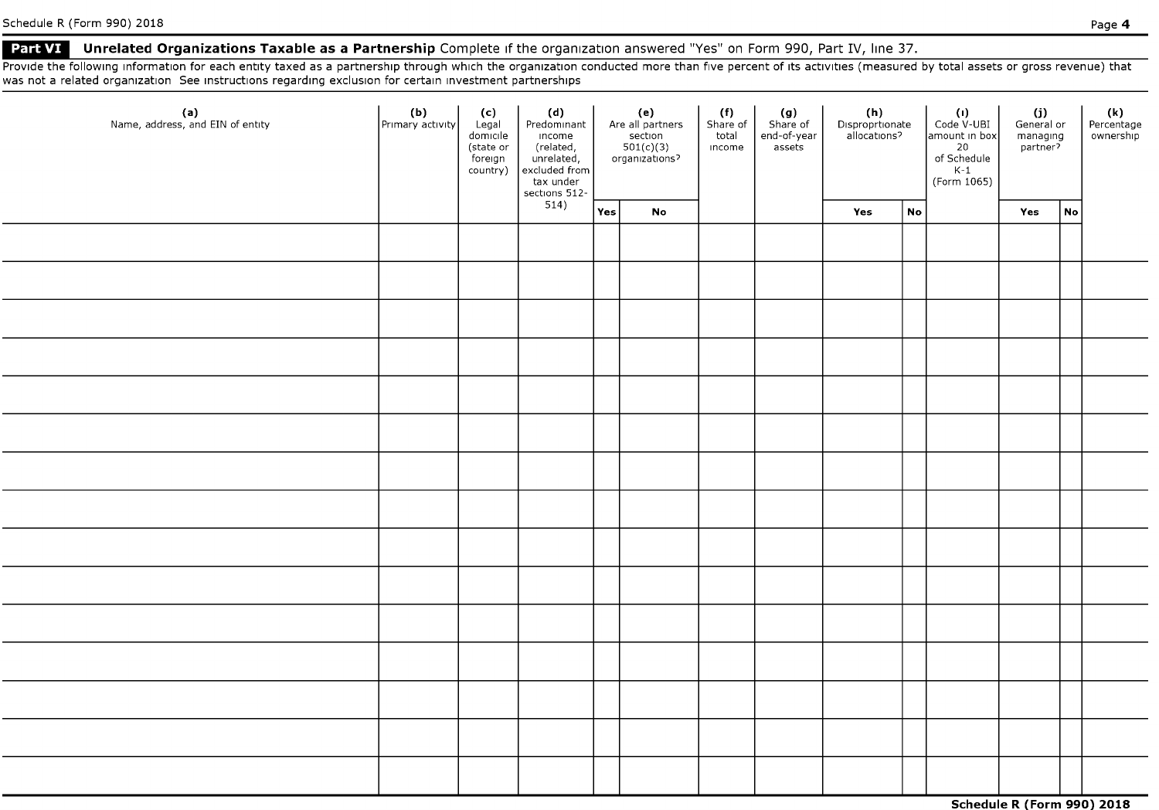#### **• Part VI** Unrelated Organizations Taxable as a Partnership Complete if the organization answered "Yes" on Form 990, Part IV, line 37.

Provide the following information for each entity taxed as a partnership through which the organization conducted more than five percent of its activities (measured by total assets or gross revenue) that was not a related organization See instructions regarding exclusion for certain investment partnerships

| (a)<br>Name, address, and EIN of entity | (b)<br>Primary activity | (c)<br>Legal<br>domicile<br>(state or<br>foreign<br>country) | (d)<br>Predominant<br>income<br>Income<br>(related,<br>unrelated,<br>excluded from<br>tax under<br>sections 512-<br>514) | (e)<br>Are all partners<br>$set$ ion<br>$501(c)(3)$<br>organizations? |    | (f)<br>Share of<br>total<br>income | (g)<br>Share of<br>end-of-year<br>assets |     |    | (h)<br>Disproprtionate<br>allocations?<br>Code V-UBI<br>amount in box<br>20<br>of Schedule<br>$K-1$<br>(Form 1065) |     | $(i)$<br>General or<br>managing<br>partner? |  | (k)<br>Percentage<br>ownership |
|-----------------------------------------|-------------------------|--------------------------------------------------------------|--------------------------------------------------------------------------------------------------------------------------|-----------------------------------------------------------------------|----|------------------------------------|------------------------------------------|-----|----|--------------------------------------------------------------------------------------------------------------------|-----|---------------------------------------------|--|--------------------------------|
|                                         |                         |                                                              |                                                                                                                          | Yes                                                                   | No |                                    |                                          | Yes | No |                                                                                                                    | Yes | No                                          |  |                                |
|                                         |                         |                                                              |                                                                                                                          |                                                                       |    |                                    |                                          |     |    |                                                                                                                    |     |                                             |  |                                |
|                                         |                         |                                                              |                                                                                                                          |                                                                       |    |                                    |                                          |     |    |                                                                                                                    |     |                                             |  |                                |
|                                         |                         |                                                              |                                                                                                                          |                                                                       |    |                                    |                                          |     |    |                                                                                                                    |     |                                             |  |                                |
|                                         |                         |                                                              |                                                                                                                          |                                                                       |    |                                    |                                          |     |    |                                                                                                                    |     |                                             |  |                                |
|                                         |                         |                                                              |                                                                                                                          |                                                                       |    |                                    |                                          |     |    |                                                                                                                    |     |                                             |  |                                |
|                                         |                         |                                                              |                                                                                                                          |                                                                       |    |                                    |                                          |     |    |                                                                                                                    |     |                                             |  |                                |
|                                         |                         |                                                              |                                                                                                                          |                                                                       |    |                                    |                                          |     |    |                                                                                                                    |     |                                             |  |                                |
|                                         |                         |                                                              |                                                                                                                          |                                                                       |    |                                    |                                          |     |    |                                                                                                                    |     |                                             |  |                                |
|                                         |                         |                                                              |                                                                                                                          |                                                                       |    |                                    |                                          |     |    |                                                                                                                    |     |                                             |  |                                |
|                                         |                         |                                                              |                                                                                                                          |                                                                       |    |                                    |                                          |     |    |                                                                                                                    |     |                                             |  |                                |
|                                         |                         |                                                              |                                                                                                                          |                                                                       |    |                                    |                                          |     |    |                                                                                                                    |     |                                             |  |                                |
|                                         |                         |                                                              |                                                                                                                          |                                                                       |    |                                    |                                          |     |    |                                                                                                                    |     |                                             |  |                                |
|                                         |                         |                                                              |                                                                                                                          |                                                                       |    |                                    |                                          |     |    |                                                                                                                    |     |                                             |  |                                |
|                                         |                         |                                                              |                                                                                                                          |                                                                       |    |                                    |                                          |     |    |                                                                                                                    |     |                                             |  |                                |
|                                         |                         |                                                              |                                                                                                                          |                                                                       |    |                                    |                                          |     |    |                                                                                                                    |     |                                             |  |                                |
|                                         |                         |                                                              |                                                                                                                          |                                                                       |    |                                    |                                          |     |    |                                                                                                                    |     |                                             |  |                                |